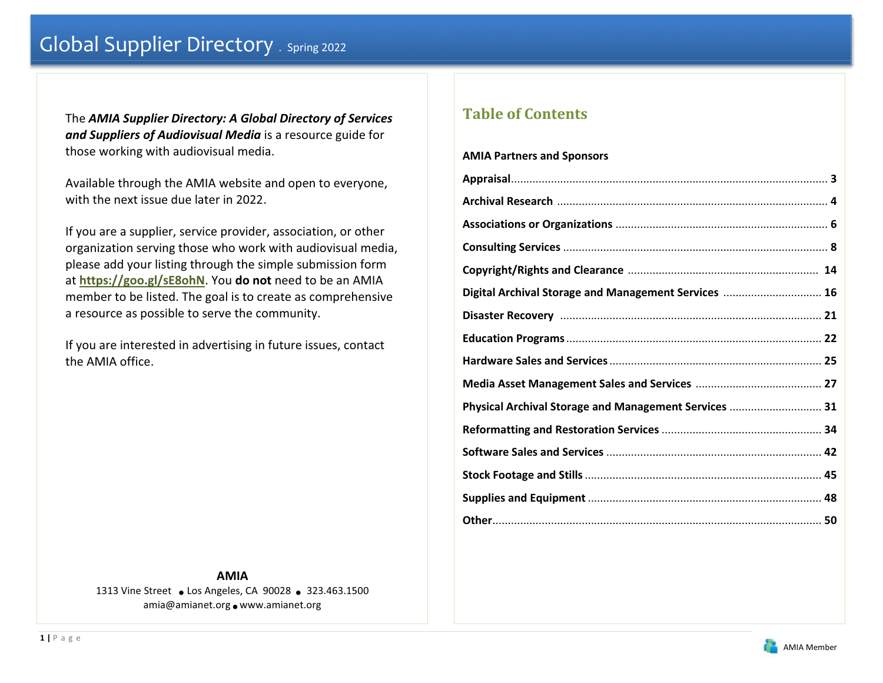The *AMIA Supplier Directory: A Global Directory of Services and Suppliers of Audiovisual Media* is a resource guide for those working with audiovisual media.

Available through the AMIA website and open to everyone, with the next issue due later in 2022.

If you are a supplier, service provider, association, or other organization serving those who work with audiovisual media, please add your listing through the simple submission form at **https://goo.gl/sE8ohN**. You **do not** need to be an AMIA member to be listed. The goal is to create as comprehensive a resource as possible to serve the community.

If you are interested in advertising in future issues, contact the AMIA office.

> **AMIA**1313 Vine Street • Los Angeles, CA 90028 • 323.463.1500 amia@amianet.org • www.amianet.org

# **Table of Contents**

# **AMIA Partners and Sponsors**

| Digital Archival Storage and Management Services  16  |  |
|-------------------------------------------------------|--|
|                                                       |  |
|                                                       |  |
|                                                       |  |
|                                                       |  |
| Physical Archival Storage and Management Services  31 |  |
|                                                       |  |
|                                                       |  |
|                                                       |  |
|                                                       |  |
|                                                       |  |

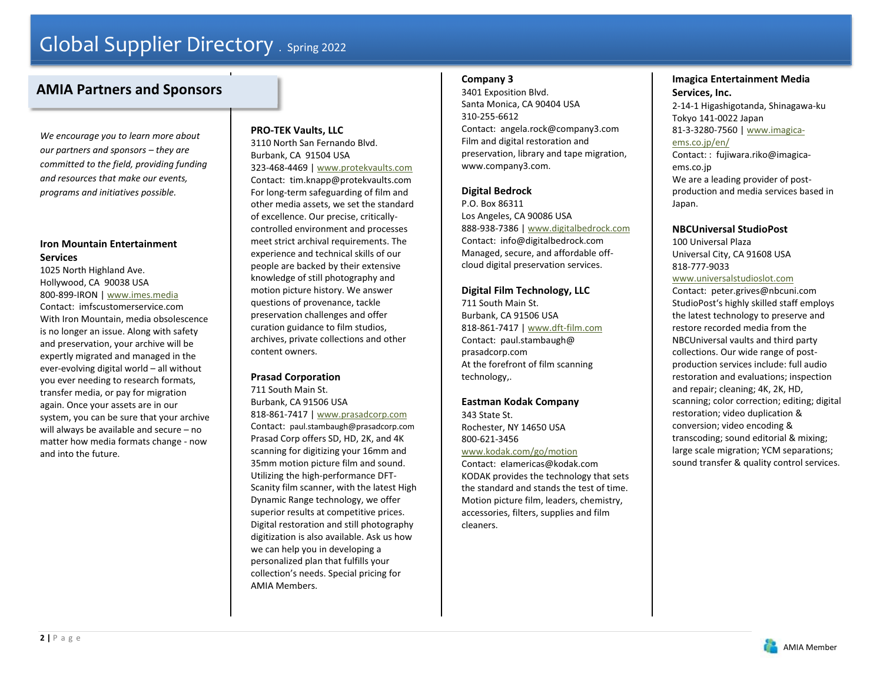# **AMIA Partners and Sponsors**

*We encourage you to learn more about our partners and sponsors – they are committed to the field, providing funding and resources that make our events, programs and initiatives possible.*

# **Iron Mountain Entertainment Services**

1025 North Highland Ave. Hollywood, CA 90038 USA 800-899-IRON | www.imes.media Contact: imfscustomerservice.com With Iron Mountain, media obsolescence is no longer an issue. Along with safety and preservation, your archive will be expertly migrated and managed in the ever-evolving digital world – all without you ever needing to research formats, transfer media, or pay for migration again. Once your assets are in our system, you can be sure that your archive will always be available and secure – no matter how media formats change - now and into the future.

# **PRO-TEK Vaults, LLC**

3110 North San Fernando Blvd. Burbank, CA 91504 USA 323-468-4469 | www.protekvaults.com Contact: tim.knapp@protekvaults.com For long-term safeguarding of film and other media assets, we set the standard of excellence. Our precise, criticallycontrolled environment and processes meet strict archival requirements. The experience and technical skills of our people are backed by their extensive knowledge of still photography and motion picture history. We answer questions of provenance, tackle preservation challenges and offer curation guidance to film studios, archives, private collections and other content owners.

# **Prasad Corporation**

711 South Main St. Burbank, CA 91506 USA 818-861-7417 | www.prasadcorp.com

Contact: paul.stambaugh@prasadcorp.com Prasad Corp offers SD, HD, 2K, and 4K scanning for digitizing your 16mm and 35mm motion picture film and sound. Utilizing the high-performance DFT-Scanity film scanner, with the latest High Dynamic Range technology, we offer superior results at competitive prices. Digital restoration and still photography digitization is also available. Ask us how we can help you in developing a personalized plan that fulfills your collection's needs. Special pricing for AMIA Members.

# **Company 3**

3401 Exposition Blvd. Santa Monica, CA 90404 USA 310-255-6612 Contact: angela.rock@company3.com Film and digital restoration and preservation, library and tape migration, www.company3.com.

# **Digital Bedrock**

P.O. Box 86311 Los Angeles, CA 90086 USA 888-938-7386 | www.digitalbedrock.com Contact: info@digitalbedrock.com Managed, secure, and affordable offcloud digital preservation services.

# **Digital Film Technology, LLC**

711 South Main St. Burbank, CA 91506 USA 818-861-7417 | www.dft-film.com Contact: paul.stambaugh@ prasadcorp.com At the forefront of film scanning technology,.

# **Eastman Kodak Company**

343 State St. Rochester, NY 14650 USA 800-621-3456

www.kodak.com/go/motion Contact: eIamericas@kodak.com KODAK provides the technology that sets the standard and stands the test of time. Motion picture film, leaders, chemistry, accessories, filters, supplies and film cleaners.

# **Imagica Entertainment Media Services, Inc.**

2-14-1 Higashigotanda, Shinagawa-ku Tokyo 141-0022 Japan 81-3-3280-7560 | www.imagicaems.co.jp/en/ Contact: : fujiwara.riko@imagica-

ems.co.jp We are a leading provider of postproduction and media services based in Japan.

### **NBCUniversal StudioPost**

100 Universal Plaza Universal City, CA 91608 USA 818-777-9033

#### www.universalstudioslot.com

Contact: peter.grives@nbcuni.com StudioPost's highly skilled staff employs the latest technology to preserve and restore recorded media from the NBCUniversal vaults and third party collections. Our wide range of postproduction services include: full audio restoration and evaluations; inspection and repair; cleaning; 4K, 2K, HD, scanning; color correction; editing; digital restoration; video duplication & conversion; video encoding & transcoding; sound editorial & mixing; large scale migration; YCM separations; sound transfer & quality control services.

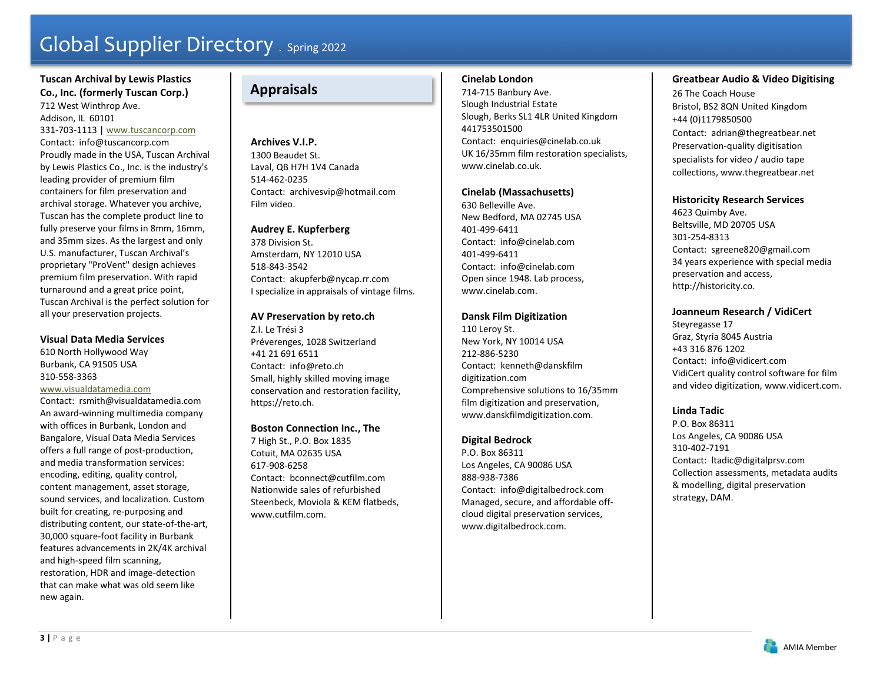# **Tuscan Archival by Lewis Plastics Co., Inc. (formerly Tuscan Corp.)**

712 West Winthrop Ave. Addison, IL 60101 331-703-1113 | www.tuscancorp.com Contact: info@tuscancorp.com Proudly made in the USA, Tuscan Archival by Lewis Plastics Co., Inc. is the industry's leading provider of premium film containers for film preservation and archival storage. Whatever you archive, Tuscan has the complete product line to fully preserve your films in 8mm, 16mm, and 35mm sizes. As the largest and only U.S. manufacturer, Tuscan Archival's proprietary "ProVent" design achieves premium film preservation. With rapid turnaround and a great price point, Tuscan Archival is the perfect solution for all your preservation projects.

#### **Visual Data Media Services**

610 North Hollywood Way Burbank, CA 91505 USA 310-558-3363

# www.visualdatamedia.com

Contact: rsmith@visualdatamedia.com An award-winning multimedia company with offices in Burbank, London and Bangalore, Visual Data Media Services offers a full range of post-production, and media transformation services: encoding, editing, quality control, content management, asset storage, sound services, and localization. Custom built for creating, re-purposing and distributing content, our state-of-the-art, 30,000 square-foot facility in Burbank features advancements in 2K/4K archival and high-speed film scanning, restoration, HDR and image-detection that can make what was old seem like new again.

# **Appraisals**

**Archives V.I.P.** 1300 Beaudet St. Laval, QB H7H 1V4 Canada 514-462-0235 Contact: archivesvip@hotmail.com Film video.

### **Audrey E. Kupferberg**

378 Division St. Amsterdam, NY 12010 USA 518-843-3542 Contact: akupferb@nycap.rr.com I specialize in appraisals of vintage films.

#### **AV Preservation by reto.ch**

Z.I. Le Trési 3 Préverenges, 1028 Switzerland +41 21 691 6511 Contact: info@reto.ch Small, highly skilled moving image conservation and restoration facility, https://reto.ch.

# **Boston Connection Inc., The**

7 High St., P.O. Box 1835 Cotuit, MA 02635 USA 617-908-6258Contact: bconnect@cutfilm.com Nationwide sales of refurbished Steenbeck, Moviola & KEM flatbeds, www.cutfilm.com.

# **Cinelab London**

714-715 Banbury Ave. Slough Industrial Estate Slough, Berks SL1 4LR United Kingdom 441753501500 Contact: enquiries@cinelab.co.uk UK 16/35mm film restoration specialists, www.cinelab.co.uk.

#### **Cinelab (Massachusetts)**

630 Belleville Ave. New Bedford, MA 02745 USA 401-499-6411 Contact: info@cinelab.com 401-499-6411 Contact: info@cinelab.com Open since 1948. Lab process, www.cinelab.com.

### **Dansk Film Digitization**

110 Leroy St. New York, NY 10014 USA 212-886-5230 Contact: kenneth@danskfilm digitization.com Comprehensive solutions to 16/35mm film digitization and preservation, www.danskfilmdigitization.com.

# **Digital Bedrock**

P.O. Box 86311 Los Angeles, CA 90086 USA 888-938-7386 Contact: info@digitalbedrock.com Managed, secure, and affordable offcloud digital preservation services, www.digitalbedrock.com.

# **Greatbear Audio & Video Digitising**

26 The Coach House Bristol, BS2 8QN United Kingdom +44 (0)1179850500 Contact: adrian@thegreatbear.net Preservation-quality digitisation specialists for video / audio tape collections, www.thegreatbear.net

#### **Historicity Research Services**

4623 Quimby Ave. Beltsville, MD 20705 USA 301-254-8313 Contact: sgreene820@gmail.com 34 years experience with special media preservation and access, http://historicity.co.

#### **Joanneum Research / VidiCert**

Steyregasse 17 Graz, Styria 8045 Austria +43 316 876 1202 Contact: info@vidicert.com VidiCert quality control software for film and video digitization, www.vidicert.com.

# **Linda Tadic**

P.O. Box 86311 Los Angeles, CA 90086 USA 310-402-7191 Contact: ltadic@digitalprsv.com Collection assessments, metadata audits & modelling, digital preservation strategy, DAM.

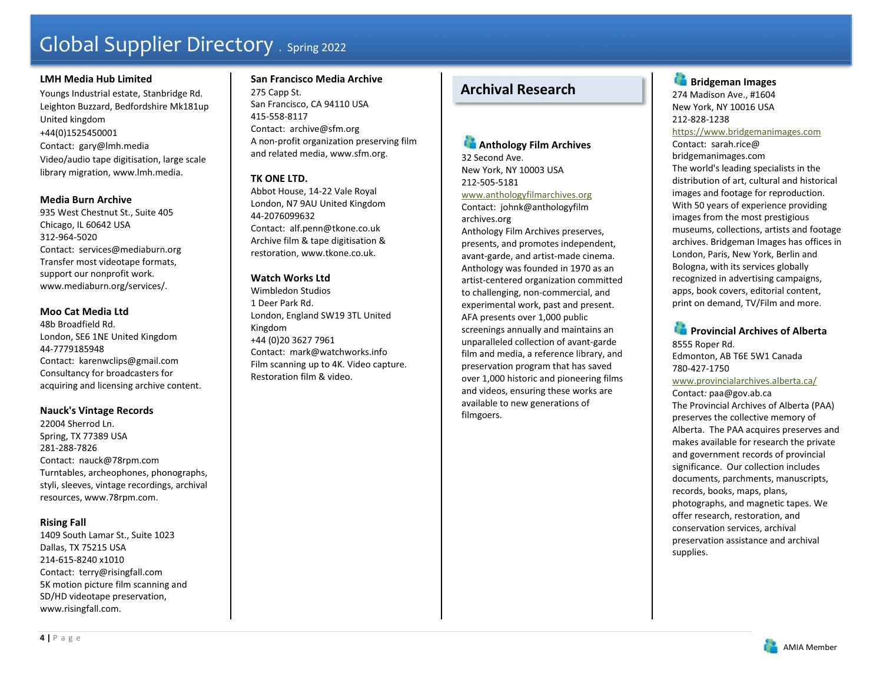#### **LMH Media Hub Limited**

Youngs Industrial estate, Stanbridge Rd. Leighton Buzzard, Bedfordshire Mk181up United kingdom +44(0)1525450001 Contact: gary@lmh.media Video/audio tape digitisation, large scale library migration, www.lmh.media.

#### **Media Burn Archive**

935 West Chestnut St., Suite 405 Chicago, IL 60642 USA 312-964-5020 Contact: services@mediaburn.org Transfer most videotape formats, support our nonprofit work. www.mediaburn.org/services/.

#### **Moo Cat Media Ltd**

48b Broadfield Rd. London, SE6 1NE United Kingdom 44-7779185948 Contact: karenwclips@gmail.com Consultancy for broadcasters for acquiring and licensing archive content.

#### **Nauck's Vintage Records**

22004 Sherrod Ln. Spring, TX 77389 USA 281-288-7826 Contact: nauck@78rpm.com Turntables, archeophones, phonographs, styli, sleeves, vintage recordings, archival resources, www.78rpm.com.

### **Rising Fall**

1409 South Lamar St., Suite 1023 Dallas, TX 75215 USA 214-615-8240 x1010 Contact: terry@risingfall.com 5K motion picture film scanning and SD/HD videotape preservation, www.risingfall.com.

**San Francisco Media Archive** 275 Capp St. San Francisco, CA 94110 USA 415-558-8117 Contact: archive@sfm.org A non-profit organization preserving film and related media, www.sfm.org.

# **TK ONE LTD.**

Abbot House, 14-22 Vale Royal London, N7 9AU United Kingdom 44-2076099632 Contact: alf.penn@tkone.co.uk Archive film & tape digitisation & restoration, www.tkone.co.uk.

### **Watch Works Ltd**

Wimbledon Studios 1 Deer Park Rd. London, England SW19 3TL United Kingdom +44 (0)20 3627 7961 Contact: mark@watchworks.info Film scanning up to 4K. Video capture. Restoration film & video.

# **Archival Research**

**Anthology Film Archives** 32 Second Ave. New York, NY 10003 USA 212-505-5181 www.anthologyfilmarchives.org

Contact: johnk@anthologyfilm archives.org

Anthology Film Archives preserves, presents, and promotes independent, avant-garde, and artist-made cinema. Anthology was founded in 1970 as an artist-centered organization committed to challenging, non-commercial, and experimental work, past and present. AFA presents over 1,000 public screenings annually and maintains an unparalleled collection of avant-garde film and media, a reference library, and preservation program that has saved over 1,000 historic and pioneering films and videos, ensuring these works are available to new generations of filmgoers.

**Bridgeman Images** 274 Madison Ave., #1604 New York, NY 10016 USA 212-828-1238 https://www.bridgemanimages.com Contact: sarah.rice@ bridgemanimages.com The world's leading specialists in the distribution of art, cultural and historical images and footage for reproduction. With 50 years of experience providing images from the most prestigious museums, collections, artists and footage archives. Bridgeman Images has offices in London, Paris, New York, Berlin and Bologna, with its services globally recognized in advertising campaigns, apps, book covers, editorial content, print on demand, TV/Film and more.

**Provincial Archives of Alberta** 8555 Roper Rd. Edmonton, AB T6E 5W1 Canada 780-427-1750 www.provincialarchives.alberta.ca/ Contact*:* paa@gov.ab.ca The Provincial Archives of Alberta (PAA) preserves the collective memory of Alberta. The PAA acquires preserves and makes available for research the private and government records of provincial significance. Our collection includes documents, parchments, manuscripts, records, books, maps, plans, photographs, and magnetic tapes. We offer research, restoration, and conservation services, archival preservation assistance and archival supplies.

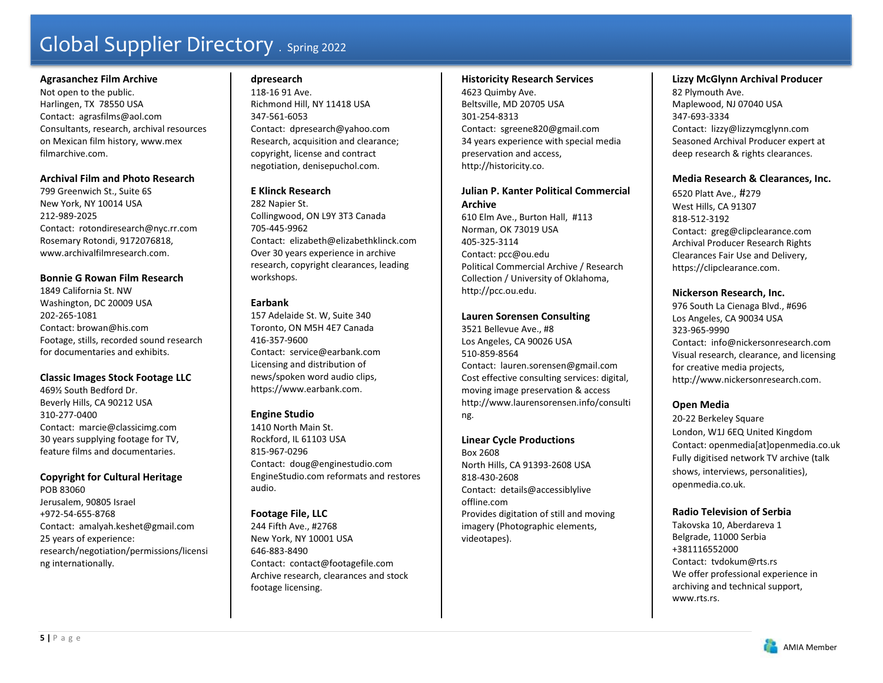#### **Agrasanchez Film Archive**

Not open to the public. Harlingen, TX 78550 USA Contact: agrasfilms@aol.com Consultants, research, archival resources on Mexican film history, www.mex filmarchive.com.

### **Archival Film and Photo Research**

799 Greenwich St., Suite 6S New York, NY 10014 USA 212-989-2025 Contact: rotondiresearch@nyc.rr.com Rosemary Rotondi, 9172076818, www.archivalfilmresearch.com.

# **Bonnie G Rowan Film Research**

1849 California St. NW Washington, DC 20009 USA 202-265-1081 Contact: browan@his.com Footage, stills, recorded sound research for documentaries and exhibits.

### **Classic Images Stock Footage LLC**

469½ South Bedford Dr. Beverly Hills, CA 90212 USA 310-277-0400 Contact: marcie@classicimg.com 30 years supplying footage for TV, feature films and documentaries.

# **Copyright for Cultural Heritage**

POB 83060 Jerusalem, 90805 Israel +972-54-655-8768 Contact: amalyah.keshet@gmail.com 25 years of experience: research/negotiation/permissions/licensi ng internationally.

# **dpresearch**

118-16 91 Ave. Richmond Hill, NY 11418 USA 347-561-6053 Contact: dpresearch@yahoo.com Research, acquisition and clearance; copyright, license and contract negotiation, denisepuchol.com.

# **E Klinck Research**

282 Napier St. Collingwood, ON L9Y 3T3 Canada 705-445-9962 Contact: elizabeth@elizabethklinck.com Over 30 years experience in archive research, copyright clearances, leading workshops.

# **Earbank**

157 Adelaide St. W, Suite 340 Toronto, ON M5H 4E7 Canada 416-357-9600 Contact: service@earbank.com Licensing and distribution of news/spoken word audio clips, https://www.earbank.com.

# **Engine Studio**

1410 North Main St. Rockford, IL 61103 USA 815-967-0296 Contact: doug@enginestudio.com EngineStudio.com reformats and restores audio.

# **Footage File, LLC**

244 Fifth Ave., #2768 New York, NY 10001 USA 646-883-8490 Contact: contact@footagefile.com Archive research, clearances and stock footage licensing.

#### **Historicity Research Services**

4623 Quimby Ave. Beltsville, MD 20705 USA 301-254-8313 Contact: sgreene820@gmail.com 34 years experience with special media preservation and access, http://historicity.co.

# **Julian P. Kanter Political Commercial Archive**

610 Elm Ave., Burton Hall, #113 Norman, OK 73019 USA 405-325-3114Contact: pcc@ou.edu Political Commercial Archive / Research Collection / University of Oklahoma, http://pcc.ou.edu.

### **Lauren Sorensen Consulting**

3521 Bellevue Ave., #8 Los Angeles, CA 90026 USA 510-859-8564 Contact: lauren.sorensen@gmail.com Cost effective consulting services: digital, moving image preservation & access http://www.laurensorensen.info/consulti ng.

### **Linear Cycle Productions**

Box 2608 North Hills, CA 91393-2608 USA 818-430-2608 Contact: details@accessiblylive offline.com Provides digitation of still and moving imagery (Photographic elements, videotapes).

# **Lizzy McGlynn Archival Producer**

82 Plymouth Ave. Maplewood, NJ 07040 USA 347-693-3334 Contact: lizzy@lizzymcglynn.com Seasoned Archival Producer expert at deep research & rights clearances.

# **Media Research & Clearances, Inc.**

6520 Platt Ave., #279 West Hills, CA 91307 818-512-3192 Contact: greg@clipclearance.com Archival Producer Research Rights Clearances Fair Use and Delivery, https://clipclearance.com.

# **Nickerson Research, Inc.**

976 South La Cienaga Blvd., #696 Los Angeles, CA 90034 USA 323-965-9990 Contact: info@nickersonresearch.com Visual research, clearance, and licensing for creative media projects, http://www.nickersonresearch.com.

# **Open Media**

20-22 Berkeley Square London, W1J 6EQ United Kingdom Contact: openmedia[at]openmedia.co.uk Fully digitised network TV archive (talk shows, interviews, personalities), openmedia.co.uk.

### **Radio Television of Serbia**

Takovska 10, Aberdareva 1 Belgrade, 11000 Serbia +381116552000 Contact: tvdokum@rts.rs We offer professional experience in archiving and technical support, www.rts.rs.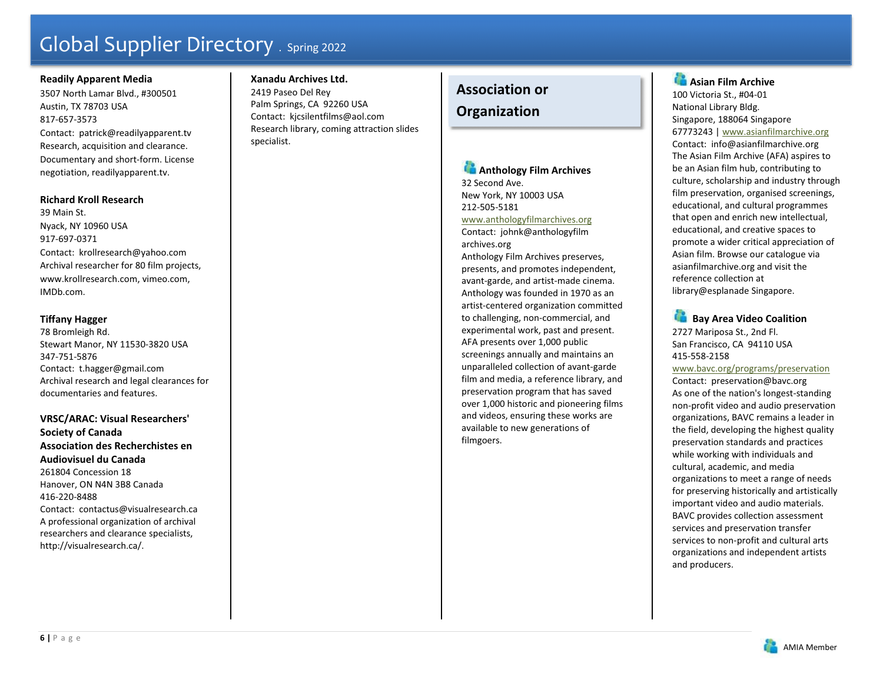# **Readily Apparent Media**

3507 North Lamar Blvd., #300501 Austin, TX 78703 USA 817-657-3573 Contact: patrick@readilyapparent.tv Research, acquisition and clearance. Documentary and short-form. License negotiation, readilyapparent.tv.

#### **Richard Kroll Research**

39 Main St. Nyack, NY 10960 USA 917-697-0371 Contact: krollresearch@yahoo.com Archival researcher for 80 film projects, www.krollresearch.com, vimeo.com, IMDb.com.

# **Tiffany Hagger**

78 Bromleigh Rd. Stewart Manor, NY 11530-3820 USA 347-751-5876 Contact: t.hagger@gmail.com Archival research and legal clearances for documentaries and features.

**VRSC/ARAC: Visual Researchers' Society of Canada Association des Recherchistes en Audiovisuel du Canada** 

261804 Concession 18 Hanover, ON N4N 3B8 Canada 416-220-8488 Contact: contactus@visualresearch.ca A professional organization of archival researchers and clearance specialists, http://visualresearch.ca/.

# **Xanadu Archives Ltd.**

2419 Paseo Del Rey Palm Springs, CA 92260 USA Contact: kjcsilentfilms@aol.com Research library, coming attraction slides specialist.

# **Association or**

# **Organization**

**Anthology Film Archives** 32 Second Ave. New York, NY 10003 USA 212-505-5181 www.anthologyfilmarchives.org Contact: johnk@anthologyfilm archives.org Anthology Film Archives preserves, presents, and promotes independent, avant-garde, and artist-made cinema. Anthology was founded in 1970 as an artist-centered organization committed to challenging, non-commercial, and experimental work, past and present. AFA presents over 1,000 public screenings annually and maintains an unparalleled collection of avant-garde film and media, a reference library, and preservation program that has saved over 1,000 historic and pioneering films and videos, ensuring these works are

available to new generations of

filmgoers.

**Asian Film Archive** 100 Victoria St., #04-01 National Library Bldg. Singapore, 188064 Singapore 67773243 | www.asianfilmarchive.org Contact: info@asianfilmarchive.org The Asian Film Archive (AFA) aspires to be an Asian film hub, contributing to culture, scholarship and industry through film preservation, organised screenings, educational, and cultural programmes that open and enrich new intellectual, educational, and creative spaces to promote a wider critical appreciation of Asian film. Browse our catalogue via asianfilmarchive.org and visit the reference collection at library@esplanade Singapore.

 **Bay Area Video Coalition**  2727 Mariposa St., 2nd Fl. San Francisco, CA 94110 USA 415-558-2158

# www.bavc.org/programs/preservation

Contact: preservation@bavc.org As one of the nation's longest-standing non-profit video and audio preservation organizations, BAVC remains a leader in the field, developing the highest quality preservation standards and practices while working with individuals and cultural, academic, and media organizations to meet a range of needs for preserving historically and artistically important video and audio materials. BAVC provides collection assessment services and preservation transfer services to non-profit and cultural arts organizations and independent artists and producers.

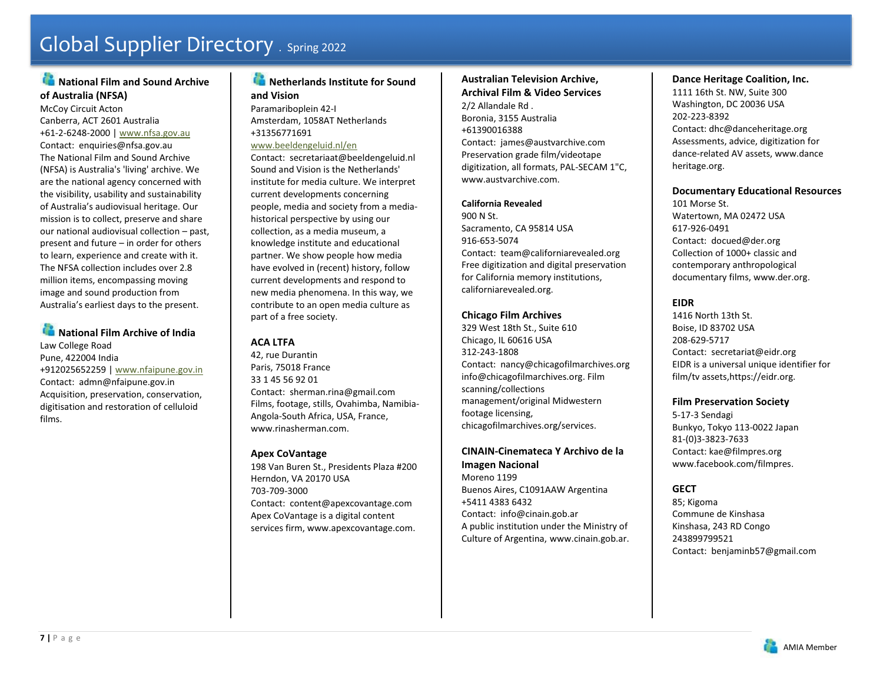# **National Film and Sound Archive of Australia (NFSA)**

McCoy Circuit Acton Canberra, ACT 2601 Australia +61-2-6248-2000 | www.nfsa.gov.au Contact: enquiries@nfsa.gov.au The National Film and Sound Archive (NFSA) is Australia's 'living' archive. We are the national agency concerned with the visibility, usability and sustainability of Australia's audiovisual heritage. Our mission is to collect, preserve and share our national audiovisual collection – past, present and future – in order for others to learn, experience and create with it. The NFSA collection includes over 2.8 million items, encompassing moving image and sound production from Australia's earliest days to the present.

# **National Film Archive of India** Law College Road Pune, 422004 India

+912025652259 | www.nfaipune.gov.in Contact: admn@nfaipune.gov.in Acquisition, preservation, conservation, digitisation and restoration of celluloid films.

# **Netherlands Institute for Sound and Vision** Paramariboplein 42-I

Amsterdam, 1058AT Netherlands +31356771691

www.beeldengeluid.nl/en Contact: secretariaat@beeldengeluid.nl Sound and Vision is the Netherlands' institute for media culture. We interpret current developments concerning people, media and society from a mediahistorical perspective by using our collection, as a media museum, a knowledge institute and educational partner. We show people how media have evolved in (recent) history, follow current developments and respond to new media phenomena. In this way, we contribute to an open media culture as part of a free society.

# **ACA LTFA**

42, rue Durantin Paris, 75018 France 33 1 45 56 92 01 Contact: sherman.rina@gmail.com Films, footage, stills, Ovahimba, Namibia-Angola-South Africa, USA, France, www.rinasherman.com.

# **Apex CoVantage**

198 Van Buren St., Presidents Plaza #200 Herndon, VA 20170 USA 703-709-3000 Contact: content@apexcovantage.com Apex CoVantage is a digital content services firm, www.apexcovantage.com.

# **Australian Television Archive, Archival Film & Video Services**

2/2 Allandale Rd . Boronia, 3155 Australia +61390016388 Contact: james@austvarchive.com Preservation grade film/videotape digitization, all formats, PAL-SECAM 1"C, www.austvarchive.com.

# **California Revealed**

900 N St. Sacramento, CA 95814 USA 916-653-5074 Contact: team@californiarevealed.org Free digitization and digital preservation for California memory institutions, californiarevealed.org.

# **Chicago Film Archives**

329 West 18th St., Suite 610 Chicago, IL 60616 USA 312-243-1808 Contact: nancy@chicagofilmarchives.org info@chicagofilmarchives.org. Film scanning/collections management/original Midwestern footage licensing, chicagofilmarchives.org/services.

# **CINAIN-Cinemateca Y Archivo de la Imagen Nacional**

Moreno 1199 Buenos Aires, C1091AAW Argentina +5411 4383 6432 Contact: info@cinain.gob.ar A public institution under the Ministry of Culture of Argentina, www.cinain.gob.ar.

# **Dance Heritage Coalition, Inc.**

1111 16th St. NW, Suite 300 Washington, DC 20036 USA 202-223-8392 Contact: dhc@danceheritage.org Assessments, advice, digitization for dance-related AV assets, www.dance heritage.org.

# **Documentary Educational Resources**

101 Morse St. Watertown, MA 02472 USA 617-926-0491 Contact: docued@der.org Collection of 1000+ classic and contemporary anthropological documentary films, www.der.org.

# **EIDR**

1416 North 13th St. Boise, ID 83702 USA 208-629-5717 Contact: secretariat@eidr.org EIDR is a universal unique identifier for film/tv assets,https://eidr.org.

# **Film Preservation Society**

5-17-3 Sendagi Bunkyo, Tokyo 113-0022 Japan 81-(0)3-3823-7633 Contact: kae@filmpres.org www.facebook.com/filmpres.

# **GECT**

85; Kigoma Commune de Kinshasa Kinshasa, 243 RD Congo 243899799521 Contact: benjaminb57@gmail.com

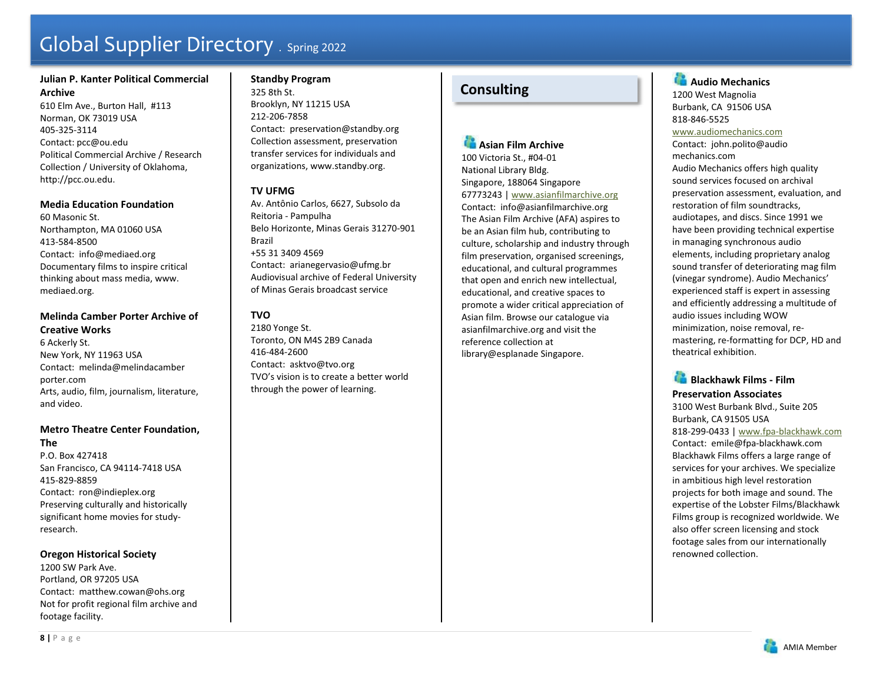# **Julian P. Kanter Political Commercial Archive**

610 Elm Ave., Burton Hall, #113 Norman, OK 73019 USA 405-325-3114Contact: pcc@ou.edu Political Commercial Archive / Research Collection / University of Oklahoma, http://pcc.ou.edu.

# **Media Education Foundation**

60 Masonic St. Northampton, MA 01060 USA 413-584-8500 Contact: info@mediaed.org Documentary films to inspire critical thinking about mass media, www. mediaed.org.

# **Melinda Camber Porter Archive of Creative Works**

6 Ackerly St. New York, NY 11963 USA Contact: melinda@melindacamber porter.com Arts, audio, film, journalism, literature, and video.

#### **Metro Theatre Center Foundation, The**

P.O. Box 427418 San Francisco, CA 94114-7418 USA 415-829-8859 Contact: ron@indieplex.org Preserving culturally and historically significant home movies for studyresearch.

### **Oregon Historical Society**

1200 SW Park Ave. Portland, OR 97205 USA Contact: matthew.cowan@ohs.org Not for profit regional film archive and footage facility.

# **Standby Program**

325 8th St. Brooklyn, NY 11215 USA 212-206-7858 Contact: preservation@standby.org Collection assessment, preservation transfer services for individuals and organizations, www.standby.org.

# **TV UFMG**

Av. Antônio Carlos, 6627, Subsolo da Reitoria - Pampulha Belo Horizonte, Minas Gerais 31270-901 Brazil +55 31 3409 4569 Contact: arianegervasio@ufmg.br Audiovisual archive of Federal University of Minas Gerais broadcast service

# **TVO**

2180 Yonge St. Toronto, ON M4S 2B9 Canada 416-484-2600 Contact: asktvo@tvo.org TVO's vision is to create a better world through the power of learning.

# **Consulting**

#### **Asian Film Archive**

100 Victoria St., #04-01 National Library Bldg. Singapore, 188064 Singapore 67773243 | www.asianfilmarchive.org Contact: info@asianfilmarchive.org The Asian Film Archive (AFA) aspires to be an Asian film hub, contributing to culture, scholarship and industry through film preservation, organised screenings, educational, and cultural programmes that open and enrich new intellectual, educational, and creative spaces to promote a wider critical appreciation of Asian film. Browse our catalogue via asianfilmarchive.org and visit the reference collection at library@esplanade Singapore.

# **Audio Mechanics** 1200 West Magnolia Burbank, CA 91506 USA 818-846-5525 www.audiomechanics.com

Contact: john.polito@audio mechanics.com Audio Mechanics offers high quality sound services focused on archival preservation assessment, evaluation, and restoration of film soundtracks, audiotapes, and discs. Since 1991 we have been providing technical expertise in managing synchronous audio elements, including proprietary analog sound transfer of deteriorating mag film (vinegar syndrome). Audio Mechanics' experienced staff is expert in assessing and efficiently addressing a multitude of audio issues including WOW minimization, noise removal, remastering, re-formatting for DCP, HD and theatrical exhibition.

# **Blackhawk Films - Film Preservation Associates** 3100 West Burbank Blvd., Suite 205 Burbank, CA 91505 USA 818-299-0433 | www.fpa-blackhawk.com Contact: emile@fpa-blackhawk.com Blackhawk Films offers a large range of services for your archives. We specialize in ambitious high level restoration projects for both image and sound. The expertise of the Lobster Films/Blackhawk Films group is recognized worldwide. We also offer screen licensing and stock footage sales from our internationally renowned collection.

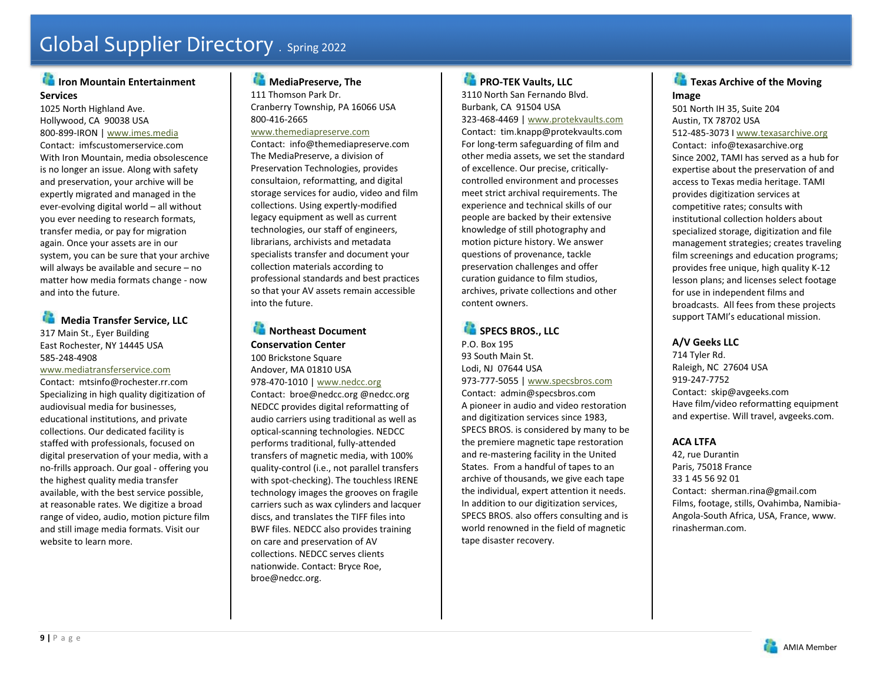# **Iron Mountain Entertainment Services**

1025 North Highland Ave. Hollywood, CA 90038 USA 800-899-IRON | www.imes.media Contact: imfscustomerservice.com With Iron Mountain, media obsolescence is no longer an issue. Along with safety and preservation, your archive will be expertly migrated and managed in the ever-evolving digital world – all without you ever needing to research formats, transfer media, or pay for migration again. Once your assets are in our system, you can be sure that your archive will always be available and secure – no matter how media formats change - now and into the future.

# **Media Transfer Service, LLC** 317 Main St., Eyer Building East Rochester, NY 14445 USA 585-248-4908

#### www.mediatransferservice.com

Contact: mtsinfo@rochester.rr.com Specializing in high quality digitization of audiovisual media for businesses, educational institutions, and private collections. Our dedicated facility is staffed with professionals, focused on digital preservation of your media, with a no-frills approach. Our goal - offering you the highest quality media transfer available, with the best service possible, at reasonable rates. We digitize a broad range of video, audio, motion picture film and still image media formats. Visit our website to learn more.

# **MediaPreserve, The**

111 Thomson Park Dr. Cranberry Township, PA 16066 USA 800-416-2665

#### www.themediapreserve.com

Contact: info@themediapreserve.com The MediaPreserve, a division of Preservation Technologies, provides consultaion, reformatting, and digital storage services for audio, video and film collections. Using expertly-modified legacy equipment as well as current technologies, our staff of engineers, librarians, archivists and metadata specialists transfer and document your collection materials according to professional standards and best practices so that your AV assets remain accessible into the future.

# **Northeast Document Conservation Center**

100 Brickstone Square Andover, MA 01810 USA 978-470-1010 | www.nedcc.org Contact: broe@nedcc.org @nedcc.org NEDCC provides digital reformatting of audio carriers using traditional as well as optical-scanning technologies. NEDCC performs traditional, fully-attended transfers of magnetic media, with 100% quality-control (i.e., not parallel transfers with spot-checking). The touchless IRENE technology images the grooves on fragile carriers such as wax cylinders and lacquer discs, and translates the TIFF files into BWF files. NEDCC also provides training on care and preservation of AV collections. NEDCC serves clients nationwide. Contact: Bryce Roe, broe@nedcc.org.

# **PRO-TEK Vaults, LLC**

3110 North San Fernando Blvd. Burbank, CA 91504 USA 323-468-4469 | www.protekvaults.com Contact: tim.knapp@protekvaults.com For long-term safeguarding of film and other media assets, we set the standard of excellence. Our precise, criticallycontrolled environment and processes meet strict archival requirements. The experience and technical skills of our people are backed by their extensive knowledge of still photography and motion picture history. We answer questions of provenance, tackle preservation challenges and offer curation guidance to film studios, archives, private collections and other content owners.



P.O. Box 195 93 South Main St. Lodi, NJ 07644 USA 973-777-5055 | www.specsbros.com Contact: admin@specsbros.com A pioneer in audio and video restoration and digitization services since 1983, SPECS BROS. is considered by many to be the premiere magnetic tape restoration and re-mastering facility in the United States. From a handful of tapes to an archive of thousands, we give each tape the individual, expert attention it needs. In addition to our digitization services, SPECS BROS. also offers consulting and is world renowned in the field of magnetic tape disaster recovery.



501 North IH 35, Suite 204 Austin, TX 78702 USA 512-485-3073 I www.texasarchive.org Contact: info@texasarchive.org Since 2002, TAMI has served as a hub for expertise about the preservation of and access to Texas media heritage. TAMI provides digitization services at competitive rates; consults with institutional collection holders about specialized storage, digitization and file management strategies; creates traveling film screenings and education programs; provides free unique, high quality K-12 lesson plans; and licenses select footage for use in independent films and broadcasts. All fees from these projects support TAMI's educational mission.

# **A/V Geeks LLC**

714 Tyler Rd. Raleigh, NC 27604 USA 919-247-7752 Contact: skip@avgeeks.com Have film/video reformatting equipment and expertise. Will travel, avgeeks.com.

# **ACA LTFA**

42, rue Durantin Paris, 75018 France 33 1 45 56 92 01 Contact: sherman.rina@gmail.com Films, footage, stills, Ovahimba, Namibia-Angola-South Africa, USA, France, www. rinasherman.com.

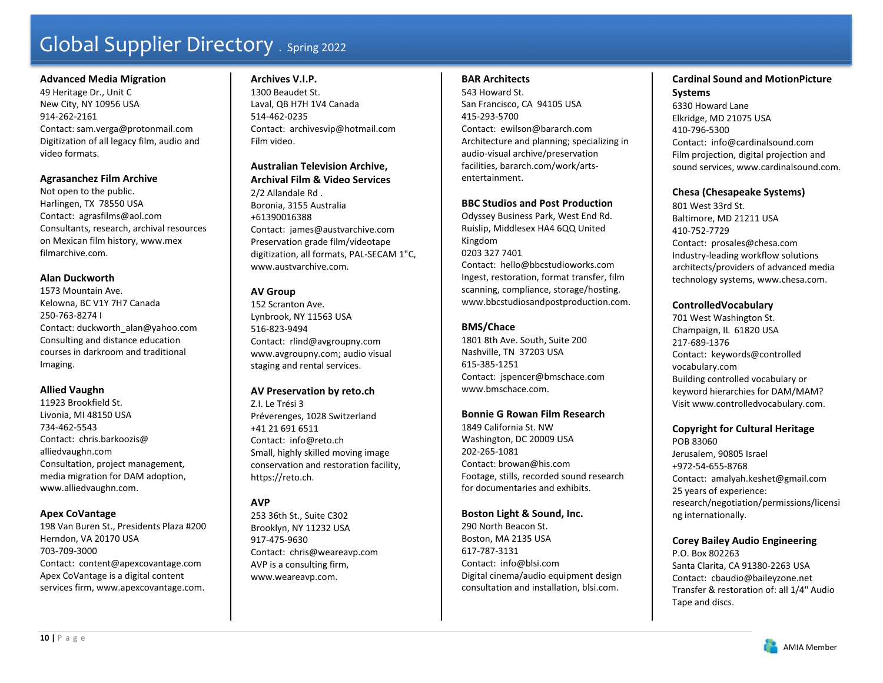#### **Advanced Media Migration**

49 Heritage Dr., Unit C New City, NY 10956 USA 914-262-2161 Contact: sam.verga@protonmail.com Digitization of all legacy film, audio and video formats.

#### **Agrasanchez Film Archive**

Not open to the public. Harlingen, TX 78550 USA Contact: agrasfilms@aol.com Consultants, research, archival resources on Mexican film history, www.mex filmarchive.com.

#### **Alan Duckworth**

1573 Mountain Ave. Kelowna, BC V1Y 7H7 Canada 250-763-8274 I Contact: duckworth\_alan@yahoo.com Consulting and distance education courses in darkroom and traditional Imaging.

### **Allied Vaughn**

11923 Brookfield St. Livonia, MI 48150 USA 734-462-5543 Contact: chris.barkoozis@ alliedvaughn.com Consultation, project management, media migration for DAM adoption, www.alliedvaughn.com.

#### **Apex CoVantage**

198 Van Buren St., Presidents Plaza #200 Herndon, VA 20170 USA 703-709-3000 Contact: content@apexcovantage.com Apex CoVantage is a digital content services firm, www.apexcovantage.com.

#### **Archives V.I.P.**

1300 Beaudet St. Laval, QB H7H 1V4 Canada 514-462-0235 Contact: archivesvip@hotmail.com Film video.

# **Australian Television Archive,**

**Archival Film & Video Services** 2/2 Allandale Rd . Boronia, 3155 Australia +61390016388 Contact: james@austvarchive.com Preservation grade film/videotape digitization, all formats, PAL-SECAM 1"C, www.austvarchive.com.

# **AV Group**

152 Scranton Ave. Lynbrook, NY 11563 USA 516-823-9494 Contact: rlind@avgroupny.com www.avgroupny.com; audio visual staging and rental services.

### **AV Preservation by reto.ch**

Z.I. Le Trési 3 Préverenges, 1028 Switzerland +41 21 691 6511 Contact: info@reto.ch Small, highly skilled moving image conservation and restoration facility, https://reto.ch.

# **AVP**

253 36th St., Suite C302 Brooklyn, NY 11232 USA 917-475-9630 Contact: chris@weareavp.com AVP is a consulting firm, www.weareavp.com.

#### **BAR Architects**

543 Howard St. San Francisco, CA 94105 USA 415-293-5700 Contact: ewilson@bararch.com Architecture and planning; specializing in audio-visual archive/preservation facilities, bararch.com/work/artsentertainment.

#### **BBC Studios and Post Production**

Odyssey Business Park, West End Rd. Ruislip, Middlesex HA4 6QQ United Kingdom 0203 327 7401 Contact: hello@bbcstudioworks.com Ingest, restoration, format transfer, film scanning, compliance, storage/hosting. www.bbcstudiosandpostproduction.com.

### **BMS/Chace**

1801 8th Ave. South, Suite 200 Nashville, TN 37203 USA 615-385-1251 Contact: jspencer@bmschace.com www.bmschace.com.

### **Bonnie G Rowan Film Research**

1849 California St. NW Washington, DC 20009 USA 202-265-1081 Contact: browan@his.com Footage, stills, recorded sound research for documentaries and exhibits.

### **Boston Light & Sound, Inc.**

290 North Beacon St. Boston, MA 2135 USA 617-787-3131 Contact: info@blsi.com Digital cinema/audio equipment design consultation and installation, blsi.com.

# **Cardinal Sound and MotionPicture Systems**  6330 Howard Lane Elkridge, MD 21075 USA 410-796-5300 Contact: info@cardinalsound.com Film projection, digital projection and sound services, www.cardinalsound.com.

# **Chesa (Chesapeake Systems)**

801 West 33rd St. Baltimore, MD 21211 USA 410-752-7729 Contact: prosales@chesa.com Industry-leading workflow solutions architects/providers of advanced media technology systems, www.chesa.com.

### **ControlledVocabulary**

701 West Washington St. Champaign, IL 61820 USA 217-689-1376 Contact: keywords@controlled vocabulary.com Building controlled vocabulary or keyword hierarchies for DAM/MAM? Visit www.controlledvocabulary.com.

### **Copyright for Cultural Heritage**

POB 83060 Jerusalem, 90805 Israel +972-54-655-8768 Contact: amalyah.keshet@gmail.com 25 years of experience: research/negotiation/permissions/licensi ng internationally.

# **Corey Bailey Audio Engineering**

P.O. Box 802263 Santa Clarita, CA 91380-2263 USA Contact: cbaudio@baileyzone.net Transfer & restoration of: all 1/4" Audio Tape and discs.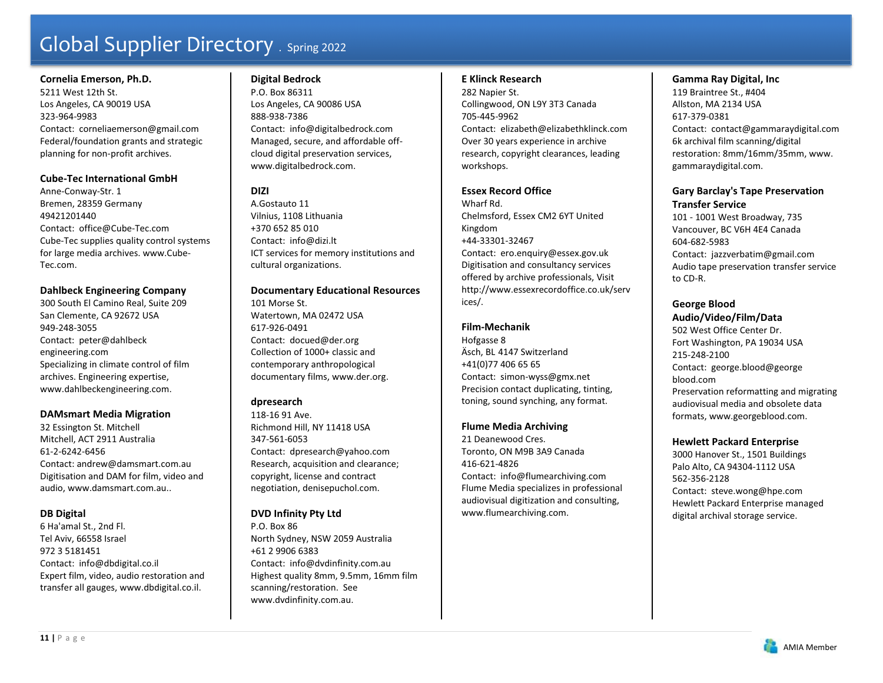**Cornelia Emerson, Ph.D.**  5211 West 12th St. Los Angeles, CA 90019 USA 323-964-9983 Contact: corneliaemerson@gmail.com Federal/foundation grants and strategic planning for non-profit archives.

### **Cube-Tec International GmbH**

Anne-Conway-Str. 1 Bremen, 28359 Germany 49421201440 Contact: office@Cube-Tec.com Cube-Tec supplies quality control systems for large media archives. www.Cube-Tec.com.

#### **Dahlbeck Engineering Company**

300 South El Camino Real, Suite 209 San Clemente, CA 92672 USA 949-248-3055 Contact: peter@dahlbeck engineering.com Specializing in climate control of film archives. Engineering expertise, www.dahlbeckengineering.com.

### **DAMsmart Media Migration**

32 Essington St. Mitchell Mitchell, ACT 2911 Australia 61-2-6242-6456 Contact: andrew@damsmart.com.au Digitisation and DAM for film, video and audio, www.damsmart.com.au..

### **DB Digital**

6 Ha'amal St., 2nd Fl. Tel Aviv, 66558 Israel 972 3 5181451 Contact: info@dbdigital.co.il Expert film, video, audio restoration and transfer all gauges, www.dbdigital.co.il.

#### **Digital Bedrock**

P.O. Box 86311 Los Angeles, CA 90086 USA 888-938-7386 Contact: info@digitalbedrock.com Managed, secure, and affordable offcloud digital preservation services, www.digitalbedrock.com.

# **DIZI**

A.Gostauto 11 Vilnius, 1108 Lithuania +370 652 85 010 Contact: info@dizi.lt ICT services for memory institutions and cultural organizations.

#### **Documentary Educational Resources**

101 Morse St. Watertown, MA 02472 USA 617-926-0491 Contact: docued@der.org Collection of 1000+ classic and contemporary anthropological documentary films, www.der.org.

### **dpresearch**

118-16 91 Ave. Richmond Hill, NY 11418 USA 347-561-6053 Contact: dpresearch@yahoo.com Research, acquisition and clearance; copyright, license and contract negotiation, denisepuchol.com.

### **DVD Infinity Pty Ltd**

P.O. Box 86 North Sydney, NSW 2059 Australia +61 2 9906 6383 Contact: info@dvdinfinity.com.au Highest quality 8mm, 9.5mm, 16mm film scanning/restoration. See www.dvdinfinity.com.au.

#### **E Klinck Research**

282 Napier St. Collingwood, ON L9Y 3T3 Canada 705-445-9962 Contact: elizabeth@elizabethklinck.com Over 30 years experience in archive research, copyright clearances, leading workshops.

### **Essex Record Office**

Wharf Rd. Chelmsford, Essex CM2 6YT United Kingdom +44-33301-32467 Contact: ero.enquiry@essex.gov.uk Digitisation and consultancy services offered by archive professionals, Visit http://www.essexrecordoffice.co.uk/serv ices/.

#### **Film-Mechanik**

Hofgasse 8 Äsch, BL 4147 Switzerland +41(0)77 406 65 65 Contact: simon-wyss@gmx.net Precision contact duplicating, tinting, toning, sound synching, any format.

#### **Flume Media Archiving**

21 Deanewood Cres. Toronto, ON M9B 3A9 Canada 416-621-4826 Contact: info@flumearchiving.com Flume Media specializes in professional audiovisual digitization and consulting, www.flumearchiving.com.

### **Gamma Ray Digital, Inc**

119 Braintree St., #404 Allston, MA 2134 USA 617-379-0381 Contact: contact@gammaraydigital.com 6k archival film scanning/digital restoration: 8mm/16mm/35mm, www. gammaraydigital.com.

# **Gary Barclay's Tape Preservation Transfer Service**

101 - 1001 West Broadway, 735 Vancouver, BC V6H 4E4 Canada 604-682-5983 Contact: jazzverbatim@gmail.com Audio tape preservation transfer service to CD-R.

# **George Blood**

**Audio/Video/Film/Data** 

502 West Office Center Dr. Fort Washington, PA 19034 USA 215-248-2100 Contact: george.blood@george blood.com Preservation reformatting and migrating audiovisual media and obsolete data formats, www.georgeblood.com.

### **Hewlett Packard Enterprise**

3000 Hanover St., 1501 Buildings Palo Alto, CA 94304-1112 USA 562-356-2128 Contact: steve.wong@hpe.com Hewlett Packard Enterprise managed digital archival storage service.

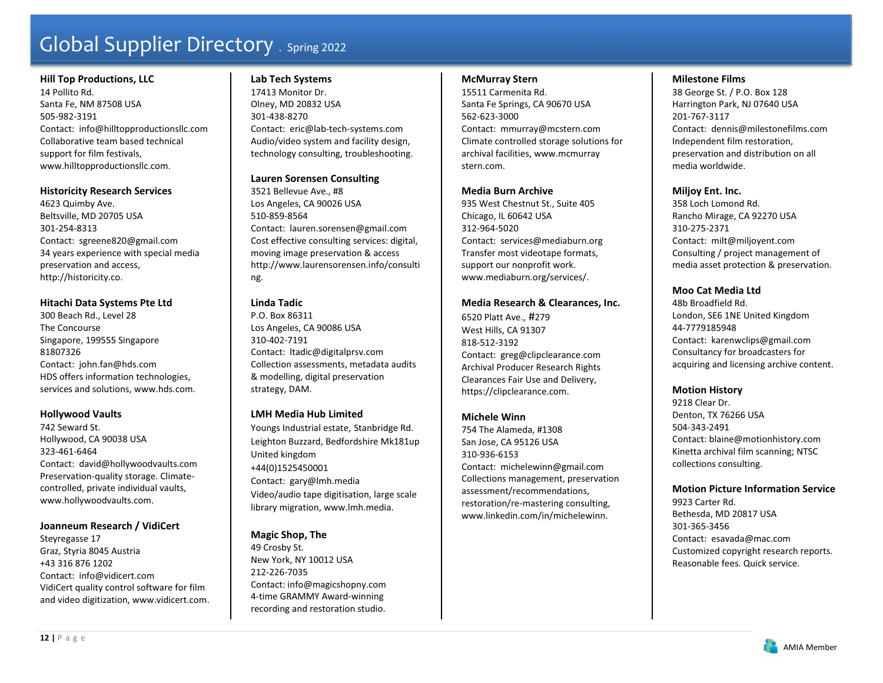### **Hill Top Productions, LLC**

14 Pollito Rd. Santa Fe, NM 87508 USA 505-982-3191 Contact: info@hilltopproductionsllc.com Collaborative team based technical support for film festivals, www.hilltopproductionsllc.com.

### **Historicity Research Services**

4623 Quimby Ave. Beltsville, MD 20705 USA 301-254-8313 Contact: sgreene820@gmail.com 34 years experience with special media preservation and access, http://historicity.co.

# **Hitachi Data Systems Pte Ltd**

300 Beach Rd., Level 28 The Concourse Singapore, 199555 Singapore 81807326 Contact: john.fan@hds.com HDS offers information technologies, services and solutions, www.hds.com.

# **Hollywood Vaults**

742 Seward St. Hollywood, CA 90038 USA 323-461-6464 Contact: david@hollywoodvaults.com Preservation-quality storage. Climatecontrolled, private individual vaults, www.hollywoodvaults.com.

### **Joanneum Research / VidiCert**

Steyregasse 17 Graz, Styria 8045 Austria +43 316 876 1202 Contact: info@vidicert.com VidiCert quality control software for film and video digitization, www.vidicert.com.

# **Lab Tech Systems**

17413 Monitor Dr. Olney, MD 20832 USA 301-438-8270 Contact: eric@lab-tech-systems.com Audio/video system and facility design, technology consulting, troubleshooting.

# **Lauren Sorensen Consulting**

3521 Bellevue Ave., #8 Los Angeles, CA 90026 USA 510-859-8564 Contact: lauren.sorensen@gmail.com Cost effective consulting services: digital, moving image preservation & access http://www.laurensorensen.info/consulti ng.

# **Linda Tadic**

P.O. Box 86311 Los Angeles, CA 90086 USA 310-402-7191 Contact: ltadic@digitalprsv.com Collection assessments, metadata audits & modelling, digital preservation strategy, DAM.

# **LMH Media Hub Limited**

Youngs Industrial estate, Stanbridge Rd. Leighton Buzzard, Bedfordshire Mk181up United kingdom +44(0)1525450001 Contact: gary@lmh.media Video/audio tape digitisation, large scale library migration, www.lmh.media.

# **Magic Shop, The**

49 Crosby St. New York, NY 10012 USA 212-226-7035 Contact: info@magicshopny.com 4-time GRAMMY Award-winning recording and restoration studio.

### **McMurray Stern**

15511 Carmenita Rd. Santa Fe Springs, CA 90670 USA 562-623-3000 Contact: mmurray@mcstern.com Climate controlled storage solutions for archival facilities, www.mcmurray stern.com.

# **Media Burn Archive**

935 West Chestnut St., Suite 405 Chicago, IL 60642 USA 312-964-5020 Contact: services@mediaburn.org Transfer most videotape formats, support our nonprofit work. www.mediaburn.org/services/.

# **Media Research & Clearances, Inc.**

6520 Platt Ave., #279 West Hills, CA 91307 818-512-3192 Contact: greg@clipclearance.com Archival Producer Research Rights Clearances Fair Use and Delivery, https://clipclearance.com.

# **Michele Winn**

754 The Alameda, #1308 San Jose, CA 95126 USA 310-936-6153 Contact: michelewinn@gmail.com Collections management, preservation assessment/recommendations, restoration/re-mastering consulting, www.linkedin.com/in/michelewinn.

### **Milestone Films**

38 George St. / P.O. Box 128 Harrington Park, NJ 07640 USA 201-767-3117 Contact: dennis@milestonefilms.com Independent film restoration, preservation and distribution on all media worldwide.

# **Miljoy Ent. Inc.**

358 Loch Lomond Rd. Rancho Mirage, CA 92270 USA 310-275-2371 Contact: milt@miljoyent.com Consulting / project management of media asset protection & preservation.

# **Moo Cat Media Ltd**

48b Broadfield Rd. London, SE6 1NE United Kingdom 44-7779185948 Contact: karenwclips@gmail.com Consultancy for broadcasters for acquiring and licensing archive content.

# **Motion History**

9218 Clear Dr. Denton, TX 76266 USA 504-343-2491 Contact: blaine@motionhistory.com Kinetta archival film scanning; NTSC collections consulting.

### **Motion Picture Information Service**

9923 Carter Rd. Bethesda, MD 20817 USA 301-365-3456 Contact: esavada@mac.com Customized copyright research reports. Reasonable fees. Quick service.

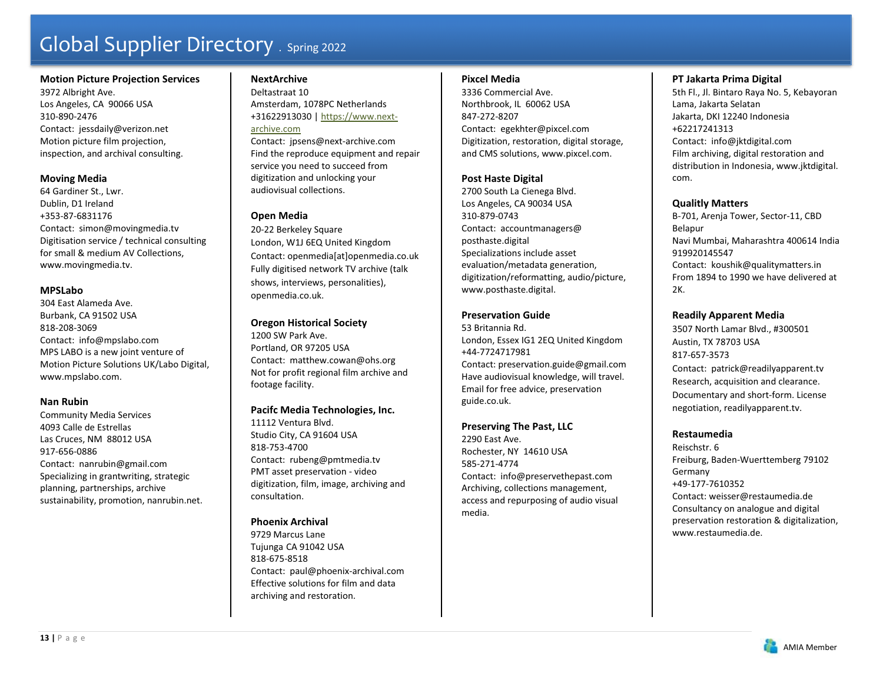#### **Motion Picture Projection Services**

3972 Albright Ave. Los Angeles, CA 90066 USA 310-890-2476 Contact: jessdaily@verizon.net Motion picture film projection, inspection, and archival consulting.

#### **Moving Media**

64 Gardiner St., Lwr. Dublin, D1 Ireland +353-87-6831176 Contact: simon@movingmedia.tv Digitisation service / technical consulting for small & medium AV Collections, www.movingmedia.tv.

### **MPSLabo**

304 East Alameda Ave. Burbank, CA 91502 USA 818-208-3069 Contact: info@mpslabo.com MPS LABO is a new joint venture of Motion Picture Solutions UK/Labo Digital, www.mpslabo.com.

### **Nan Rubin**

Community Media Services 4093 Calle de Estrellas Las Cruces, NM 88012 USA 917-656-0886 Contact: nanrubin@gmail.com Specializing in grantwriting, strategic planning, partnerships, archive sustainability, promotion, nanrubin.net.

# **NextArchive**

Deltastraat 10 Amsterdam, 1078PC Netherlands +31622913030 | https://www.next-

#### archive.com

Contact: jpsens@next-archive.com Find the reproduce equipment and repair service you need to succeed from digitization and unlocking your audiovisual collections.

# **Open Media**

20-22 Berkeley Square London, W1J 6EQ United Kingdom Contact: openmedia[at]openmedia.co.uk Fully digitised network TV archive (talk shows, interviews, personalities), openmedia.co.uk.

# **Oregon Historical Society**

1200 SW Park Ave. Portland, OR 97205 USA Contact: matthew.cowan@ohs.org Not for profit regional film archive and footage facility.

### **Pacifc Media Technologies, Inc.**

11112 Ventura Blvd. Studio City, CA 91604 USA 818-753-4700 Contact: rubeng@pmtmedia.tv PMT asset preservation - video digitization, film, image, archiving and consultation.

# **Phoenix Archival**

9729 Marcus Lane Tujunga CA 91042 USA 818-675-8518 Contact: paul@phoenix-archival.com Effective solutions for film and data archiving and restoration.

#### **Pixcel Media**

3336 Commercial Ave. Northbrook, IL 60062 USA 847-272-8207 Contact: egekhter@pixcel.com Digitization, restoration, digital storage, and CMS solutions, www.pixcel.com.

# **Post Haste Digital**

2700 South La Cienega Blvd. Los Angeles, CA 90034 USA 310-879-0743Contact: accountmanagers@ posthaste.digital Specializations include asset evaluation/metadata generation, digitization/reformatting, audio/picture, www.posthaste.digital.

# **Preservation Guide**

53 Britannia Rd. London, Essex IG1 2EQ United Kingdom +44-7724717981 Contact: preservation.guide@gmail.com Have audiovisual knowledge, will travel. Email for free advice, preservation guide.co.uk.

### **Preserving The Past, LLC**

2290 East Ave. Rochester, NY 14610 USA 585-271-4774 Contact: info@preservethepast.com Archiving, collections management, access and repurposing of audio visual media.

# **PT Jakarta Prima Digital**

5th Fl., Jl. Bintaro Raya No. 5, Kebayoran Lama, Jakarta Selatan Jakarta, DKI 12240 Indonesia +62217241313 Contact: info@jktdigital.com Film archiving, digital restoration and distribution in Indonesia, www.jktdigital. com.

# **Qualitly Matters**

B-701, Arenja Tower, Sector-11, CBD Belapur Navi Mumbai, Maharashtra 400614 India 919920145547 Contact: koushik@qualitymatters.in From 1894 to 1990 we have delivered at  $2K$ .

# **Readily Apparent Media**

3507 North Lamar Blvd., #300501 Austin, TX 78703 USA 817-657-3573 Contact: patrick@readilyapparent.tv Research, acquisition and clearance. Documentary and short-form. License negotiation, readilyapparent.tv.

### **Restaumedia**

Reischstr. 6 Freiburg, Baden-Wuerttemberg 79102 Germany +49-177-7610352 Contact: weisser@restaumedia.de Consultancy on analogue and digital preservation restoration & digitalization, www.restaumedia.de.

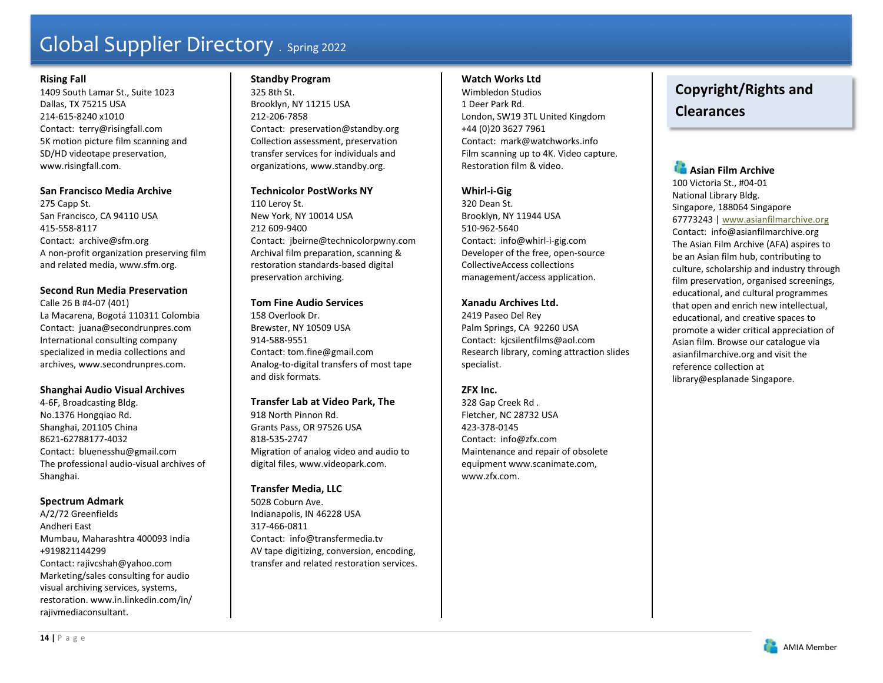### **Rising Fall**

1409 South Lamar St., Suite 1023 Dallas, TX 75215 USA 214-615-8240 x1010 Contact: terry@risingfall.com 5K motion picture film scanning and SD/HD videotape preservation, www.risingfall.com.

# **San Francisco Media Archive**

275 Capp St. San Francisco, CA 94110 USA 415-558-8117 Contact: archive@sfm.org A non-profit organization preserving film and related media, www.sfm.org.

# **Second Run Media Preservation**

Calle 26 B #4-07 (401) La Macarena, Bogotá 110311 Colombia Contact: juana@secondrunpres.com International consulting company specialized in media collections and archives, www.secondrunpres.com.

# **Shanghai Audio Visual Archives**

4-6F, Broadcasting Bldg. No.1376 Hongqiao Rd. Shanghai, 201105 China 8621-62788177-4032 Contact: bluenesshu@gmail.com The professional audio-visual archives of Shanghai.

# **Spectrum Admark**

A/2/72 Greenfields Andheri East Mumbau, Maharashtra 400093 India +919821144299 Contact: rajivcshah@yahoo.com Marketing/sales consulting for audio visual archiving services, systems, restoration. www.in.linkedin.com/in/ rajivmediaconsultant.

# **Standby Program**

325 8th St. Brooklyn, NY 11215 USA 212-206-7858 Contact: preservation@standby.org Collection assessment, preservation transfer services for individuals and organizations, www.standby.org.

# **Technicolor PostWorks NY**

110 Leroy St. New York, NY 10014 USA 212 609-9400Contact: jbeirne@technicolorpwny.com Archival film preparation, scanning & restoration standards-based digital preservation archiving.

# **Tom Fine Audio Services**

158 Overlook Dr. Brewster, NY 10509 USA 914-588-9551 Contact: tom.fine@gmail.com Analog-to-digital transfers of most tape and disk formats.

# **Transfer Lab at Video Park, The**

918 North Pinnon Rd. Grants Pass, OR 97526 USA 818-535-2747 Migration of analog video and audio to digital files, www.videopark.com.

# **Transfer Media, LLC**

5028 Coburn Ave. Indianapolis, IN 46228 USA 317-466-0811 Contact: info@transfermedia.tv AV tape digitizing, conversion, encoding, transfer and related restoration services.

# **Watch Works Ltd**

Wimbledon Studios 1 Deer Park Rd. London, SW19 3TL United Kingdom +44 (0)20 3627 7961 Contact: mark@watchworks.info Film scanning up to 4K. Video capture. Restoration film & video.

# **Whirl-i-Gig**

320 Dean St. Brooklyn, NY 11944 USA 510-962-5640 Contact: info@whirl-i-gig.com Developer of the free, open-source CollectiveAccess collections management/access application.

# **Xanadu Archives Ltd.**

2419 Paseo Del Rey Palm Springs, CA 92260 USA Contact: kjcsilentfilms@aol.com Research library, coming attraction slides specialist.

# **ZFX Inc.**

328 Gap Creek Rd . Fletcher, NC 28732 USA 423-378-0145 Contact: info@zfx.com Maintenance and repair of obsolete equipment www.scanimate.com, www.zfx.com.

# **Copyright/Rights and Clearances**

# **Asian Film Archive**

100 Victoria St., #04-01 National Library Bldg. Singapore, 188064 Singapore 67773243 | www.asianfilmarchive.org Contact: info@asianfilmarchive.org The Asian Film Archive (AFA) aspires to be an Asian film hub, contributing to culture, scholarship and industry through film preservation, organised screenings, educational, and cultural programmes that open and enrich new intellectual, educational, and creative spaces to promote a wider critical appreciation of Asian film. Browse our catalogue via asianfilmarchive.org and visit the reference collection at library@esplanade Singapore.

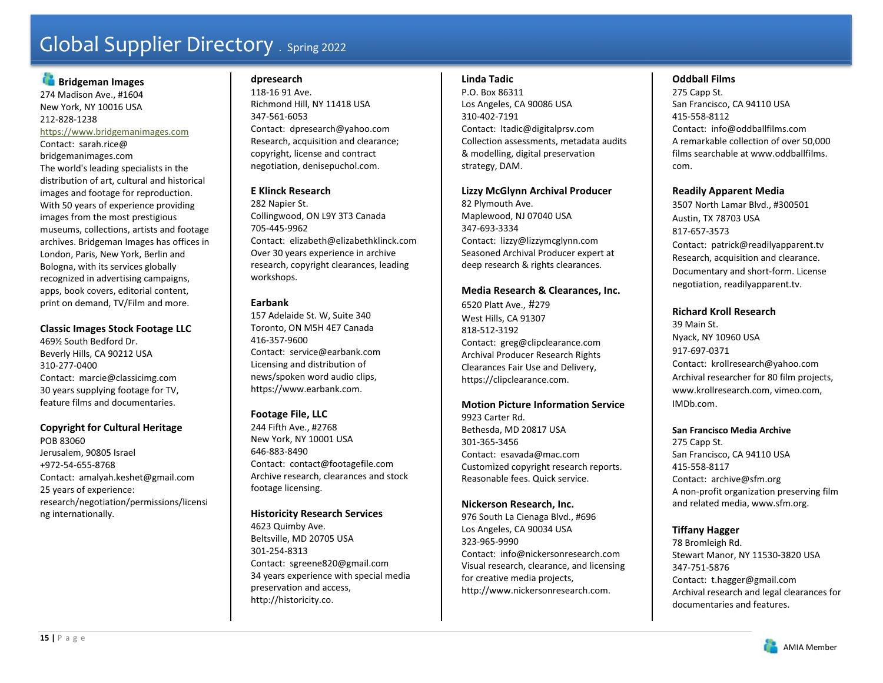# **Bridgeman Images**

274 Madison Ave., #1604 New York, NY 10016 USA 212-828-1238 https://www.bridgemanimages.com Contact: sarah.rice@ bridgemanimages.com The world's leading specialists in the distribution of art, cultural and historical images and footage for reproduction. With 50 years of experience providing images from the most prestigious museums, collections, artists and footage archives. Bridgeman Images has offices in London, Paris, New York, Berlin and Bologna, with its services globally recognized in advertising campaigns, apps, book covers, editorial content, print on demand, TV/Film and more.

# **Classic Images Stock Footage LLC**

469½ South Bedford Dr. Beverly Hills, CA 90212 USA 310-277-0400 Contact: marcie@classicimg.com 30 years supplying footage for TV, feature films and documentaries.

# **Copyright for Cultural Heritage**

POB 83060 Jerusalem, 90805 Israel +972-54-655-8768 Contact: amalyah.keshet@gmail.com 25 years of experience: research/negotiation/permissions/licensi ng internationally.

# **dpresearch**

118-16 91 Ave. Richmond Hill, NY 11418 USA 347-561-6053 Contact: dpresearch@yahoo.com Research, acquisition and clearance; copyright, license and contract negotiation, denisepuchol.com.

# **E Klinck Research**

282 Napier St. Collingwood, ON L9Y 3T3 Canada 705-445-9962 Contact: elizabeth@elizabethklinck.com Over 30 years experience in archive research, copyright clearances, leading workshops.

# **Earbank**

157 Adelaide St. W, Suite 340 Toronto, ON M5H 4E7 Canada 416-357-9600 Contact: service@earbank.com Licensing and distribution of news/spoken word audio clips, https://www.earbank.com.

# **Footage File, LLC**

244 Fifth Ave., #2768 New York, NY 10001 USA 646-883-8490 Contact: contact@footagefile.com Archive research, clearances and stock footage licensing.

# **Historicity Research Services**

4623 Quimby Ave. Beltsville, MD 20705 USA 301-254-8313 Contact: sgreene820@gmail.com 34 years experience with special media preservation and access, http://historicity.co.

# **Linda Tadic**

P.O. Box 86311 Los Angeles, CA 90086 USA 310-402-7191 Contact: ltadic@digitalprsv.com Collection assessments, metadata audits & modelling, digital preservation strategy, DAM.

### **Lizzy McGlynn Archival Producer**

82 Plymouth Ave. Maplewood, NJ 07040 USA 347-693-3334 Contact: lizzy@lizzymcglynn.com Seasoned Archival Producer expert at deep research & rights clearances.

# **Media Research & Clearances, Inc.**

6520 Platt Ave., #279 West Hills, CA 91307 818-512-3192 Contact: greg@clipclearance.com Archival Producer Research Rights Clearances Fair Use and Delivery, https://clipclearance.com.

### **Motion Picture Information Service**

9923 Carter Rd. Bethesda, MD 20817 USA 301-365-3456 Contact: esavada@mac.com Customized copyright research reports. Reasonable fees. Quick service.

### **Nickerson Research, Inc.**

976 South La Cienaga Blvd., #696 Los Angeles, CA 90034 USA 323-965-9990 Contact: info@nickersonresearch.com Visual research, clearance, and licensing for creative media projects, http://www.nickersonresearch.com.

# **Oddball Films**

275 Capp St. San Francisco, CA 94110 USA 415-558-8112 Contact: info@oddballfilms.com A remarkable collection of over 50,000 films searchable at www.oddballfilms. com.

### **Readily Apparent Media**

3507 North Lamar Blvd., #300501 Austin, TX 78703 USA 817-657-3573 Contact: patrick@readilyapparent.tv Research, acquisition and clearance. Documentary and short-form. License negotiation, readilyapparent.tv.

# **Richard Kroll Research**

39 Main St. Nyack, NY 10960 USA 917-697-0371 Contact: krollresearch@yahoo.com Archival researcher for 80 film projects, www.krollresearch.com, vimeo.com, IMDb.com.

#### **San Francisco Media Archive**

275 Capp St. San Francisco, CA 94110 USA 415-558-8117 Contact: archive@sfm.org A non-profit organization preserving film and related media, www.sfm.org.

# **Tiffany Hagger**

78 Bromleigh Rd. Stewart Manor, NY 11530-3820 USA 347-751-5876 Contact: t.hagger@gmail.com Archival research and legal clearances for documentaries and features.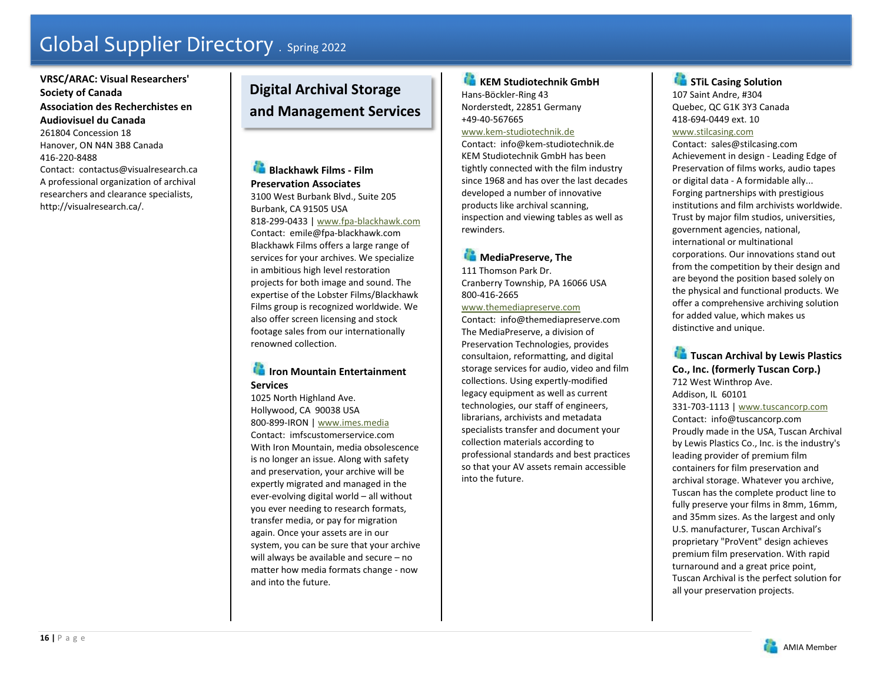# **VRSC/ARAC: Visual Researchers' Society of Canada Association des Recherchistes en Audiovisuel du Canada** 261804 Concession 18

Hanover, ON N4N 3B8 Canada 416-220-8488 Contact: contactus@visualresearch.ca A professional organization of archival researchers and clearance specialists,

http://visualresearch.ca/.

# **Digital Archival Storage and Management Services**

**Blackhawk Films - Film Preservation Associates** 3100 West Burbank Blvd., Suite 205 Burbank, CA 91505 USA 818-299-0433 | www.fpa-blackhawk.com Contact: emile@fpa-blackhawk.com Blackhawk Films offers a large range of services for your archives. We specialize in ambitious high level restoration projects for both image and sound. The expertise of the Lobster Films/Blackhawk

Films group is recognized worldwide. We also offer screen licensing and stock footage sales from our internationally renowned collection.

# **Iron Mountain Entertainment Services**

1025 North Highland Ave. Hollywood, CA 90038 USA 800-899-IRON | www.imes.media Contact: imfscustomerservice.com With Iron Mountain, media obsolescence is no longer an issue. Along with safety and preservation, your archive will be expertly migrated and managed in the ever-evolving digital world – all without you ever needing to research formats, transfer media, or pay for migration again. Once your assets are in our system, you can be sure that your archive will always be available and secure – no matter how media formats change - now and into the future.

### **KEM Studiotechnik GmbH** Hans-Böckler-Ring 43 Norderstedt, 22851 Germany +49-40-567665 www.kem-studiotechnik.de

Contact: info@kem-studiotechnik.de KEM Studiotechnik GmbH has been tightly connected with the film industry since 1968 and has over the last decades developed a number of innovative products like archival scanning, inspection and viewing tables as well as rewinders.

# **MediaPreserve, The**

111 Thomson Park Dr. Cranberry Township, PA 16066 USA 800-416-2665

www.themediapreserve.com Contact: info@themediapreserve.com The MediaPreserve, a division of Preservation Technologies, provides consultaion, reformatting, and digital storage services for audio, video and film collections. Using expertly-modified legacy equipment as well as current technologies, our staff of engineers, librarians, archivists and metadata specialists transfer and document your collection materials according to professional standards and best practices so that your AV assets remain accessible into the future.

# **STiL Casing Solution** 107 Saint Andre, #304 Quebec, QC G1K 3Y3 Canada 418-694-0449 ext. 10 www.stilcasing.com

Contact: sales@stilcasing.com Achievement in design - Leading Edge of Preservation of films works, audio tapes or digital data - A formidable ally... Forging partnerships with prestigious institutions and film archivists worldwide. Trust by major film studios, universities, government agencies, national, international or multinational corporations. Our innovations stand out from the competition by their design and are beyond the position based solely on the physical and functional products. We offer a comprehensive archiving solution for added value, which makes us distinctive and unique.

# **Tuscan Archival by Lewis Plastics Co., Inc. (formerly Tuscan Corp.)**

712 West Winthrop Ave. Addison, IL 60101 331-703-1113 | www.tuscancorp.com Contact: info@tuscancorp.com Proudly made in the USA, Tuscan Archival by Lewis Plastics Co., Inc. is the industry's leading provider of premium film containers for film preservation and archival storage. Whatever you archive, Tuscan has the complete product line to fully preserve your films in 8mm, 16mm, and 35mm sizes. As the largest and only U.S. manufacturer, Tuscan Archival's proprietary "ProVent" design achieves premium film preservation. With rapid turnaround and a great price point, Tuscan Archival is the perfect solution for all your preservation projects.

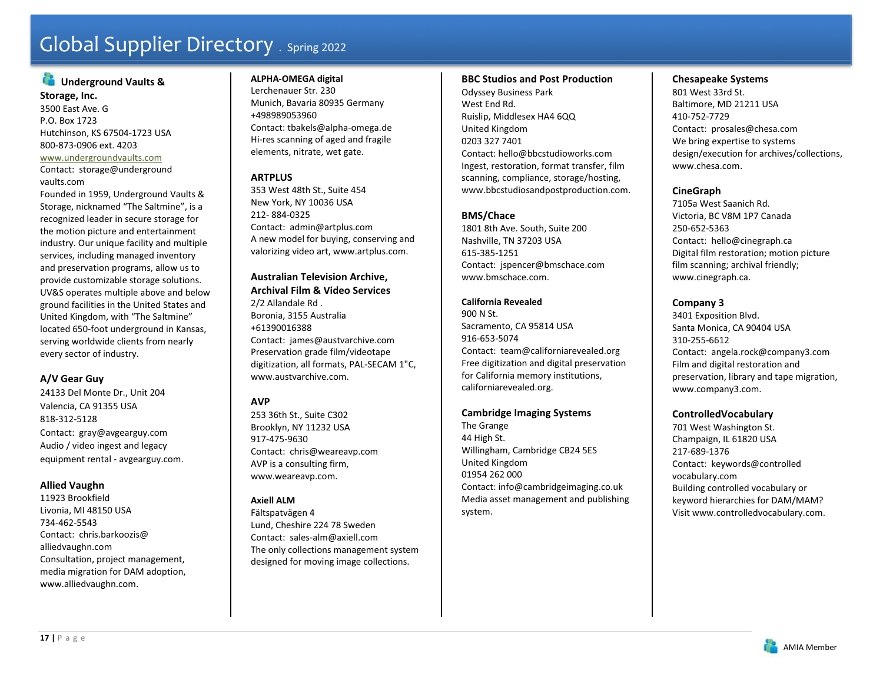# **Underground Vaults &**

**Storage, Inc.**  3500 East Ave. G P.O. Box 1723 Hutchinson, KS 67504-1723 USA 800-873-0906 ext. 4203 www.undergroundvaults.com Contact: storage@underground

#### vaults.com

Founded in 1959, Underground Vaults & Storage, nicknamed "The Saltmine", is a recognized leader in secure storage for the motion picture and entertainment industry. Our unique facility and multiple services, including managed inventory and preservation programs, allow us to provide customizable storage solutions. UV&S operates multiple above and below ground facilities in the United States and United Kingdom, with "The Saltmine" located 650-foot underground in Kansas, serving worldwide clients from nearly every sector of industry.

# **A/V Gear Guy**

24133 Del Monte Dr., Unit 204 Valencia, CA 91355 USA 818-312-5128 Contact: gray@avgearguy.com Audio / video ingest and legacy equipment rental - avgearguy.com.

### **Allied Vaughn**

11923 Brookfield Livonia, MI 48150 USA 734-462-5543 Contact: chris.barkoozis@ alliedvaughn.com Consultation, project management, media migration for DAM adoption, www.alliedvaughn.com.

# **ALPHA-OMEGA digital**

Lerchenauer Str. 230 Munich, Bavaria 80935 Germany +498989053960 Contact: tbakels@alpha-omega.de Hi-res scanning of aged and fragile elements, nitrate, wet gate.

# **ARTPLUS**

353 West 48th St., Suite 454 New York, NY 10036 USA 212- 884-0325 Contact: admin@artplus.com A new model for buying, conserving and valorizing video art, www.artplus.com.

#### **Australian Television Archive, Archival Film & Video Services**

2/2 Allandale Rd . Boronia, 3155 Australia +61390016388 Contact: james@austvarchive.com Preservation grade film/videotape digitization, all formats, PAL-SECAM 1"C, www.austvarchive.com.

# **AVP**

253 36th St., Suite C302 Brooklyn, NY 11232 USA 917-475-9630 Contact: chris@weareavp.com AVP is a consulting firm, www.weareavp.com.

# **Axiell ALM**

Fältspatvägen 4 Lund, Cheshire 224 78 Sweden Contact: sales-alm@axiell.com The only collections management system designed for moving image collections.

#### **BBC Studios and Post Production**

Odyssey Business Park West End Rd. Ruislip, Middlesex HA4 6QQ United Kingdom 0203 327 7401 Contact: hello@bbcstudioworks.com Ingest, restoration, format transfer, film scanning, compliance, storage/hosting, www.bbcstudiosandpostproduction.com.

# **BMS/Chace**

1801 8th Ave. South, Suite 200 Nashville, TN 37203 USA 615-385-1251 Contact: jspencer@bmschace.com www.bmschace.com.

# **California Revealed**

900 N St. Sacramento, CA 95814 USA 916-653-5074 Contact: team@californiarevealed.org Free digitization and digital preservation for California memory institutions, californiarevealed.org.

# **Cambridge Imaging Systems**

The Grange 44 High St. Willingham, Cambridge CB24 5ES United Kingdom 01954 262 000 Contact: info@cambridgeimaging.co.uk Media asset management and publishing system.

#### **Chesapeake Systems**

801 West 33rd St. Baltimore, MD 21211 USA 410-752-7729 Contact: prosales@chesa.com We bring expertise to systems design/execution for archives/collections, www.chesa.com.

# **CineGraph**

7105a West Saanich Rd. Victoria, BC V8M 1P7 Canada 250-652-5363 Contact: hello@cinegraph.ca Digital film restoration; motion picture film scanning; archival friendly; www.cinegraph.ca.

# **Company 3**

3401 Exposition Blvd. Santa Monica, CA 90404 USA 310-255-6612 Contact: angela.rock@company3.com Film and digital restoration and preservation, library and tape migration, www.company3.com.

# **ControlledVocabulary**

701 West Washington St. Champaign, IL 61820 USA 217-689-1376 Contact: keywords@controlled vocabulary.com Building controlled vocabulary or keyword hierarchies for DAM/MAM? Visit www.controlledvocabulary.com.

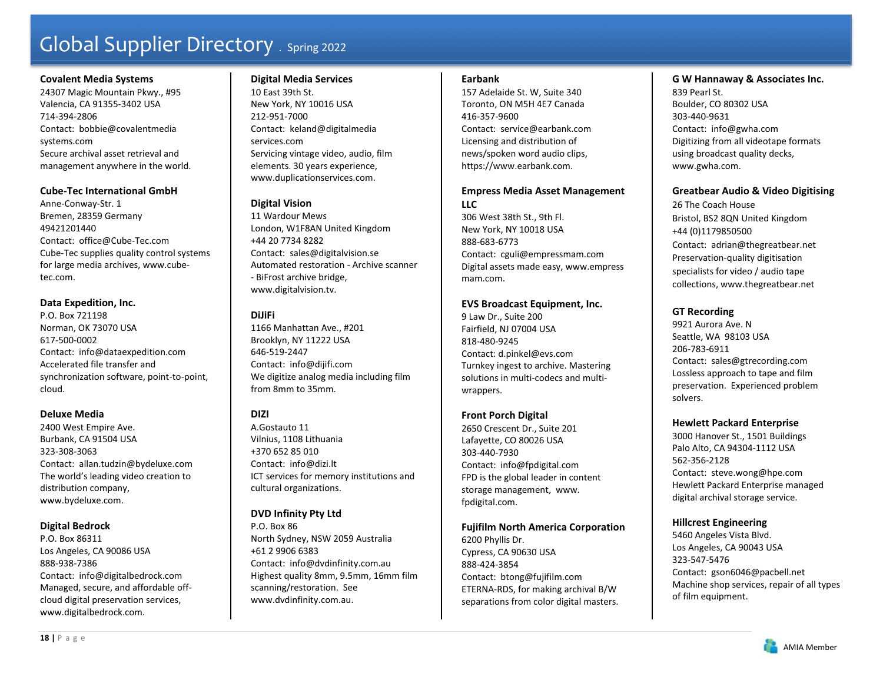#### **Covalent Media Systems**

24307 Magic Mountain Pkwy., #95 Valencia, CA 91355-3402 USA 714-394-2806 Contact: bobbie@covalentmedia systems.com Secure archival asset retrieval and management anywhere in the world.

### **Cube-Tec International GmbH**

Anne-Conway-Str. 1 Bremen, 28359 Germany 49421201440 Contact: office@Cube-Tec.com Cube-Tec supplies quality control systems for large media archives, www.cubetec.com.

### **Data Expedition, Inc.**

P.O. Box 721198 Norman, OK 73070 USA 617-500-0002 Contact: info@dataexpedition.com Accelerated file transfer and synchronization software, point-to-point, cloud.

### **Deluxe Media**

2400 West Empire Ave. Burbank, CA 91504 USA 323-308-3063 Contact: allan.tudzin@bydeluxe.com The world's leading video creation to distribution company, www.bydeluxe.com.

# **Digital Bedrock**

P.O. Box 86311 Los Angeles, CA 90086 USA 888-938-7386 Contact: info@digitalbedrock.com Managed, secure, and affordable offcloud digital preservation services, www.digitalbedrock.com.

# **Digital Media Services**

10 East 39th St. New York, NY 10016 USA 212-951-7000 Contact: keland@digitalmedia services.com Servicing vintage video, audio, film elements. 30 years experience, www.duplicationservices.com.

# **Digital Vision**

11 Wardour Mews London, W1F8AN United Kingdom +44 20 7734 8282 Contact: sales@digitalvision.se Automated restoration - Archive scanner - BiFrost archive bridge, www.digitalvision.tv.

# **DiJiFi**

1166 Manhattan Ave., #201 Brooklyn, NY 11222 USA 646-519-2447 Contact: info@dijifi.com We digitize analog media including film from 8mm to 35mm.

# **DIZI**

A.Gostauto 11 Vilnius, 1108 Lithuania +370 652 85 010 Contact: info@dizi.lt ICT services for memory institutions and cultural organizations.

# **DVD Infinity Pty Ltd**

P.O. Box 86 North Sydney, NSW 2059 Australia +61 2 9906 6383 Contact: info@dvdinfinity.com.au Highest quality 8mm, 9.5mm, 16mm film scanning/restoration. See www.dvdinfinity.com.au.

#### **Earbank**

157 Adelaide St. W, Suite 340 Toronto, ON M5H 4E7 Canada 416-357-9600 Contact: service@earbank.com Licensing and distribution of news/spoken word audio clips, https://www.earbank.com.

# **Empress Media Asset Management LLC**

306 West 38th St., 9th Fl. New York, NY 10018 USA 888-683-6773 Contact: cguli@empressmam.com Digital assets made easy, www.empress mam.com.

# **EVS Broadcast Equipment, Inc.**

9 Law Dr., Suite 200 Fairfield, NJ 07004 USA 818-480-9245 Contact: d.pinkel@evs.com Turnkey ingest to archive. Mastering solutions in multi-codecs and multiwrappers.

# **Front Porch Digital**

2650 Crescent Dr., Suite 201 Lafayette, CO 80026 USA 303-440-7930 Contact: info@fpdigital.com FPD is the global leader in content storage management, www. fpdigital.com.

# **Fujifilm North America Corporation**

6200 Phyllis Dr. Cypress, CA 90630 USA 888-424-3854 Contact: btong@fujifilm.com ETERNA-RDS, for making archival B/W separations from color digital masters.

# **G W Hannaway & Associates Inc.**

839 Pearl St. Boulder, CO 80302 USA 303-440-9631 Contact: info@gwha.com Digitizing from all videotape formats using broadcast quality decks, www.gwha.com.

### **Greatbear Audio & Video Digitising**

26 The Coach House Bristol, BS2 8QN United Kingdom +44 (0)1179850500 Contact: adrian@thegreatbear.net Preservation-quality digitisation specialists for video / audio tape collections, www.thegreatbear.net

# **GT Recording**

9921 Aurora Ave. N Seattle, WA 98103 USA 206-783-6911 Contact: sales@gtrecording.com Lossless approach to tape and film preservation. Experienced problem solvers.

# **Hewlett Packard Enterprise**

3000 Hanover St., 1501 Buildings Palo Alto, CA 94304-1112 USA 562-356-2128 Contact: steve.wong@hpe.com Hewlett Packard Enterprise managed digital archival storage service.

# **Hillcrest Engineering**

5460 Angeles Vista Blvd. Los Angeles, CA 90043 USA 323-547-5476 Contact: gson6046@pacbell.net Machine shop services, repair of all types of film equipment.

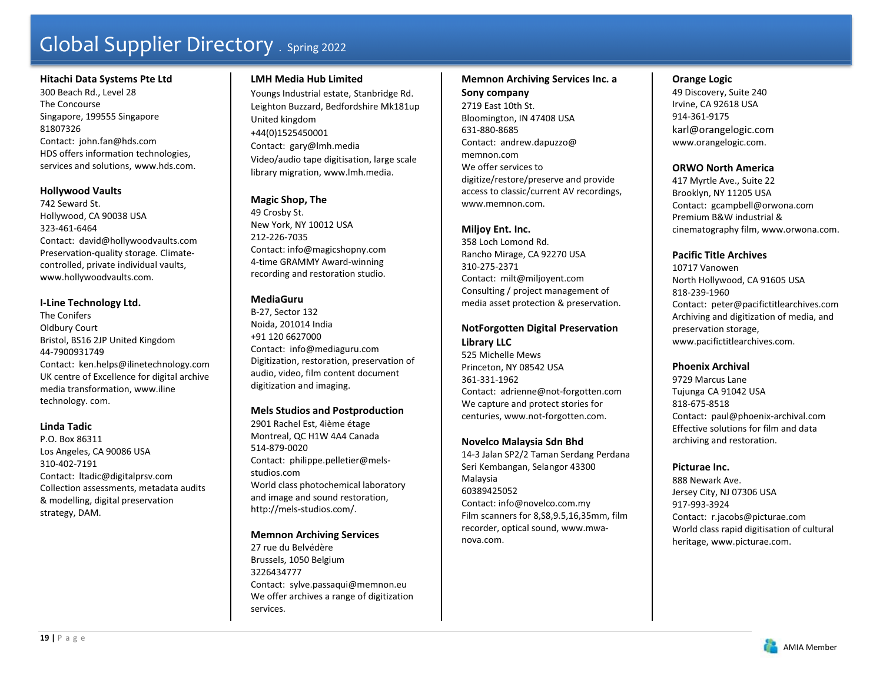#### **Hitachi Data Systems Pte Ltd**

300 Beach Rd., Level 28 The Concourse Singapore, 199555 Singapore 81807326 Contact: john.fan@hds.com HDS offers information technologies, services and solutions, www.hds.com.

#### **Hollywood Vaults**

742 Seward St. Hollywood, CA 90038 USA 323-461-6464 Contact: david@hollywoodvaults.com Preservation-quality storage. Climatecontrolled, private individual vaults, www.hollywoodvaults.com.

#### **I-Line Technology Ltd.**

The Conifers Oldbury Court Bristol, BS16 2JP United Kingdom 44-7900931749 Contact: ken.helps@ilinetechnology.com UK centre of Excellence for digital archive media transformation, www.iline technology. com.

### **Linda Tadic**

P.O. Box 86311 Los Angeles, CA 90086 USA 310-402-7191 Contact: ltadic@digitalprsv.com Collection assessments, metadata audits & modelling, digital preservation strategy, DAM.

# **LMH Media Hub Limited**

Youngs Industrial estate, Stanbridge Rd. Leighton Buzzard, Bedfordshire Mk181up United kingdom +44(0)1525450001 Contact: gary@lmh.media Video/audio tape digitisation, large scale library migration, www.lmh.media.

# **Magic Shop, The**

49 Crosby St. New York, NY 10012 USA 212-226-7035 Contact: info@magicshopny.com 4-time GRAMMY Award-winning recording and restoration studio.

# **MediaGuru**

B-27, Sector 132 Noida, 201014 India +91 120 6627000 Contact: info@mediaguru.com Digitization, restoration, preservation of audio, video, film content document digitization and imaging.

### **Mels Studios and Postproduction**

2901 Rachel Est, 4ième étage Montreal, QC H1W 4A4 Canada 514-879-0020 Contact: philippe.pelletier@melsstudios.com World class photochemical laboratory and image and sound restoration, http://mels-studios.com/.

### **Memnon Archiving Services**

27 rue du Belvédère Brussels, 1050 Belgium 3226434777 Contact: sylve.passaqui@memnon.eu We offer archives a range of digitization services.

### **Memnon Archiving Services Inc. a**

**Sony company**  2719 East 10th St. Bloomington, IN 47408 USA 631-880-8685 Contact: andrew.dapuzzo@ memnon.comWe offer services to digitize/restore/preserve and provide access to classic/current AV recordings, www.memnon.com.

#### **Miljoy Ent. Inc.**

358 Loch Lomond Rd. Rancho Mirage, CA 92270 USA 310-275-2371 Contact: milt@miljoyent.com Consulting / project management of media asset protection & preservation.

# **NotForgotten Digital Preservation Library LLC**

525 Michelle Mews Princeton, NY 08542 USA 361-331-1962 Contact: adrienne@not-forgotten.com We capture and protect stories for centuries, www.not-forgotten.com.

### **Novelco Malaysia Sdn Bhd**

14-3 Jalan SP2/2 Taman Serdang Perdana Seri Kembangan, Selangor 43300 Malaysia 60389425052 Contact: info@novelco.com.my Film scanners for 8,S8,9.5,16,35mm, film recorder, optical sound, www.mwanova.com.

# **Orange Logic**

49 Discovery, Suite 240 Irvine, CA 92618 USA 914-361-9175 karl@orangelogic.com www.orangelogic.com.

### **ORWO North America**

417 Myrtle Ave., Suite 22 Brooklyn, NY 11205 USA Contact: gcampbell@orwona.com Premium B&W industrial & cinematography film, www.orwona.com.

# **Pacific Title Archives**

10717 Vanowen North Hollywood, CA 91605 USA 818-239-1960 Contact: peter@pacifictitlearchives.com Archiving and digitization of media, and preservation storage, www.pacifictitlearchives.com.

### **Phoenix Archival**

9729 Marcus Lane Tujunga CA 91042 USA 818-675-8518 Contact: paul@phoenix-archival.com Effective solutions for film and data archiving and restoration.

### **Picturae Inc.**

888 Newark Ave. Jersey City, NJ 07306 USA 917-993-3924 Contact: r.jacobs@picturae.com World class rapid digitisation of cultural heritage, www.picturae.com.

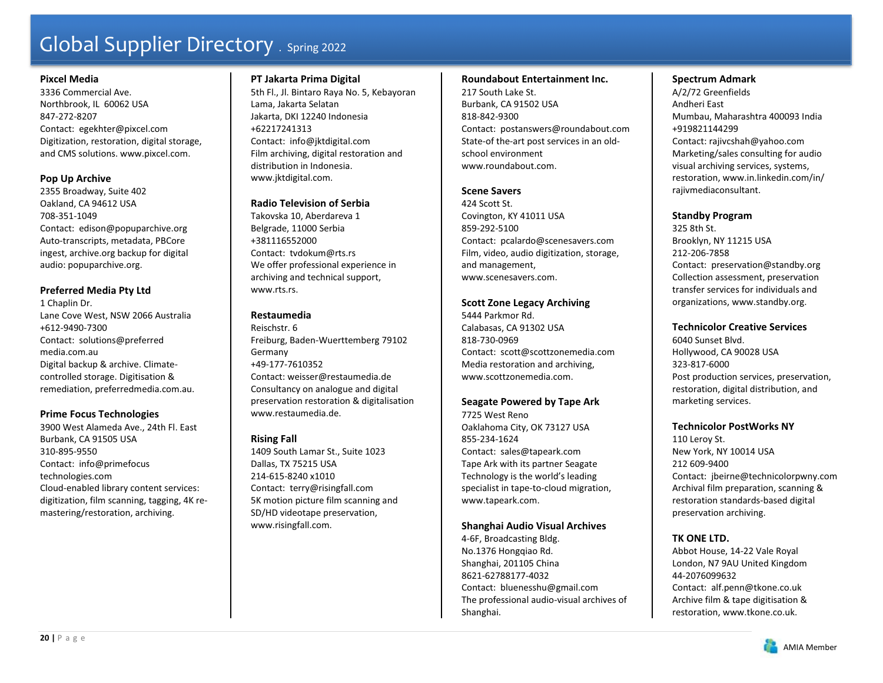#### **Pixcel Media**

3336 Commercial Ave. Northbrook, IL 60062 USA 847-272-8207 Contact: egekhter@pixcel.com Digitization, restoration, digital storage, and CMS solutions. www.pixcel.com.

### **Pop Up Archive**

2355 Broadway, Suite 402 Oakland, CA 94612 USA 708-351-1049 Contact: edison@popuparchive.org Auto-transcripts, metadata, PBCore ingest, archive.org backup for digital audio: popuparchive.org.

### **Preferred Media Pty Ltd**

1 Chaplin Dr. Lane Cove West, NSW 2066 Australia +612-9490-7300 Contact: solutions@preferred media.com.au Digital backup & archive. Climatecontrolled storage. Digitisation & remediation, preferredmedia.com.au.

### **Prime Focus Technologies**

3900 West Alameda Ave., 24th Fl. East Burbank, CA 91505 USA 310-895-9550 Contact: info@primefocus technologies.com Cloud-enabled library content services: digitization, film scanning, tagging, 4K remastering/restoration, archiving.

### **PT Jakarta Prima Digital**

5th Fl., Jl. Bintaro Raya No. 5, Kebayoran Lama, Jakarta Selatan Jakarta, DKI 12240 Indonesia +62217241313 Contact: info@jktdigital.com Film archiving, digital restoration and distribution in Indonesia. www.jktdigital.com.

### **Radio Television of Serbia**

Takovska 10, Aberdareva 1 Belgrade, 11000 Serbia +381116552000 Contact: tvdokum@rts.rs We offer professional experience in archiving and technical support, www.rts.rs.

# **Restaumedia**

Reischstr. 6 Freiburg, Baden-Wuerttemberg 79102 Germany +49-177-7610352 Contact: weisser@restaumedia.de Consultancy on analogue and digital preservation restoration & digitalisation www.restaumedia.de.

# **Rising Fall**

1409 South Lamar St., Suite 1023 Dallas, TX 75215 USA 214-615-8240 x1010 Contact: terry@risingfall.com 5K motion picture film scanning and SD/HD videotape preservation, www.risingfall.com.

### **Roundabout Entertainment Inc.**

217 South Lake St. Burbank, CA 91502 USA 818-842-9300 Contact: postanswers@roundabout.com State-of the-art post services in an oldschool environment www.roundabout.com.

#### **Scene Savers**

424 Scott St. Covington, KY 41011 USA 859-292-5100 Contact: pcalardo@scenesavers.com Film, video, audio digitization, storage, and management, www.scenesavers.com.

# **Scott Zone Legacy Archiving**

5444 Parkmor Rd. Calabasas, CA 91302 USA 818-730-0969 Contact: scott@scottzonemedia.com Media restoration and archiving, www.scottzonemedia.com.

### **Seagate Powered by Tape Ark**

7725 West Reno Oaklahoma City, OK 73127 USA 855-234-1624 Contact: sales@tapeark.com Tape Ark with its partner Seagate Technology is the world's leading specialist in tape-to-cloud migration, www.tapeark.com.

### **Shanghai Audio Visual Archives**

4-6F, Broadcasting Bldg. No.1376 Hongqiao Rd. Shanghai, 201105 China 8621-62788177-4032 Contact: bluenesshu@gmail.com The professional audio-visual archives of Shanghai.

#### **Spectrum Admark**

A/2/72 Greenfields Andheri East Mumbau, Maharashtra 400093 India +919821144299 Contact: rajivcshah@yahoo.com Marketing/sales consulting for audio visual archiving services, systems, restoration, www.in.linkedin.com/in/ rajivmediaconsultant.

### **Standby Program**

325 8th St. Brooklyn, NY 11215 USA 212-206-7858 Contact: preservation@standby.org Collection assessment, preservation transfer services for individuals and organizations, www.standby.org.

### **Technicolor Creative Services**

6040 Sunset Blvd. Hollywood, CA 90028 USA 323-817-6000 Post production services, preservation, restoration, digital distribution, and marketing services.

#### **Technicolor PostWorks NY**

110 Leroy St. New York, NY 10014 USA 212 609-9400Contact: jbeirne@technicolorpwny.com Archival film preparation, scanning & restoration standards-based digital preservation archiving.

# **TK ONE LTD.**

Abbot House, 14-22 Vale Royal London, N7 9AU United Kingdom 44-2076099632

Contact: alf.penn@tkone.co.uk Archive film & tape digitisation & restoration, www.tkone.co.uk.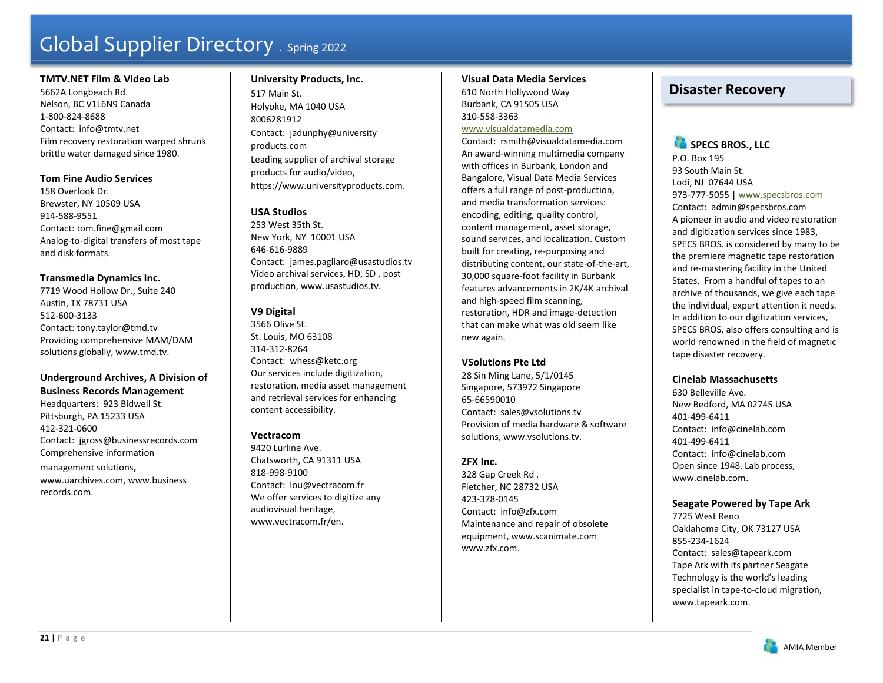### **TMTV.NET Film & Video Lab**

5662A Longbeach Rd. Nelson, BC V1L6N9 Canada 1-800-824-8688 Contact: info@tmtv.net Film recovery restoration warped shrunk brittle water damaged since 1980.

# **Tom Fine Audio Services**

158 Overlook Dr. Brewster, NY 10509 USA 914-588-9551 Contact: tom.fine@gmail.com Analog-to-digital transfers of most tape and disk formats.

### **Transmedia Dynamics Inc.**

7719 Wood Hollow Dr., Suite 240 Austin, TX 78731 USA 512-600-3133 Contact: tony.taylor@tmd.tv Providing comprehensive MAM/DAM solutions globally, www.tmd.tv.

# **Underground Archives, A Division of Business Records Management**

Headquarters: 923 Bidwell St. Pittsburgh, PA 15233 USA 412-321-0600 Contact: jgross@businessrecords.com Comprehensive information management solutions, www.uarchives.com, www.business records.com.

# **University Products, Inc.**  517 Main St. Holyoke, MA 1040 USA 8006281912 Contact: jadunphy@university products.com Leading supplier of archival storage products for audio/video, https://www.universityproducts.com.

# **USA Studios**

253 West 35th St. New York, NY 10001 USA 646-616-9889 Contact: james.pagliaro@usastudios.tv Video archival services, HD, SD , post production, www.usastudios.tv.

# **V9 Digital**

3566 Olive St. St. Louis, MO 63108 314-312-8264 Contact: whess@ketc.org Our services include digitization, restoration, media asset management and retrieval services for enhancing content accessibility.

# **Vectracom**

9420 Lurline Ave. Chatsworth, CA 91311 USA 818-998-9100 Contact: lou@vectracom.fr We offer services to digitize any audiovisual heritage, www.vectracom.fr/en.

### **Visual Data Media Services**

610 North Hollywood Way Burbank, CA 91505 USA 310-558-3363

#### www.visualdatamedia.com

Contact: rsmith@visualdatamedia.com An award-winning multimedia company with offices in Burbank, London and Bangalore, Visual Data Media Services offers a full range of post-production, and media transformation services: encoding, editing, quality control, content management, asset storage, sound services, and localization. Custom built for creating, re-purposing and distributing content, our state-of-the-art, 30,000 square-foot facility in Burbank features advancements in 2K/4K archival and high-speed film scanning, restoration, HDR and image-detection that can make what was old seem like new again.

### **VSolutions Pte Ltd**

28 Sin Ming Lane, 5/1/0145 Singapore, 573972 Singapore 65-66590010 Contact: sales@vsolutions.tv Provision of media hardware & software solutions, www.vsolutions.tv.

# **ZFX Inc.**

328 Gap Creek Rd . Fletcher, NC 28732 USA 423-378-0145 Contact: info@zfx.com Maintenance and repair of obsolete equipment, www.scanimate.com www.zfx.com.

# **Disaster Recovery**

# **SPECS BROS., LLC** P.O. Box 195 93 South Main St. Lodi, NJ 07644 USA 973-777-5055 | www.specsbros.com Contact: admin@specsbros.com A pioneer in audio and video restoration and digitization services since 1983, SPECS BROS. is considered by many to be the premiere magnetic tape restoration and re-mastering facility in the United States. From a handful of tapes to an archive of thousands, we give each tape the individual, expert attention it needs. In addition to our digitization services, SPECS BROS. also offers consulting and is world renowned in the field of magnetic tape disaster recovery.

# **Cinelab Massachusetts**

630 Belleville Ave. New Bedford, MA 02745 USA 401-499-6411 Contact: info@cinelab.com 401-499-6411 Contact: info@cinelab.com Open since 1948. Lab process, www.cinelab.com.

# **Seagate Powered by Tape Ark**

7725 West Reno Oaklahoma City, OK 73127 USA 855-234-1624 Contact: sales@tapeark.com Tape Ark with its partner Seagate Technology is the world's leading specialist in tape-to-cloud migration, www.tapeark.com.

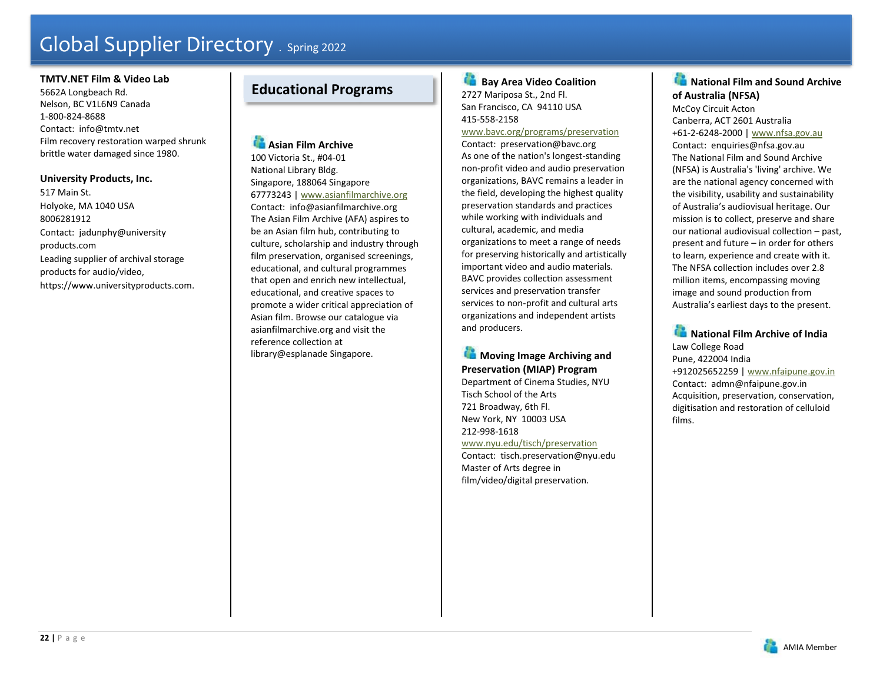#### **TMTV.NET Film & Video Lab**

5662A Longbeach Rd. Nelson, BC V1L6N9 Canada 1-800-824-8688 Contact: info@tmtv.net Film recovery restoration warped shrunk brittle water damaged since 1980.

# **University Products, Inc.**

517 Main St. Holyoke, MA 1040 USA 8006281912 Contact: jadunphy@university products.com Leading supplier of archival storage products for audio/video, https://www.universityproducts.com.

# **Educational Programs**

**Asian Film Archive** 100 Victoria St., #04-01 National Library Bldg. Singapore, 188064 Singapore 67773243 | www.asianfilmarchive.org Contact: info@asianfilmarchive.org The Asian Film Archive (AFA) aspires to be an Asian film hub, contributing to culture, scholarship and industry through film preservation, organised screenings, educational, and cultural programmes that open and enrich new intellectual, educational, and creative spaces to promote a wider critical appreciation of Asian film. Browse our catalogue via asianfilmarchive.org and visit the reference collection at library@esplanade Singapore.

æ  **Bay Area Video Coalition**  2727 Mariposa St., 2nd Fl. San Francisco, CA 94110 USA 415-558-2158

# www.bavc.org/programs/preservation

Contact: preservation@bavc.org As one of the nation's longest-standing non-profit video and audio preservation organizations, BAVC remains a leader in the field, developing the highest quality preservation standards and practices while working with individuals and cultural, academic, and media organizations to meet a range of needs for preserving historically and artistically important video and audio materials. BAVC provides collection assessment services and preservation transfer services to non-profit and cultural arts organizations and independent artists and producers.

# **Moving Image Archiving and Preservation (MIAP) Program**

Department of Cinema Studies, NYU Tisch School of the Arts 721 Broadway, 6th Fl. New York, NY 10003 USA 212-998-1618 www.nyu.edu/tisch/preservation

Contact: tisch.preservation@nyu.edu Master of Arts degree in film/video/digital preservation.

# **National Film and Sound Archive of Australia (NFSA)**

McCoy Circuit Acton Canberra, ACT 2601 Australia +61-2-6248-2000 | www.nfsa.gov.au Contact: enquiries@nfsa.gov.au The National Film and Sound Archive (NFSA) is Australia's 'living' archive. We are the national agency concerned with the visibility, usability and sustainability of Australia's audiovisual heritage. Our mission is to collect, preserve and share our national audiovisual collection – past, present and future – in order for others to learn, experience and create with it. The NFSA collection includes over 2.8 million items, encompassing moving image and sound production from Australia's earliest days to the present.

**National Film Archive of India** Law College Road Pune, 422004 India +912025652259 | www.nfaipune.gov.in Contact: admn@nfaipune.gov.in Acquisition, preservation, conservation, digitisation and restoration of celluloid films.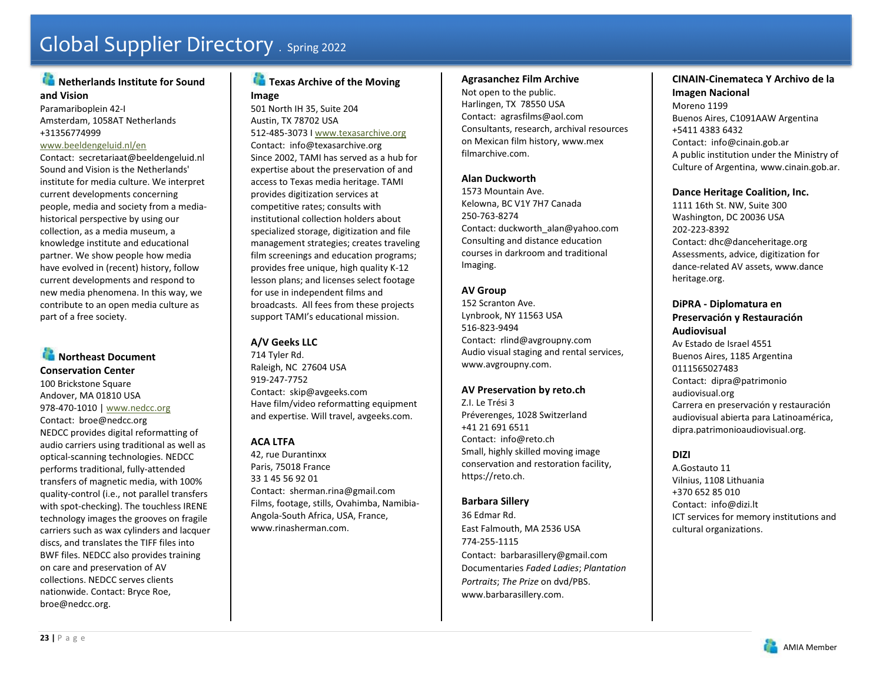# **Netherlands Institute for Sound and Vision**

Paramariboplein 42-I Amsterdam, 1058AT Netherlands +31356774999

#### www.beeldengeluid.nl/en

Contact: secretariaat@beeldengeluid.nl Sound and Vision is the Netherlands' institute for media culture. We interpret current developments concerning people, media and society from a mediahistorical perspective by using our collection, as a media museum, a knowledge institute and educational partner. We show people how media have evolved in (recent) history, follow current developments and respond to new media phenomena. In this way, we contribute to an open media culture as part of a free society.

# **Northeast Document Conservation Center**

100 Brickstone Square Andover, MA 01810 USA 978-470-1010 | www.nedcc.org Contact: broe@nedcc.org NEDCC provides digital reformatting of audio carriers using traditional as well as optical-scanning technologies. NEDCC performs traditional, fully-attended transfers of magnetic media, with 100% quality-control (i.e., not parallel transfers with spot-checking). The touchless IRENE technology images the grooves on fragile carriers such as wax cylinders and lacquer discs, and translates the TIFF files into BWF files. NEDCC also provides training on care and preservation of AV collections. NEDCC serves clients nationwide. Contact: Bryce Roe, broe@nedcc.org.

# **Texas Archive of the Moving Image**

501 North IH 35, Suite 204 Austin, TX 78702 USA 512-485-3073 I www.texasarchive.org Contact: info@texasarchive.org

Since 2002, TAMI has served as a hub for expertise about the preservation of and access to Texas media heritage. TAMI provides digitization services at competitive rates; consults with institutional collection holders about specialized storage, digitization and file management strategies; creates traveling film screenings and education programs; provides free unique, high quality K-12 lesson plans; and licenses select footage for use in independent films and broadcasts. All fees from these projects support TAMI's educational mission.

# **A/V Geeks LLC**

714 Tyler Rd. Raleigh, NC 27604 USA 919-247-7752 Contact: skip@avgeeks.com Have film/video reformatting equipment and expertise. Will travel, avgeeks.com.

# **ACA LTFA**

42, rue Durantinxx Paris, 75018 France 33 1 45 56 92 01 Contact: sherman.rina@gmail.com Films, footage, stills, Ovahimba, Namibia-Angola-South Africa, USA, France, www.rinasherman.com.

#### **Agrasanchez Film Archive**

Not open to the public. Harlingen, TX 78550 USA Contact: agrasfilms@aol.com Consultants, research, archival resources on Mexican film history, www.mex filmarchive.com.

# **Alan Duckworth**

1573 Mountain Ave. Kelowna, BC V1Y 7H7 Canada 250-763-8274 Contact: duckworth\_alan@yahoo.com Consulting and distance education courses in darkroom and traditional Imaging.

# **AV Group**

152 Scranton Ave. Lynbrook, NY 11563 USA 516-823-9494 Contact: rlind@avgroupny.com Audio visual staging and rental services, www.avgroupny.com.

# **AV Preservation by reto.ch**

Z.I. Le Trési 3 Préverenges, 1028 Switzerland +41 21 691 6511 Contact: info@reto.ch Small, highly skilled moving image conservation and restoration facility, https://reto.ch.

### **Barbara Sillery**

36 Edmar Rd. East Falmouth, MA 2536 USA 774-255-1115 Contact: barbarasillery@gmail.com Documentaries *Faded Ladies*; *Plantation Portraits*; *The Prize* on dvd/PBS. www.barbarasillery.com.

# **CINAIN-Cinemateca Y Archivo de la Imagen Nacional**

Moreno 1199 Buenos Aires, C1091AAW Argentina +5411 4383 6432 Contact: info@cinain.gob.ar A public institution under the Ministry of Culture of Argentina, www.cinain.gob.ar.

### **Dance Heritage Coalition, Inc.**

1111 16th St. NW, Suite 300 Washington, DC 20036 USA 202-223-8392 Contact: dhc@danceheritage.org Assessments, advice, digitization for dance-related AV assets, www.dance heritage.org.

### **DiPRA - Diplomatura en Preservación y Restauración Audiovisual**

Av Estado de Israel 4551 Buenos Aires, 1185 Argentina 0111565027483 Contact: dipra@patrimonio audiovisual.org Carrera en preservación y restauración audiovisual abierta para Latinoamérica, dipra.patrimonioaudiovisual.org.

### **DIZI**

A.Gostauto 11 Vilnius, 1108 Lithuania +370 652 85 010 Contact: info@dizi.lt ICT services for memory institutions and cultural organizations.

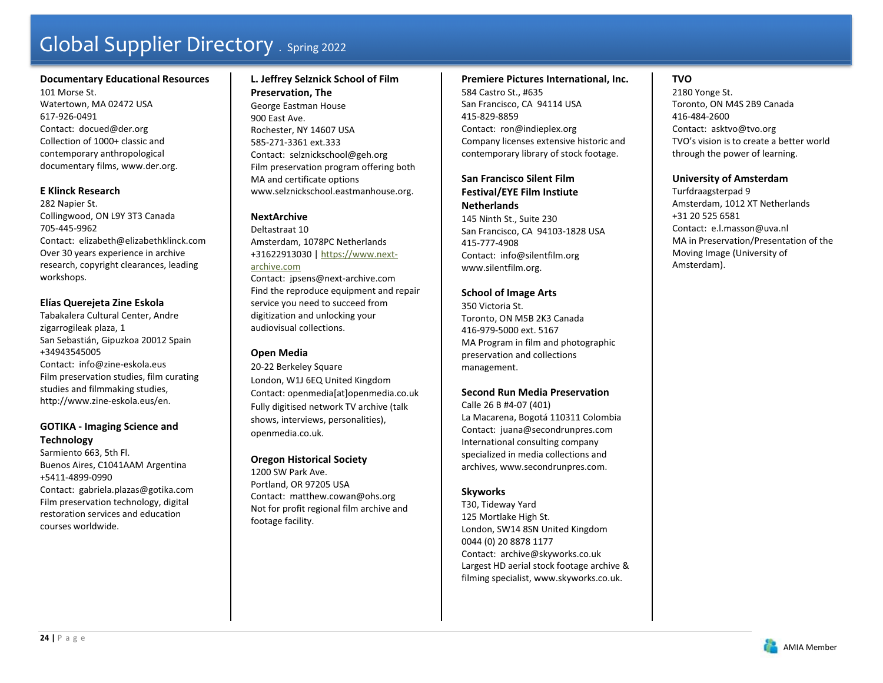# **Documentary Educational Resources**

101 Morse St. Watertown, MA 02472 USA 617-926-0491 Contact: docued@der.org Collection of 1000+ classic and contemporary anthropological documentary films, www.der.org.

# **E Klinck Research**

282 Napier St. Collingwood, ON L9Y 3T3 Canada 705-445-9962 Contact: elizabeth@elizabethklinck.com Over 30 years experience in archive research, copyright clearances, leading workshops.

# **Elías Querejeta Zine Eskola**

Tabakalera Cultural Center, Andre zigarrogileak plaza, 1 San Sebastián, Gipuzkoa 20012 Spain +34943545005 Contact: info@zine-eskola.eus Film preservation studies, film curating studies and filmmaking studies, http://www.zine-eskola.eus/en.

# **GOTIKA - Imaging Science and Technology**

Sarmiento 663, 5th Fl. Buenos Aires, C1041AAM Argentina +5411-4899-0990 Contact: gabriela.plazas@gotika.com Film preservation technology, digital restoration services and education courses worldwide.

# **L. Jeffrey Selznick School of Film Preservation, The**  George Eastman House 900 East Ave. Rochester, NY 14607 USA 585-271-3361 ext.333 Contact: selznickschool@geh.org Film preservation program offering both

MA and certificate options www.selznickschool.eastmanhouse.org.

# **NextArchive**

Deltastraat 10 Amsterdam, 1078PC Netherlands +31622913030 | https://www.nextarchive.com Contact: jpsens@next-archive.com Find the reproduce equipment and repair service you need to succeed from digitization and unlocking your audiovisual collections.

# **Open Media**

20-22 Berkeley Square London, W1J 6EQ United Kingdom Contact: openmedia[at]openmedia.co.uk Fully digitised network TV archive (talk shows, interviews, personalities), openmedia.co.uk.

# **Oregon Historical Society**

1200 SW Park Ave. Portland, OR 97205 USA Contact: matthew.cowan@ohs.org Not for profit regional film archive and footage facility.

### **Premiere Pictures International, Inc.**  584 Castro St., #635 San Francisco, CA 94114 USA 415-829-8859 Contact: ron@indieplex.org

Company licenses extensive historic and contemporary library of stock footage.

# **San Francisco Silent Film Festival/EYE Film Instiute**

**Netherlands** 145 Ninth St., Suite 230 San Francisco, CA 94103-1828 USA 415-777-4908 Contact: info@silentfilm.org www.silentfilm.org.

# **School of Image Arts**

350 Victoria St. Toronto, ON M5B 2K3 Canada 416-979-5000 ext. 5167 MA Program in film and photographic preservation and collections management.

# **Second Run Media Preservation**

Calle 26 B #4-07 (401) La Macarena, Bogotá 110311 Colombia Contact: juana@secondrunpres.com International consulting company specialized in media collections and archives, www.secondrunpres.com.

# **Skyworks**

T30, Tideway Yard 125 Mortlake High St. London, SW14 8SN United Kingdom 0044 (0) 20 8878 1177 Contact: archive@skyworks.co.uk Largest HD aerial stock footage archive & filming specialist, www.skyworks.co.uk.

# **TVO**

2180 Yonge St. Toronto, ON M4S 2B9 Canada 416-484-2600 Contact: asktvo@tvo.org TVO's vision is to create a better world through the power of learning.

# **University of Amsterdam**

Turfdraagsterpad 9 Amsterdam, 1012 XT Netherlands +31 20 525 6581 Contact: e.l.masson@uva.nl MA in Preservation/Presentation of the Moving Image (University of Amsterdam).

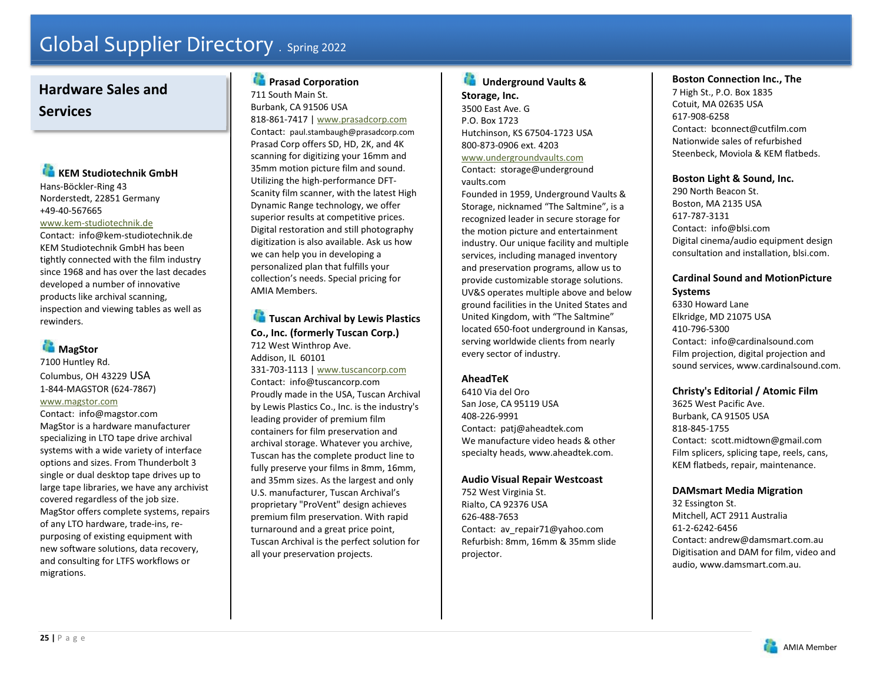# **Hardware Sales and Services**

# **KEM Studiotechnik GmbH**

Hans-Böckler-Ring 43 Norderstedt, 22851 Germany +49-40-567665

### www.kem-studiotechnik.de

Contact: info@kem-studiotechnik.de KEM Studiotechnik GmbH has been tightly connected with the film industry since 1968 and has over the last decades developed a number of innovative products like archival scanning, inspection and viewing tables as well as rewinders.

# **MagStor**

# 7100 Huntley Rd. Columbus, OH 43229 USA 1-844-MAGSTOR (624-7867) www.magstor.com

Contact: info@magstor.com MagStor is a hardware manufacturer specializing in LTO tape drive archival systems with a wide variety of interface options and sizes. From Thunderbolt 3 single or dual desktop tape drives up to large tape libraries, we have any archivist covered regardless of the job size. MagStor offers complete systems, repairs of any LTO hardware, trade-ins, repurposing of existing equipment with new software solutions, data recovery, and consulting for LTFS workflows or migrations.

# **Prasad Corporation**

711 South Main St. Burbank, CA 91506 USA 818-861-7417 | www.prasadcorp.com Contact: paul.stambaugh@prasadcorp.com Prasad Corp offers SD, HD, 2K, and 4K scanning for digitizing your 16mm and 35mm motion picture film and sound. Utilizing the high-performance DFT-Scanity film scanner, with the latest High Dynamic Range technology, we offer superior results at competitive prices. Digital restoration and still photography digitization is also available. Ask us how we can help you in developing a personalized plan that fulfills your collection's needs. Special pricing for AMIA Members.

**Tuscan Archival by Lewis Plastics Co., Inc. (formerly Tuscan Corp.)**  712 West Winthrop Ave. Addison, IL 60101 331-703-1113 | www.tuscancorp.com Contact: info@tuscancorp.com Proudly made in the USA, Tuscan Archival by Lewis Plastics Co., Inc. is the industry's leading provider of premium film containers for film preservation and archival storage. Whatever you archive, Tuscan has the complete product line to fully preserve your films in 8mm, 16mm, and 35mm sizes. As the largest and only U.S. manufacturer, Tuscan Archival's proprietary "ProVent" design achieves premium film preservation. With rapid turnaround and a great price point, Tuscan Archival is the perfect solution for

all your preservation projects.

#### æ  **Underground Vaults & Storage, Inc.**

3500 East Ave. G P.O. Box 1723 Hutchinson, KS 67504-1723 USA 800-873-0906 ext. 4203 www.undergroundvaults.com

Contact: storage@underground vaults.com

Founded in 1959, Underground Vaults & Storage, nicknamed "The Saltmine", is a recognized leader in secure storage for the motion picture and entertainment industry. Our unique facility and multiple services, including managed inventory and preservation programs, allow us to provide customizable storage solutions. UV&S operates multiple above and below ground facilities in the United States and United Kingdom, with "The Saltmine" located 650-foot underground in Kansas, serving worldwide clients from nearly every sector of industry.

# **AheadTeK**

6410 Via del Oro San Jose, CA 95119 USA 408-226-9991 Contact: patj@aheadtek.com We manufacture video heads & other specialty heads, www.aheadtek.com.

# **Audio Visual Repair Westcoast**

752 West Virginia St. Rialto, CA 92376 USA 626-488-7653 Contact: av repair71@yahoo.com Refurbish: 8mm, 16mm & 35mm slide projector.

# **Boston Connection Inc., The**

7 High St., P.O. Box 1835 Cotuit, MA 02635 USA 617-908-6258 Contact: bconnect@cutfilm.com Nationwide sales of refurbished Steenbeck, Moviola & KEM flatbeds.

# **Boston Light & Sound, Inc.**

290 North Beacon St. Boston, MA 2135 USA 617-787-3131 Contact: info@blsi.com Digital cinema/audio equipment design consultation and installation, blsi.com.

# **Cardinal Sound and MotionPicture Systems**

6330 Howard Lane Elkridge, MD 21075 USA 410-796-5300 Contact: info@cardinalsound.com Film projection, digital projection and sound services, www.cardinalsound.com.

# **Christy's Editorial / Atomic Film**

3625 West Pacific Ave. Burbank, CA 91505 USA 818-845-1755 Contact: scott.midtown@gmail.com Film splicers, splicing tape, reels, cans, KEM flatbeds, repair, maintenance.

# **DAMsmart Media Migration**

32 Essington St. Mitchell, ACT 2911 Australia 61-2-6242-6456 Contact: andrew@damsmart.com.au Digitisation and DAM for film, video and audio, www.damsmart.com.au.

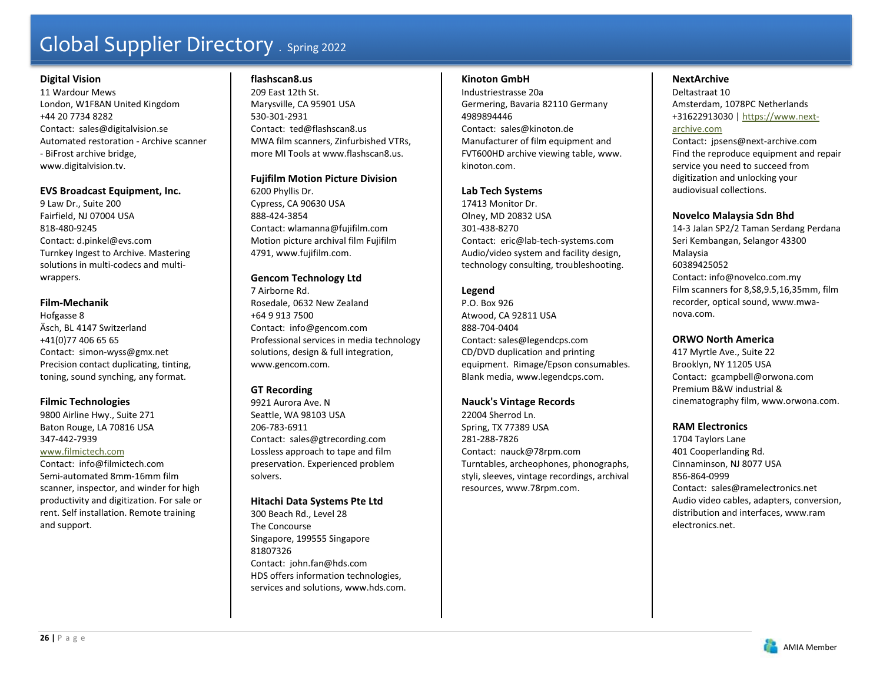#### **Digital Vision**

11 Wardour Mews London, W1F8AN United Kingdom +44 20 7734 8282 Contact: sales@digitalvision.se Automated restoration - Archive scanner - BiFrost archive bridge, www.digitalvision.tv.

### **EVS Broadcast Equipment, Inc.**

9 Law Dr., Suite 200 Fairfield, NJ 07004 USA 818-480-9245 Contact: d.pinkel@evs.com Turnkey Ingest to Archive. Mastering solutions in multi-codecs and multiwrappers.

# **Film-Mechanik**

Hofgasse 8 Äsch, BL 4147 Switzerland +41(0)77 406 65 65 Contact: simon-wyss@gmx.net Precision contact duplicating, tinting, toning, sound synching, any format.

# **Filmic Technologies**

9800 Airline Hwy., Suite 271 Baton Rouge, LA 70816 USA 347-442-7939

#### www.filmictech.com Contact: info@filmictech.com Semi-automated 8mm-16mm film scanner, inspector, and winder for high productivity and digitization. For sale or rent. Self installation. Remote training and support.

#### **flashscan8.us**

209 East 12th St. Marysville, CA 95901 USA 530-301-2931 Contact: ted@flashscan8.us MWA film scanners, Zinfurbished VTRs, more MI Tools at www.flashscan8.us.

#### **Fujifilm Motion Picture Division**

6200 Phyllis Dr. Cypress, CA 90630 USA 888-424-3854 Contact: wlamanna@fujifilm.com Motion picture archival film Fujifilm 4791, www.fujifilm.com.

# **Gencom Technology Ltd**

7 Airborne Rd. Rosedale, 0632 New Zealand +64 9 913 7500 Contact: info@gencom.com Professional services in media technology solutions, design & full integration, www.gencom.com.

# **GT Recording**

9921 Aurora Ave. N Seattle, WA 98103 USA 206-783-6911 Contact: sales@gtrecording.com Lossless approach to tape and film preservation. Experienced problem solvers.

### **Hitachi Data Systems Pte Ltd**

300 Beach Rd., Level 28 The Concourse Singapore, 199555 Singapore 81807326 Contact: john.fan@hds.com HDS offers information technologies, services and solutions, www.hds.com.

#### **Kinoton GmbH**

Industriestrasse 20a Germering, Bavaria 82110 Germany 4989894446 Contact: sales@kinoton.de Manufacturer of film equipment and FVT600HD archive viewing table, www. kinoton.com.

### **Lab Tech Systems**

17413 Monitor Dr. Olney, MD 20832 USA 301-438-8270 Contact: eric@lab-tech-systems.com Audio/video system and facility design, technology consulting, troubleshooting.

# **Legend**

P.O. Box 926 Atwood, CA 92811 USA 888-704-0404 Contact: sales@legendcps.com CD/DVD duplication and printing equipment. Rimage/Epson consumables. Blank media, www.legendcps.com.

### **Nauck's Vintage Records**

22004 Sherrod Ln. Spring, TX 77389 USA 281-288-7826 Contact: nauck@78rpm.com Turntables, archeophones, phonographs, styli, sleeves, vintage recordings, archival resources, www.78rpm.com.

# **NextArchive**

Deltastraat 10 Amsterdam, 1078PC Netherlands +31622913030 | https://www.nextarchive.com

### Contact: jpsens@next-archive.com Find the reproduce equipment and repair service you need to succeed from digitization and unlocking your audiovisual collections.

# **Novelco Malaysia Sdn Bhd**

14-3 Jalan SP2/2 Taman Serdang Perdana Seri Kembangan, Selangor 43300 Malaysia 60389425052 Contact: info@novelco.com.my Film scanners for 8,S8,9.5,16,35mm, film recorder, optical sound, www.mwanova.com.

# **ORWO North America**

417 Myrtle Ave., Suite 22 Brooklyn, NY 11205 USA Contact: gcampbell@orwona.com Premium B&W industrial & cinematography film, www.orwona.com.

# **RAM Electronics**

1704 Taylors Lane 401 Cooperlanding Rd. Cinnaminson, NJ 8077 USA 856-864-0999 Contact: sales@ramelectronics.net Audio video cables, adapters, conversion, distribution and interfaces, www.ram electronics.net.

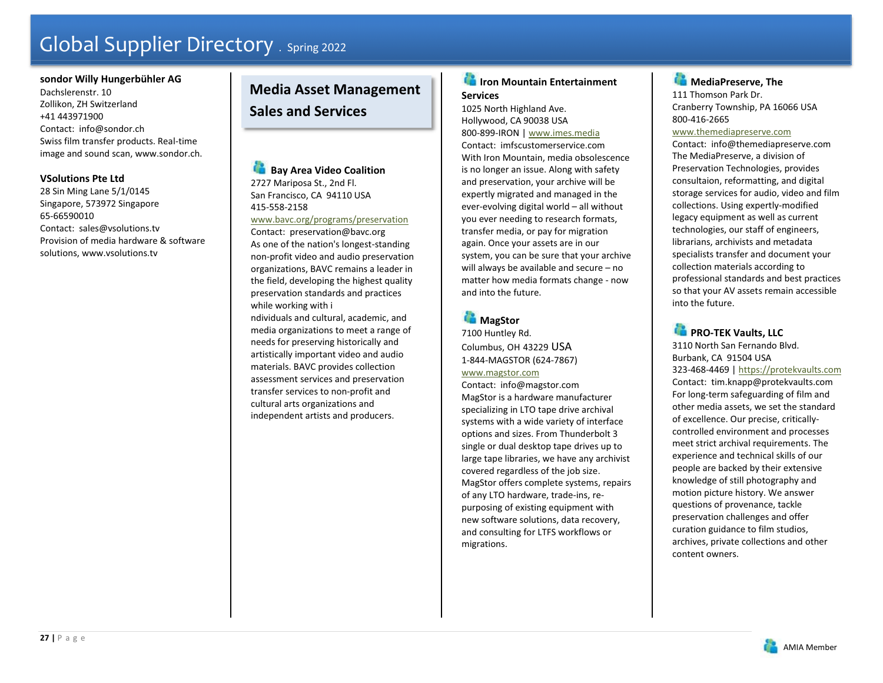#### **sondor Willy Hungerbühler AG**

Dachslerenstr. 10 Zollikon, ZH Switzerland +41 443971900 Contact: info@sondor.ch Swiss film transfer products. Real-time image and sound scan, www.sondor.ch.

### **VSolutions Pte Ltd**

28 Sin Ming Lane 5/1/0145 Singapore, 573972 Singapore 65-66590010 Contact: sales@vsolutions.tv Provision of media hardware & software solutions, www.vsolutions.tv

# **Media Asset Management Sales and Services**

**Bay Area Video Coalition** 2727 Mariposa St., 2nd Fl. San Francisco, CA 94110 USA 415-558-2158 www.bavc.org/programs/preservation

Contact: preservation@bavc.org As one of the nation's longest-standing non-profit video and audio preservation organizations, BAVC remains a leader in the field, developing the highest quality preservation standards and practices while working with i

ndividuals and cultural, academic, and media organizations to meet a range of needs for preserving historically and artistically important video and audio materials. BAVC provides collection assessment services and preservation transfer services to non-profit and cultural arts organizations and independent artists and producers.

# **Iron Mountain Entertainment Services**

1025 North Highland Ave. Hollywood, CA 90038 USA 800-899-IRON | www.imes.media Contact: imfscustomerservice.com With Iron Mountain, media obsolescence is no longer an issue. Along with safety and preservation, your archive will be expertly migrated and managed in the ever-evolving digital world – all without you ever needing to research formats, transfer media, or pay for migration again. Once your assets are in our system, you can be sure that your archive will always be available and secure – no matter how media formats change - now and into the future.

# **MagStor**

7100 Huntley Rd. Columbus, OH 43229 USA 1-844-MAGSTOR (624-7867)

# www.magstor.com

Contact: info@magstor.com MagStor is a hardware manufacturer specializing in LTO tape drive archival systems with a wide variety of interface options and sizes. From Thunderbolt 3 single or dual desktop tape drives up to large tape libraries, we have any archivist covered regardless of the job size. MagStor offers complete systems, repairs of any LTO hardware, trade-ins, repurposing of existing equipment with new software solutions, data recovery, and consulting for LTFS workflows or migrations.

# **MediaPreserve, The** 111 Thomson Park Dr.

Cranberry Township, PA 16066 USA 800-416-2665

#### www.themediapreserve.com

Contact: info@themediapreserve.com The MediaPreserve, a division of Preservation Technologies, provides consultaion, reformatting, and digital storage services for audio, video and film collections. Using expertly-modified legacy equipment as well as current technologies, our staff of engineers, librarians, archivists and metadata specialists transfer and document your collection materials according to professional standards and best practices so that your AV assets remain accessible into the future.

**PRO-TEK Vaults, LLC** 

3110 North San Fernando Blvd. Burbank, CA 91504 USA 323-468-4469 | https://protekvaults.com Contact: tim.knapp@protekvaults.com For long-term safeguarding of film and other media assets, we set the standard of excellence. Our precise, criticallycontrolled environment and processes meet strict archival requirements. The experience and technical skills of our people are backed by their extensive knowledge of still photography and motion picture history. We answer questions of provenance, tackle preservation challenges and offer curation guidance to film studios, archives, private collections and other content owners.

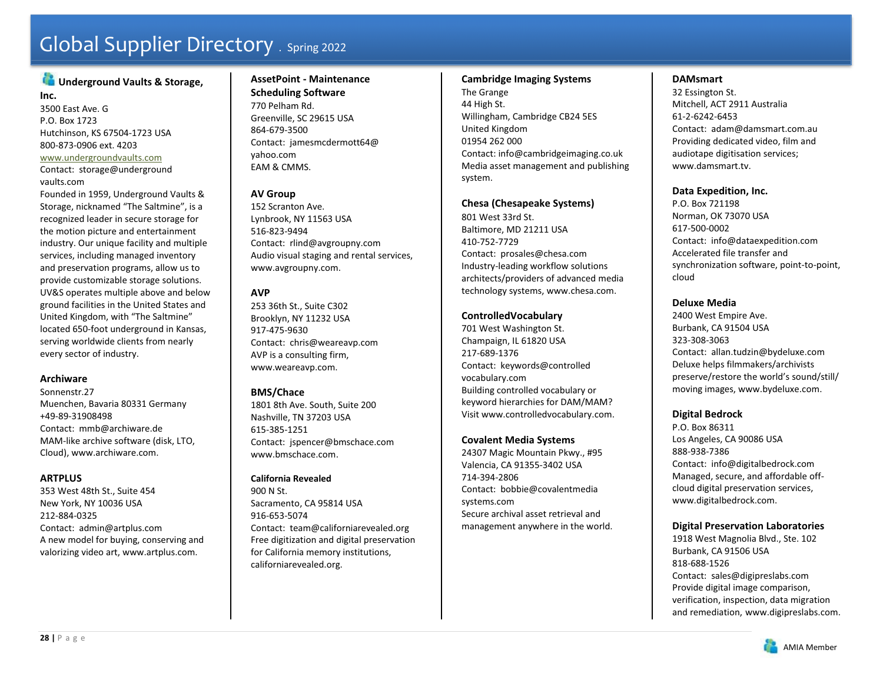# **Underground Vaults & Storage,**

**Inc.** 3500 East Ave. G P.O. Box 1723 Hutchinson, KS 67504-1723 USA 800-873-0906 ext. 4203 www.undergroundvaults.com Contact: storage@underground

#### vaults.com

Founded in 1959, Underground Vaults & Storage, nicknamed "The Saltmine", is a recognized leader in secure storage for the motion picture and entertainment industry. Our unique facility and multiple services, including managed inventory and preservation programs, allow us to provide customizable storage solutions. UV&S operates multiple above and below ground facilities in the United States and United Kingdom, with "The Saltmine" located 650-foot underground in Kansas, serving worldwide clients from nearly every sector of industry.

### **Archiware**

Sonnenstr.27 Muenchen, Bavaria 80331 Germany +49-89-31908498 Contact: mmb@archiware.de MAM-like archive software (disk, LTO, Cloud), www.archiware.com.

#### **ARTPLUS**

353 West 48th St., Suite 454 New York, NY 10036 USA 212-884-0325 Contact: admin@artplus.com A new model for buying, conserving and valorizing video art, www.artplus.com.

#### **AssetPoint - Maintenance Scheduling Software**

770 Pelham Rd. Greenville, SC 29615 USA 864-679-3500 Contact: jamesmcdermott64@ yahoo.com EAM & CMMS.

# **AV Group**

152 Scranton Ave. Lynbrook, NY 11563 USA 516-823-9494 Contact: rlind@avgroupny.com Audio visual staging and rental services, www.avgroupny.com.

# **AVP**

253 36th St., Suite C302 Brooklyn, NY 11232 USA 917-475-9630 Contact: chris@weareavp.com AVP is a consulting firm, www.weareavp.com.

# **BMS/Chace**

1801 8th Ave. South, Suite 200 Nashville, TN 37203 USA 615-385-1251 Contact: jspencer@bmschace.com www.bmschace.com.

#### **California Revealed**

900 N St. Sacramento, CA 95814 USA 916-653-5074 Contact: team@californiarevealed.org Free digitization and digital preservation for California memory institutions, californiarevealed.org.

### **Cambridge Imaging Systems**

The Grange 44 High St. Willingham, Cambridge CB24 5ES United Kingdom 01954 262 000 Contact: info@cambridgeimaging.co.uk Media asset management and publishing system.

# **Chesa (Chesapeake Systems)**

801 West 33rd St. Baltimore, MD 21211 USA 410-752-7729 Contact: prosales@chesa.com Industry-leading workflow solutions architects/providers of advanced media technology systems, www.chesa.com.

# **ControlledVocabulary**

701 West Washington St. Champaign, IL 61820 USA 217-689-1376 Contact: keywords@controlled vocabulary.com Building controlled vocabulary or keyword hierarchies for DAM/MAM? Visit www.controlledvocabulary.com.

# **Covalent Media Systems**

24307 Magic Mountain Pkwy., #95 Valencia, CA 91355-3402 USA 714-394-2806 Contact: bobbie@covalentmedia systems.com Secure archival asset retrieval and management anywhere in the world.

# **DAMsmart**

32 Essington St. Mitchell, ACT 2911 Australia 61-2-6242-6453 Contact: adam@damsmart.com.au Providing dedicated video, film and audiotape digitisation services; www.damsmart.tv.

# **Data Expedition, Inc.**

P.O. Box 721198 Norman, OK 73070 USA 617-500-0002 Contact: info@dataexpedition.com Accelerated file transfer and synchronization software, point-to-point, cloud

### **Deluxe Media**

2400 West Empire Ave. Burbank, CA 91504 USA 323-308-3063 Contact: allan.tudzin@bydeluxe.com Deluxe helps filmmakers/archivists preserve/restore the world's sound/still/ moving images, www.bydeluxe.com.

# **Digital Bedrock**

P.O. Box 86311 Los Angeles, CA 90086 USA 888-938-7386 Contact: info@digitalbedrock.com Managed, secure, and affordable offcloud digital preservation services, www.digitalbedrock.com.

# **Digital Preservation Laboratories**

1918 West Magnolia Blvd., Ste. 102 Burbank, CA 91506 USA 818-688-1526Contact: sales@digipreslabs.com Provide digital image comparison, verification, inspection, data migration and remediation, www.digipreslabs.com.

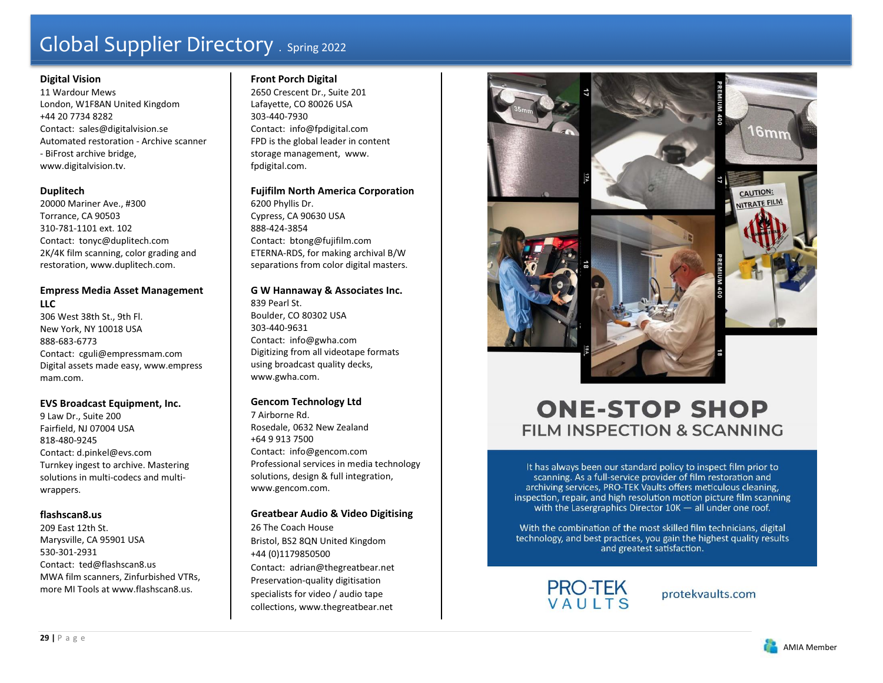#### **Digital Vision**

11 Wardour Mews London, W1F8AN United Kingdom +44 20 7734 8282 Contact: sales@digitalvision.se Automated restoration - Archive scanner - BiFrost archive bridge, www.digitalvision.tv.

#### **Duplitech**

20000 Mariner Ave., #300 Torrance, CA 90503 310-781-1101 ext. 102 Contact: tonyc@duplitech.com 2K/4K film scanning, color grading and restoration, www.duplitech.com.

# **Empress Media Asset Management LLC**

306 West 38th St., 9th Fl. New York, NY 10018 USA 888-683-6773 Contact: cguli@empressmam.com Digital assets made easy, www.empress mam.com.

### **EVS Broadcast Equipment, Inc.**

9 Law Dr., Suite 200 Fairfield, NJ 07004 USA 818-480-9245 Contact: d.pinkel@evs.com Turnkey ingest to archive. Mastering solutions in multi-codecs and multiwrappers.

### **flashscan8.us**

209 East 12th St. Marysville, CA 95901 USA 530-301-2931 Contact: ted@flashscan8.us MWA film scanners, Zinfurbished VTRs, more MI Tools at www.flashscan8.us.

# **Front Porch Digital**

2650 Crescent Dr., Suite 201 Lafayette, CO 80026 USA 303-440-7930 Contact: info@fpdigital.com FPD is the global leader in content storage management, www. fpdigital.com.

**Fujifilm North America Corporation**  6200 Phyllis Dr. Cypress, CA 90630 USA 888-424-3854 Contact: btong@fujifilm.com ETERNA-RDS, for making archival B/W separations from color digital masters.

**G W Hannaway & Associates Inc.**  839 Pearl St. Boulder, CO 80302 USA 303-440-9631 Contact: info@gwha.com Digitizing from all videotape formats using broadcast quality decks, www.gwha.com.

### **Gencom Technology Ltd**

7 Airborne Rd. Rosedale, 0632 New Zealand +64 9 913 7500 Contact: info@gencom.com Professional services in media technology solutions, design & full integration, www.gencom.com.

### **Greatbear Audio & Video Digitising**

26 The Coach House Bristol, BS2 8QN United Kingdom +44 (0)1179850500 Contact: adrian@thegreatbear.net Preservation-quality digitisation specialists for video / audio tape collections, www.thegreatbear.net



# **ONE-STOP SHOP FILM INSPECTION & SCANNING**

It has always been our standard policy to inspect film prior to scanning. As a full-service provider of film restoration and archiving services, PRO-TEK Vaults offers meticulous cleaning, inspection, repair, and high resolution motion picture film scanning with the Lasergraphics Director  $10K -$  all under one roof.

With the combination of the most skilled film technicians, digital technology, and best practices, you gain the highest quality results and greatest satisfaction.



protekvaults.com

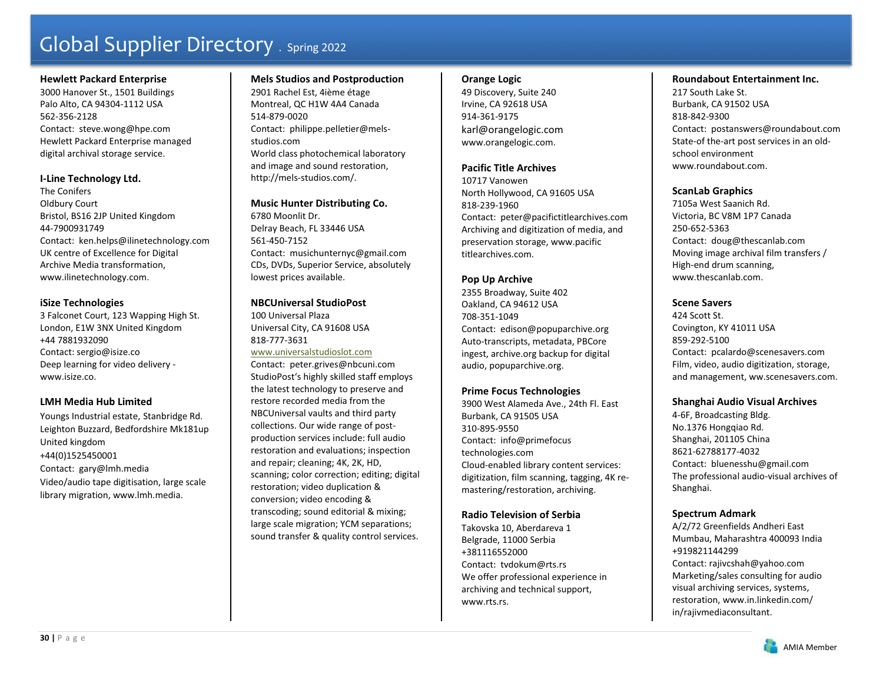#### **Hewlett Packard Enterprise**

3000 Hanover St., 1501 Buildings Palo Alto, CA 94304-1112 USA 562-356-2128 Contact: steve.wong@hpe.com Hewlett Packard Enterprise managed digital archival storage service.

### **I-Line Technology Ltd.**

The Conifers Oldbury Court Bristol, BS16 2JP United Kingdom 44-7900931749 Contact: ken.helps@ilinetechnology.com UK centre of Excellence for Digital Archive Media transformation, www.ilinetechnology.com.

### **iSize Technologies**

3 Falconet Court, 123 Wapping High St. London, E1W 3NX United Kingdom +44 7881932090 Contact: sergio@isize.co Deep learning for video delivery www.isize.co.

### **LMH Media Hub Limited**

Youngs Industrial estate, Stanbridge Rd. Leighton Buzzard, Bedfordshire Mk181up United kingdom +44(0)1525450001 Contact: gary@lmh.media Video/audio tape digitisation, large scale library migration, www.lmh.media.

# **Mels Studios and Postproduction**

2901 Rachel Est, 4ième étage Montreal, QC H1W 4A4 Canada 514-879-0020 Contact: philippe.pelletier@melsstudios.com World class photochemical laboratory and image and sound restoration, http://mels-studios.com/.

# **Music Hunter Distributing Co.**

6780 Moonlit Dr. Delray Beach, FL 33446 USA 561-450-7152 Contact: musichunternyc@gmail.com CDs, DVDs, Superior Service, absolutely lowest prices available.

# **NBCUniversal StudioPost**

100 Universal Plaza Universal City, CA 91608 USA 818-777-3631 www.universalstudioslot.com

Contact: peter.grives@nbcuni.com StudioPost's highly skilled staff employs the latest technology to preserve and restore recorded media from the NBCUniversal vaults and third party collections. Our wide range of postproduction services include: full audio restoration and evaluations; inspection and repair; cleaning; 4K, 2K, HD, scanning; color correction; editing; digital restoration; video duplication & conversion; video encoding & transcoding; sound editorial & mixing; large scale migration; YCM separations; sound transfer & quality control services.

### **Orange Logic**

49 Discovery, Suite 240 Irvine, CA 92618 USA 914-361-9175 karl@orangelogic.com www.orangelogic.com.

#### **Pacific Title Archives**

10717 Vanowen North Hollywood, CA 91605 USA 818-239-1960 Contact: peter@pacifictitlearchives.com Archiving and digitization of media, and preservation storage, www.pacific titlearchives.com.

# **Pop Up Archive**

2355 Broadway, Suite 402 Oakland, CA 94612 USA 708-351-1049 Contact: edison@popuparchive.org Auto-transcripts, metadata, PBCore ingest, archive.org backup for digital audio, popuparchive.org.

### **Prime Focus Technologies**

3900 West Alameda Ave., 24th Fl. East Burbank, CA 91505 USA 310-895-9550 Contact: info@primefocus technologies.com Cloud-enabled library content services: digitization, film scanning, tagging, 4K remastering/restoration, archiving.

### **Radio Television of Serbia**

Takovska 10, Aberdareva 1 Belgrade, 11000 Serbia +381116552000 Contact: tvdokum@rts.rs We offer professional experience in archiving and technical support, www.rts.rs.

#### **Roundabout Entertainment Inc.**

217 South Lake St. Burbank, CA 91502 USA 818-842-9300 Contact: postanswers@roundabout.com State-of the-art post services in an oldschool environment www.roundabout.com.

### **ScanLab Graphics**

7105a West Saanich Rd. Victoria, BC V8M 1P7 Canada 250-652-5363 Contact: doug@thescanlab.com Moving image archival film transfers / High-end drum scanning, www.thescanlab.com.

# **Scene Savers**

424 Scott St. Covington, KY 41011 USA 859-292-5100 Contact: pcalardo@scenesavers.com Film, video, audio digitization, storage, and management, ww.scenesavers.com.

### **Shanghai Audio Visual Archives**

4-6F, Broadcasting Bldg. No.1376 Hongqiao Rd. Shanghai, 201105 China 8621-62788177-4032 Contact: bluenesshu@gmail.com The professional audio-visual archives of Shanghai.

### **Spectrum Admark**

A/2/72 Greenfields Andheri East Mumbau, Maharashtra 400093 India +919821144299 Contact: rajivcshah@yahoo.com Marketing/sales consulting for audio visual archiving services, systems, restoration, www.in.linkedin.com/ in/rajivmediaconsultant.

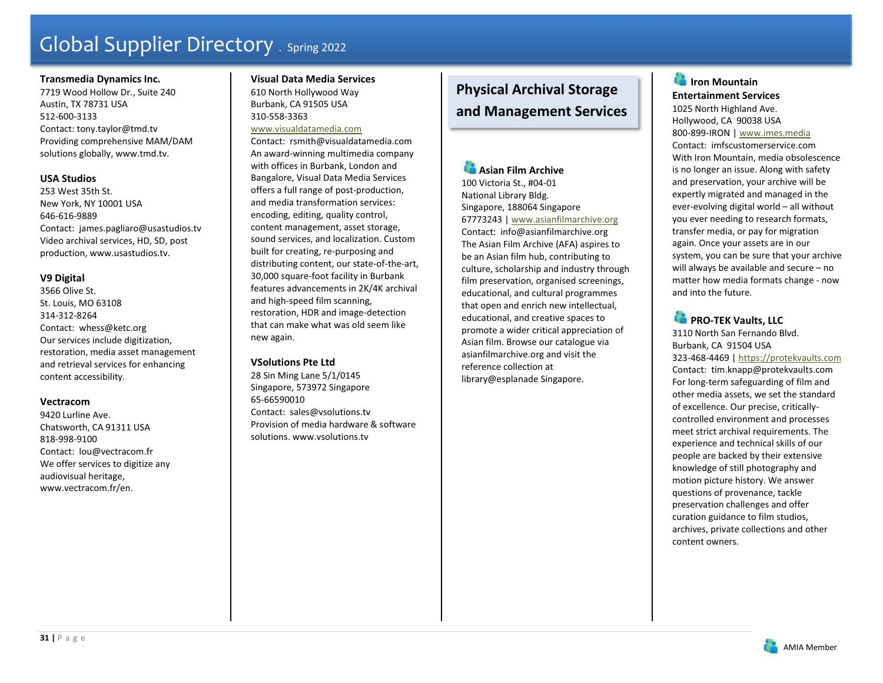#### **Transmedia Dynamics Inc.**

7719 Wood Hollow Dr., Suite 240 Austin, TX 78731 USA 512-600-3133 Contact: tony.taylor@tmd.tv Providing comprehensive MAM/DAM solutions globally, www.tmd.tv.

### **USA Studios**

253 West 35th St. New York, NY 10001 USA 646-616-9889 Contact: james.pagliaro@usastudios.tv Video archival services, HD, SD, post production, www.usastudios.tv.

### **V9 Digital**

3566 Olive St. St. Louis, MO 63108 314-312-8264 Contact: whess@ketc.org Our services include digitization, restoration, media asset management and retrieval services for enhancing content accessibility.

### **Vectracom**

9420 Lurline Ave. Chatsworth, CA 91311 USA 818-998-9100 Contact: lou@vectracom.fr We offer services to digitize any audiovisual heritage, www.vectracom.fr/en.

#### **Visual Data Media Services** 610 North Hollywood Way Burbank, CA 91505 USA 310-558-3363

# www.visualdatamedia.com

Contact: rsmith@visualdatamedia.com An award-winning multimedia company with offices in Burbank, London and Bangalore, Visual Data Media Services offers a full range of post-production, and media transformation services: encoding, editing, quality control, content management, asset storage, sound services, and localization. Custom built for creating, re-purposing and distributing content, our state-of-the-art, 30,000 square-foot facility in Burbank features advancements in 2K/4K archival and high-speed film scanning, restoration, HDR and image-detection that can make what was old seem like new again.

### **VSolutions Pte Ltd**

28 Sin Ming Lane 5/1/0145 Singapore, 573972 Singapore 65-66590010 Contact: sales@vsolutions.tv Provision of media hardware & software solutions. www.vsolutions.tv

# **Physical Archival Storage and Management Services**

# **Asian Film Archive**

100 Victoria St., #04-01 National Library Bldg. Singapore, 188064 Singapore 67773243 | www.asianfilmarchive.org Contact: info@asianfilmarchive.org The Asian Film Archive (AFA) aspires to be an Asian film hub, contributing to culture, scholarship and industry through film preservation, organised screenings, educational, and cultural programmes that open and enrich new intellectual, educational, and creative spaces to promote a wider critical appreciation of Asian film. Browse our catalogue via asianfilmarchive.org and visit the reference collection at library@esplanade Singapore.

# **IF** Iron Mountain **Entertainment Services**

1025 North Highland Ave. Hollywood, CA 90038 USA 800-899-IRON | www.imes.media Contact: imfscustomerservice.com With Iron Mountain, media obsolescence is no longer an issue. Along with safety and preservation, your archive will be expertly migrated and managed in the ever-evolving digital world – all without you ever needing to research formats, transfer media, or pay for migration again. Once your assets are in our system, you can be sure that your archive will always be available and secure – no matter how media formats change - now and into the future.

# **PRO-TEK Vaults, LLC**

3110 North San Fernando Blvd. Burbank, CA 91504 USA 323-468-4469 | https://protekvaults.com Contact: tim.knapp@protekvaults.com For long-term safeguarding of film and other media assets, we set the standard of excellence. Our precise, criticallycontrolled environment and processes meet strict archival requirements. The experience and technical skills of our people are backed by their extensive knowledge of still photography and motion picture history. We answer questions of provenance, tackle preservation challenges and offer curation guidance to film studios, archives, private collections and other content owners.

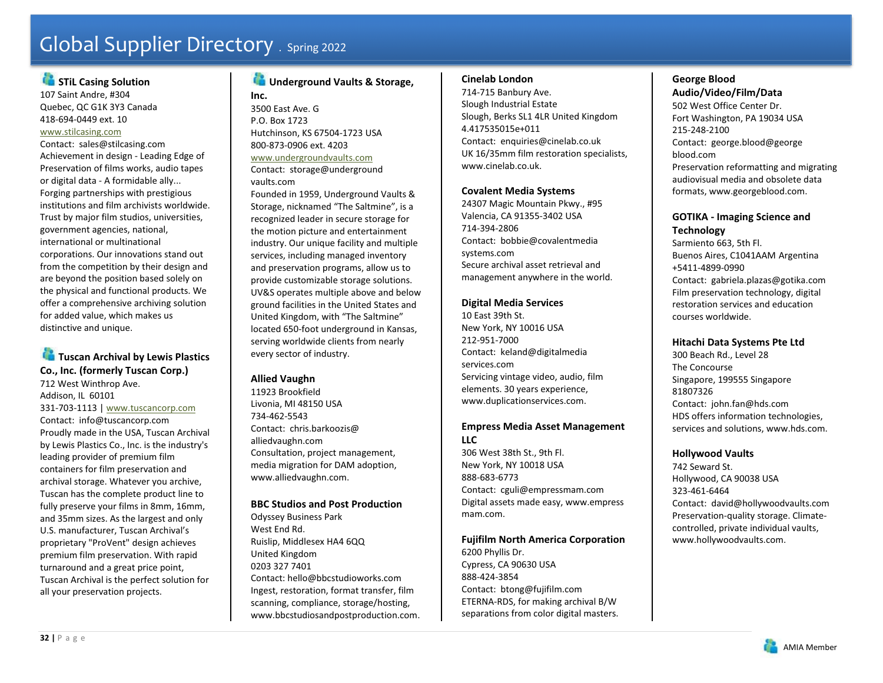# **STIL Casing Solution**

107 Saint Andre, #304 Quebec, QC G1K 3Y3 Canada 418-694-0449 ext. 10 www.stilcasing.com

Contact: sales@stilcasing.com Achievement in design - Leading Edge of Preservation of films works, audio tapes or digital data - A formidable ally... Forging partnerships with prestigious institutions and film archivists worldwide. Trust by major film studios, universities, government agencies, national, international or multinational corporations. Our innovations stand out from the competition by their design and are beyond the position based solely on the physical and functional products. We offer a comprehensive archiving solution for added value, which makes us distinctive and unique.

# **Tuscan Archival by Lewis Plastics Co., Inc. (formerly Tuscan Corp.)**

712 West Winthrop Ave. Addison, IL 60101 331-703-1113 | www.tuscancorp.com Contact: info@tuscancorp.com Proudly made in the USA, Tuscan Archival by Lewis Plastics Co., Inc. is the industry's leading provider of premium film containers for film preservation and archival storage. Whatever you archive, Tuscan has the complete product line to fully preserve your films in 8mm, 16mm, and 35mm sizes. As the largest and only U.S. manufacturer, Tuscan Archival's proprietary "ProVent" design achieves premium film preservation. With rapid turnaround and a great price point, Tuscan Archival is the perfect solution for all your preservation projects.

# **Underground Vaults & Storage,**

**Inc.** 3500 East Ave. G P.O. Box 1723 Hutchinson, KS 67504-1723 USA 800-873-0906 ext. 4203 www.undergroundvaults.com Contact: storage@underground vaults.com

Founded in 1959, Underground Vaults & Storage, nicknamed "The Saltmine", is a recognized leader in secure storage for the motion picture and entertainment industry. Our unique facility and multiple services, including managed inventory and preservation programs, allow us to provide customizable storage solutions. UV&S operates multiple above and below ground facilities in the United States and United Kingdom, with "The Saltmine" located 650-foot underground in Kansas, serving worldwide clients from nearly every sector of industry.

# **Allied Vaughn**

11923 Brookfield Livonia, MI 48150 USA 734-462-5543 Contact: chris.barkoozis@ alliedvaughn.com Consultation, project management, media migration for DAM adoption, www.alliedvaughn.com.

# **BBC Studios and Post Production**

Odyssey Business Park West End Rd. Ruislip, Middlesex HA4 6QQ United Kingdom 0203 327 7401 Contact: hello@bbcstudioworks.com Ingest, restoration, format transfer, film scanning, compliance, storage/hosting, www.bbcstudiosandpostproduction.com.

# **Cinelab London**

714-715 Banbury Ave. Slough Industrial Estate Slough, Berks SL1 4LR United Kingdom 4.417535015e+011 Contact: enquiries@cinelab.co.uk UK 16/35mm film restoration specialists, www.cinelab.co.uk.

# **Covalent Media Systems**

24307 Magic Mountain Pkwy., #95 Valencia, CA 91355-3402 USA 714-394-2806 Contact: bobbie@covalentmedia systems.com Secure archival asset retrieval and management anywhere in the world.

# **Digital Media Services**

10 East 39th St. New York, NY 10016 USA 212-951-7000 Contact: keland@digitalmedia services.com Servicing vintage video, audio, film elements. 30 years experience, www.duplicationservices.com.

### **Empress Media Asset Management**   $L<sub>1</sub>$

306 West 38th St., 9th Fl. New York, NY 10018 USA 888-683-6773 Contact: cguli@empressmam.com Digital assets made easy, www.empress mam.com.

# **Fujifilm North America Corporation**

6200 Phyllis Dr. Cypress, CA 90630 USA 888-424-3854 Contact: btong@fujifilm.com ETERNA-RDS, for making archival B/W separations from color digital masters.

# **George Blood Audio/Video/Film/Data**

502 West Office Center Dr. Fort Washington, PA 19034 USA 215-248-2100 Contact: george.blood@george blood.com Preservation reformatting and migrating audiovisual media and obsolete data formats, www.georgeblood.com.

# **GOTIKA - Imaging Science and Technology**

Sarmiento 663, 5th Fl. Buenos Aires, C1041AAM Argentina +5411-4899-0990 Contact: gabriela.plazas@gotika.com Film preservation technology, digital restoration services and education courses worldwide.

# **Hitachi Data Systems Pte Ltd**

300 Beach Rd., Level 28 The Concourse Singapore, 199555 Singapore 81807326 Contact: john.fan@hds.com HDS offers information technologies, services and solutions, www.hds.com.

# **Hollywood Vaults**

742 Seward St. Hollywood, CA 90038 USA 323-461-6464 Contact: david@hollywoodvaults.com Preservation-quality storage. Climatecontrolled, private individual vaults, www.hollywoodvaults.com.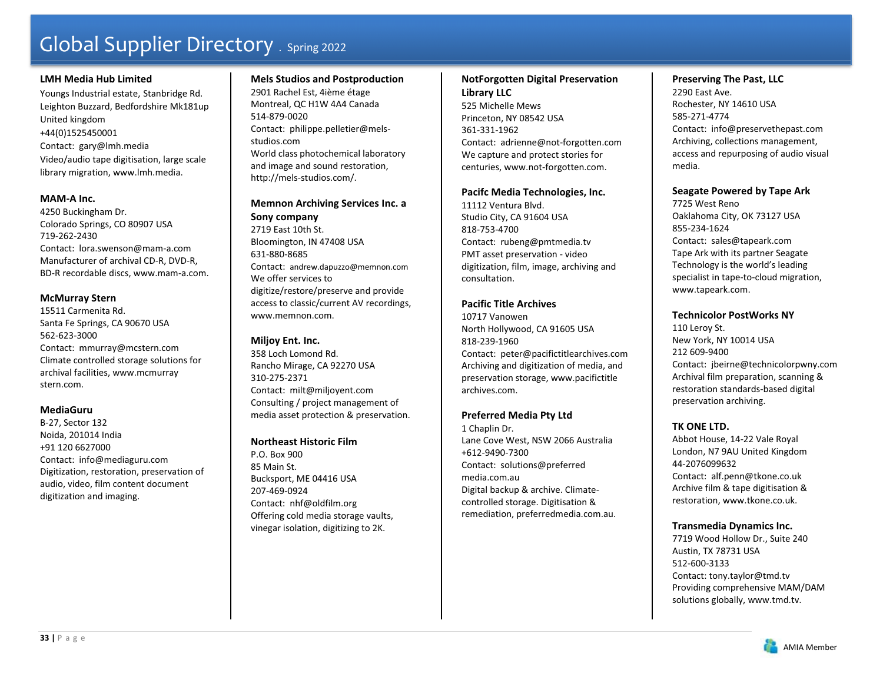### **LMH Media Hub Limited**

Youngs Industrial estate, Stanbridge Rd. Leighton Buzzard, Bedfordshire Mk181up United kingdom +44(0)1525450001 Contact: gary@lmh.media Video/audio tape digitisation, large scale library migration, www.lmh.media.

#### **MAM-A Inc.**

4250 Buckingham Dr. Colorado Springs, CO 80907 USA 719-262-2430 Contact: lora.swenson@mam-a.com Manufacturer of archival CD-R, DVD-R, BD-R recordable discs, www.mam-a.com.

#### **McMurray Stern**

15511 Carmenita Rd. Santa Fe Springs, CA 90670 USA 562-623-3000 Contact: mmurray@mcstern.com Climate controlled storage solutions for archival facilities, www.mcmurray stern.com.

### **MediaGuru**

B-27, Sector 132 Noida, 201014 India +91 120 6627000 Contact: info@mediaguru.com Digitization, restoration, preservation of audio, video, film content document digitization and imaging.

### **Mels Studios and Postproduction**

2901 Rachel Est, 4ième étage Montreal, QC H1W 4A4 Canada 514-879-0020 Contact: philippe.pelletier@melsstudios.com World class photochemical laboratory and image and sound restoration, http://mels-studios.com/.

# **Memnon Archiving Services Inc. a Sony company**

2719 East 10th St. Bloomington, IN 47408 USA 631-880-8685 Contact: andrew.dapuzzo@memnon.com We offer services to digitize/restore/preserve and provide access to classic/current AV recordings, www.memnon.com.

### **Miljoy Ent. Inc.**

358 Loch Lomond Rd. Rancho Mirage, CA 92270 USA 310-275-2371 Contact: milt@miljoyent.com Consulting / project management of media asset protection & preservation.

### **Northeast Historic Film**

P.O. Box 900 85 Main St. Bucksport, ME 04416 USA 207-469-0924 Contact: nhf@oldfilm.org Offering cold media storage vaults, vinegar isolation, digitizing to 2K.

### **NotForgotten Digital Preservation Library LLC**

525 Michelle Mews Princeton, NY 08542 USA 361-331-1962 Contact: adrienne@not-forgotten.com We capture and protect stories for centuries, www.not-forgotten.com.

#### **Pacifc Media Technologies, Inc.**

11112 Ventura Blvd. Studio City, CA 91604 USA 818-753-4700 Contact: rubeng@pmtmedia.tv PMT asset preservation - video digitization, film, image, archiving and consultation.

# **Pacific Title Archives**

10717 Vanowen North Hollywood, CA 91605 USA 818-239-1960 Contact: peter@pacifictitlearchives.com Archiving and digitization of media, and preservation storage, www.pacifictitle archives.com.

# **Preferred Media Pty Ltd**

1 Chaplin Dr. Lane Cove West, NSW 2066 Australia +612-9490-7300 Contact: solutions@preferred media.com.au Digital backup & archive. Climatecontrolled storage. Digitisation & remediation, preferredmedia.com.au.

### **Preserving The Past, LLC**

2290 East Ave. Rochester, NY 14610 USA 585-271-4774 Contact: info@preservethepast.com Archiving, collections management, access and repurposing of audio visual media.

#### **Seagate Powered by Tape Ark**

7725 West Reno Oaklahoma City, OK 73127 USA 855-234-1624 Contact: sales@tapeark.com Tape Ark with its partner Seagate Technology is the world's leading specialist in tape-to-cloud migration, www.tapeark.com.

#### **Technicolor PostWorks NY**

110 Leroy St. New York, NY 10014 USA 212 609-9400Contact: jbeirne@technicolorpwny.com Archival film preparation, scanning & restoration standards-based digital preservation archiving.

# **TK ONE LTD.**

Abbot House, 14-22 Vale Royal London, N7 9AU United Kingdom 44-2076099632 Contact: alf.penn@tkone.co.uk Archive film & tape digitisation & restoration, www.tkone.co.uk.

#### **Transmedia Dynamics Inc.**

7719 Wood Hollow Dr., Suite 240 Austin, TX 78731 USA 512-600-3133 Contact: tony.taylor@tmd.tv Providing comprehensive MAM/DAM solutions globally, www.tmd.tv.

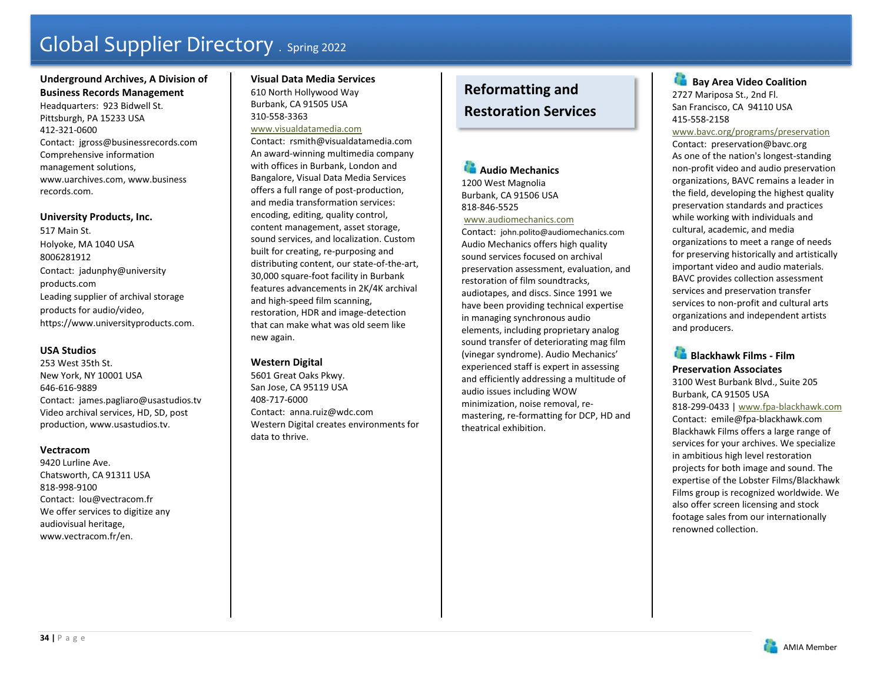### **Underground Archives, A Division of Business Records Management**

Headquarters: 923 Bidwell St. Pittsburgh, PA 15233 USA 412-321-0600 Contact: jgross@businessrecords.com Comprehensive information management solutions, www.uarchives.com, www.business records.com.

#### **University Products, Inc.**

517 Main St. Holyoke, MA 1040 USA 8006281912 Contact: jadunphy@university products.com Leading supplier of archival storage products for audio/video, https://www.universityproducts.com.

### **USA Studios**

253 West 35th St. New York, NY 10001 USA 646-616-9889 Contact: james.pagliaro@usastudios.tv Video archival services, HD, SD, post production, www.usastudios.tv.

### **Vectracom**

9420 Lurline Ave. Chatsworth, CA 91311 USA 818-998-9100 Contact: lou@vectracom.fr We offer services to digitize any audiovisual heritage, www.vectracom.fr/en.

#### **Visual Data Media Services** 610 North Hollywood Way Burbank, CA 91505 USA 310-558-3363

#### www.visualdatamedia.com

Contact: rsmith@visualdatamedia.com An award-winning multimedia company with offices in Burbank, London and Bangalore, Visual Data Media Services offers a full range of post-production, and media transformation services: encoding, editing, quality control, content management, asset storage, sound services, and localization. Custom built for creating, re-purposing and distributing content, our state-of-the-art, 30,000 square-foot facility in Burbank features advancements in 2K/4K archival and high-speed film scanning, restoration, HDR and image-detection that can make what was old seem like new again.

# **Western Digital**

5601 Great Oaks Pkwy. San Jose, CA 95119 USA 408-717-6000 Contact: anna.ruiz@wdc.com Western Digital creates environments for data to thrive.

# **Reformatting and Restoration Services**

**Audio Mechanics** 1200 West Magnolia Burbank, CA 91506 USA 818-846-5525

 www.audiomechanics.com Contact: john.polito@audiomechanics.com Audio Mechanics offers high quality sound services focused on archival preservation assessment, evaluation, and restoration of film soundtracks, audiotapes, and discs. Since 1991 we have been providing technical expertise in managing synchronous audio elements, including proprietary analog sound transfer of deteriorating mag film (vinegar syndrome). Audio Mechanics' experienced staff is expert in assessing and efficiently addressing a multitude of audio issues including WOW minimization, noise removal, remastering, re-formatting for DCP, HD and theatrical exhibition.

œ.  **Bay Area Video Coalition**  2727 Mariposa St., 2nd Fl. San Francisco, CA 94110 USA 415-558-2158

www.bavc.org/programs/preservation

Contact: preservation@bavc.org As one of the nation's longest-standing non-profit video and audio preservation organizations, BAVC remains a leader in the field, developing the highest quality preservation standards and practices while working with individuals and cultural, academic, and media organizations to meet a range of needs for preserving historically and artistically important video and audio materials. BAVC provides collection assessment services and preservation transfer services to non-profit and cultural arts organizations and independent artists and producers.

**Blackhawk Films - Film Preservation Associates** 3100 West Burbank Blvd., Suite 205 Burbank, CA 91505 USA 818-299-0433 | www.fpa-blackhawk.com Contact: emile@fpa-blackhawk.com Blackhawk Films offers a large range of services for your archives. We specialize in ambitious high level restoration projects for both image and sound. The expertise of the Lobster Films/Blackhawk Films group is recognized worldwide. We also offer screen licensing and stock footage sales from our internationally renowned collection.

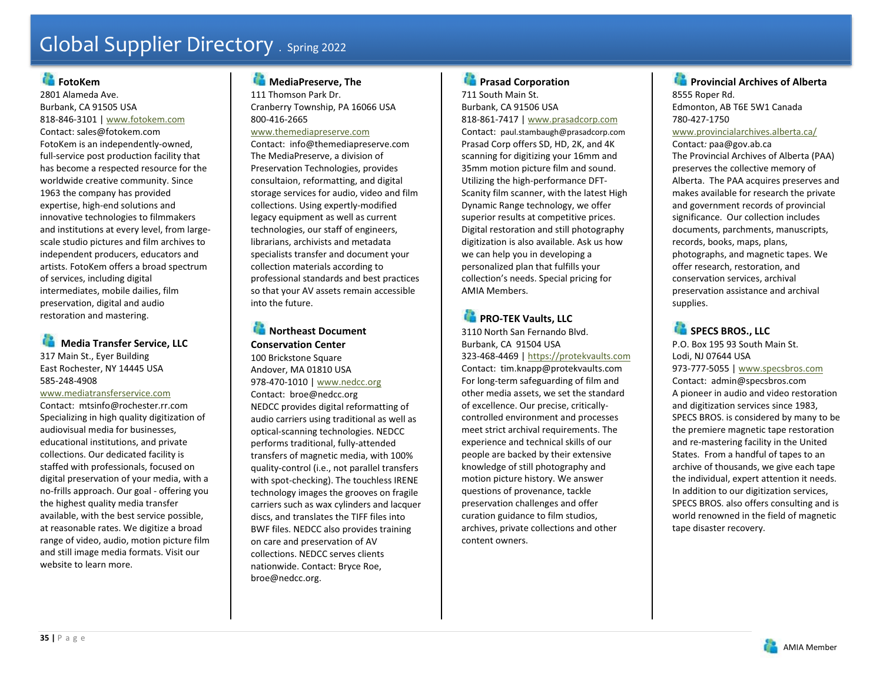# **FotoKem**

2801 Alameda Ave. Burbank, CA 91505 USA 818-846-3101 | www.fotokem.com Contact: sales@fotokem.com FotoKem is an independently-owned, full-service post production facility that has become a respected resource for the worldwide creative community. Since 1963 the company has provided expertise, high-end solutions and innovative technologies to filmmakers and institutions at every level, from largescale studio pictures and film archives to independent producers, educators and artists. FotoKem offers a broad spectrum of services, including digital intermediates, mobile dailies, film preservation, digital and audio restoration and mastering.

# **Media Transfer Service, LLC**

317 Main St., Eyer Building East Rochester, NY 14445 USA 585-248-4908

#### www.mediatransferservice.com

Contact: mtsinfo@rochester.rr.com Specializing in high quality digitization of audiovisual media for businesses, educational institutions, and private collections. Our dedicated facility is staffed with professionals, focused on digital preservation of your media, with a no-frills approach. Our goal - offering you the highest quality media transfer available, with the best service possible, at reasonable rates. We digitize a broad range of video, audio, motion picture film and still image media formats. Visit our website to learn more.

# **MediaPreserve, The**

111 Thomson Park Dr. Cranberry Township, PA 16066 USA 800-416-2665

### www.themediapreserve.com

Contact: info@themediapreserve.com The MediaPreserve, a division of Preservation Technologies, provides consultaion, reformatting, and digital storage services for audio, video and film collections. Using expertly-modified legacy equipment as well as current technologies, our staff of engineers, librarians, archivists and metadata specialists transfer and document your collection materials according to professional standards and best practices so that your AV assets remain accessible into the future.

# **Northeast Document Conservation Center**

100 Brickstone Square Andover, MA 01810 USA 978-470-1010 | www.nedcc.org Contact: broe@nedcc.org NEDCC provides digital reformatting of audio carriers using traditional as well as optical-scanning technologies. NEDCC performs traditional, fully-attended transfers of magnetic media, with 100% quality-control (i.e., not parallel transfers with spot-checking). The touchless IRENE technology images the grooves on fragile carriers such as wax cylinders and lacquer discs, and translates the TIFF files into BWF files. NEDCC also provides training on care and preservation of AV collections. NEDCC serves clients nationwide. Contact: Bryce Roe, broe@nedcc.org.

### **Prasad Corporation** 711 South Main St.

Burbank, CA 91506 USA 818-861-7417 | www.prasadcorp.com Contact: paul.stambaugh@prasadcorp.com

Prasad Corp offers SD, HD, 2K, and 4K scanning for digitizing your 16mm and 35mm motion picture film and sound. Utilizing the high-performance DFT-Scanity film scanner, with the latest High Dynamic Range technology, we offer superior results at competitive prices. Digital restoration and still photography digitization is also available. Ask us how we can help you in developing a personalized plan that fulfills your collection's needs. Special pricing for AMIA Members.

# **PRO-TEK Vaults, LLC** 3110 North San Fernando Blvd. Burbank, CA 91504 USA 323-468-4469 | https://protekvaults.com Contact: tim.knapp@protekvaults.com For long-term safeguarding of film and other media assets, we set the standard of excellence. Our precise, criticallycontrolled environment and processes meet strict archival requirements. The experience and technical skills of our people are backed by their extensive knowledge of still photography and motion picture history. We answer questions of provenance, tackle preservation challenges and offer curation guidance to film studios, archives, private collections and other

content owners.

# **Provincial Archives of Alberta** 8555 Roper Rd. Edmonton, AB T6E 5W1 Canada 780-427-1750 www.provincialarchives.alberta.ca/ Contact*:* paa@gov.ab.ca The Provincial Archives of Alberta (PAA) preserves the collective memory of Alberta. The PAA acquires preserves and makes available for research the private and government records of provincial significance. Our collection includes documents, parchments, manuscripts, records, books, maps, plans, photographs, and magnetic tapes. We offer research, restoration, and conservation services, archival preservation assistance and archival supplies.

**SPECS BROS., LLC** P.O. Box 195 93 South Main St. Lodi, NJ 07644 USA 973-777-5055 | www.specsbros.com Contact: admin@specsbros.com A pioneer in audio and video restoration and digitization services since 1983, SPECS BROS. is considered by many to be the premiere magnetic tape restoration and re-mastering facility in the United States. From a handful of tapes to an archive of thousands, we give each tape the individual, expert attention it needs. In addition to our digitization services, SPECS BROS. also offers consulting and is world renowned in the field of magnetic tape disaster recovery.

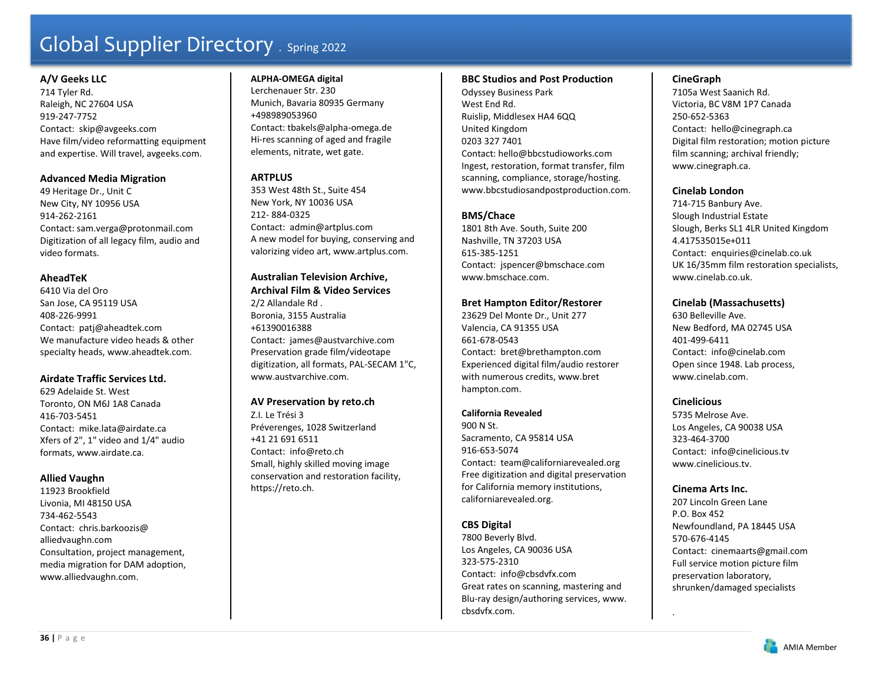### **A/V Geeks LLC**

714 Tyler Rd. Raleigh, NC 27604 USA 919-247-7752 Contact: skip@avgeeks.com Have film/video reformatting equipment and expertise. Will travel, avgeeks.com.

### **Advanced Media Migration**

49 Heritage Dr., Unit C New City, NY 10956 USA 914-262-2161 Contact: sam.verga@protonmail.com Digitization of all legacy film, audio and video formats.

### **AheadTeK**

6410 Via del Oro San Jose, CA 95119 USA 408-226-9991 Contact: patj@aheadtek.com We manufacture video heads & other specialty heads, www.aheadtek.com.

### **Airdate Traffic Services Ltd.**

629 Adelaide St. West Toronto, ON M6J 1A8 Canada 416-703-5451 Contact: mike.lata@airdate.ca Xfers of 2", 1" video and 1/4" audio formats, www.airdate.ca.

#### **Allied Vaughn**

11923 Brookfield Livonia, MI 48150 USA 734-462-5543 Contact: chris.barkoozis@ alliedvaughn.com Consultation, project management, media migration for DAM adoption, www.alliedvaughn.com.

#### **ALPHA-OMEGA digital**

Lerchenauer Str. 230 Munich, Bavaria 80935 Germany +498989053960 Contact: tbakels@alpha-omega.de Hi-res scanning of aged and fragile elements, nitrate, wet gate.

# **ARTPLUS**

353 West 48th St., Suite 454 New York, NY 10036 USA 212- 884-0325 Contact: admin@artplus.com A new model for buying, conserving and valorizing video art, www.artplus.com.

#### **Australian Television Archive, Archival Film & Video Services**

2/2 Allandale Rd . Boronia, 3155 Australia +61390016388 Contact: james@austvarchive.com Preservation grade film/videotape digitization, all formats, PAL-SECAM 1"C, www.austvarchive.com.

# **AV Preservation by reto.ch**

Z.I. Le Trési 3 Préverenges, 1028 Switzerland +41 21 691 6511 Contact: info@reto.ch Small, highly skilled moving image conservation and restoration facility, https://reto.ch.

#### **BBC Studios and Post Production**

Odyssey Business Park West End Rd. Ruislip, Middlesex HA4 6QQ United Kingdom 0203 327 7401 Contact: hello@bbcstudioworks.com Ingest, restoration, format transfer, film scanning, compliance, storage/hosting. www.bbcstudiosandpostproduction.com.

# **BMS/Chace**

1801 8th Ave. South, Suite 200 Nashville, TN 37203 USA 615-385-1251 Contact: jspencer@bmschace.com www.bmschace.com.

# **Bret Hampton Editor/Restorer**

23629 Del Monte Dr., Unit 277 Valencia, CA 91355 USA 661-678-0543 Contact: bret@brethampton.com Experienced digital film/audio restorer with numerous credits, www.bret hampton.com.

#### **California Revealed**

900 N St. Sacramento, CA 95814 USA 916-653-5074 Contact: team@californiarevealed.org Free digitization and digital preservation for California memory institutions, californiarevealed.org.

# **CBS Digital**

7800 Beverly Blvd. Los Angeles, CA 90036 USA 323-575-2310 Contact: info@cbsdvfx.com Great rates on scanning, mastering and Blu-ray design/authoring services, www. cbsdvfx.com.

### **CineGraph**

7105a West Saanich Rd. Victoria, BC V8M 1P7 Canada 250-652-5363 Contact: hello@cinegraph.ca Digital film restoration; motion picture film scanning; archival friendly; www.cinegraph.ca.

### **Cinelab London**

714-715 Banbury Ave. Slough Industrial Estate Slough, Berks SL1 4LR United Kingdom 4.417535015e+011 Contact: enquiries@cinelab.co.uk UK 16/35mm film restoration specialists, www.cinelab.co.uk.

# **Cinelab (Massachusetts)**

630 Belleville Ave. New Bedford, MA 02745 USA 401-499-6411 Contact: info@cinelab.com Open since 1948. Lab process, www.cinelab.com.

# **Cinelicious**

5735 Melrose Ave. Los Angeles, CA 90038 USA 323-464-3700 Contact: info@cinelicious.tv www.cinelicious.tv.

### **Cinema Arts Inc.**

.

207 Lincoln Green Lane P.O. Box 452 Newfoundland, PA 18445 USA 570-676-4145 Contact: cinemaarts@gmail.com Full service motion picture film preservation laboratory, shrunken/damaged specialists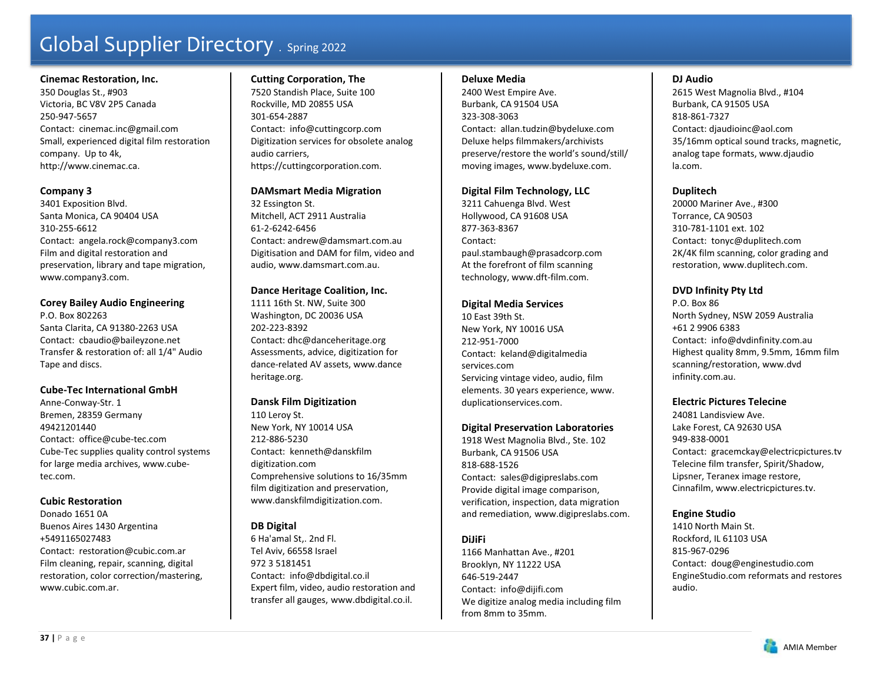### **Cinemac Restoration, Inc.**

350 Douglas St., #903 Victoria, BC V8V 2P5 Canada 250-947-5657 Contact: cinemac.inc@gmail.com Small, experienced digital film restoration company. Up to 4k, http://www.cinemac.ca.

# **Company 3**

3401 Exposition Blvd. Santa Monica, CA 90404 USA 310-255-6612 Contact: angela.rock@company3.com Film and digital restoration and preservation, library and tape migration, www.company3.com.

# **Corey Bailey Audio Engineering**

P.O. Box 802263 Santa Clarita, CA 91380-2263 USA Contact: cbaudio@baileyzone.net Transfer & restoration of: all 1/4" Audio Tape and discs.

# **Cube-Tec International GmbH**

Anne-Conway-Str. 1 Bremen, 28359 Germany 49421201440 Contact: office@cube-tec.com Cube-Tec supplies quality control systems for large media archives, www.cubetec.com.

# **Cubic Restoration**

Donado 1651 0A Buenos Aires 1430 Argentina +5491165027483 Contact: restoration@cubic.com.ar Film cleaning, repair, scanning, digital restoration, color correction/mastering, www.cubic.com.ar.

# **Cutting Corporation, The**

7520 Standish Place, Suite 100 Rockville, MD 20855 USA 301-654-2887 Contact: info@cuttingcorp.com Digitization services for obsolete analog audio carriers, https://cuttingcorporation.com.

# **DAMsmart Media Migration**

32 Essington St. Mitchell, ACT 2911 Australia 61-2-6242-6456 Contact: andrew@damsmart.com.au Digitisation and DAM for film, video and audio, www.damsmart.com.au.

# **Dance Heritage Coalition, Inc.**

1111 16th St. NW, Suite 300 Washington, DC 20036 USA 202-223-8392 Contact: dhc@danceheritage.org Assessments, advice, digitization for dance-related AV assets, www.dance heritage.org.

# **Dansk Film Digitization**

110 Leroy St. New York, NY 10014 USA 212-886-5230 Contact: kenneth@danskfilm digitization.com Comprehensive solutions to 16/35mm film digitization and preservation, www.danskfilmdigitization.com.

# **DB Digital**

6 Ha'amal St,. 2nd Fl. Tel Aviv, 66558 Israel 972 3 5181451 Contact: info@dbdigital.co.il Expert film, video, audio restoration and transfer all gauges, www.dbdigital.co.il.

# **Deluxe Media**

2400 West Empire Ave. Burbank, CA 91504 USA 323-308-3063 Contact: allan.tudzin@bydeluxe.com Deluxe helps filmmakers/archivists preserve/restore the world's sound/still/ moving images, www.bydeluxe.com.

# **Digital Film Technology, LLC**

3211 Cahuenga Blvd. West Hollywood, CA 91608 USA 877-363-8367 Contact: paul.stambaugh@prasadcorp.com At the forefront of film scanning technology, www.dft-film.com.

# **Digital Media Services**

10 East 39th St. New York, NY 10016 USA 212-951-7000 Contact: keland@digitalmedia services.com Servicing vintage video, audio, film elements. 30 years experience, www. duplicationservices.com.

# **Digital Preservation Laboratories**

1918 West Magnolia Blvd., Ste. 102 Burbank, CA 91506 USA 818-688-1526Contact: sales@digipreslabs.com Provide digital image comparison, verification, inspection, data migration and remediation, www.digipreslabs.com.

# **DiJiFi**

1166 Manhattan Ave., #201 Brooklyn, NY 11222 USA 646-519-2447 Contact: info@dijifi.com We digitize analog media including film from 8mm to 35mm.

# **DJ Audio**

2615 West Magnolia Blvd., #104 Burbank, CA 91505 USA 818-861-7327 Contact: djaudioinc@aol.com 35/16mm optical sound tracks, magnetic, analog tape formats, www.djaudio la.com.

# **Duplitech**

20000 Mariner Ave., #300 Torrance, CA 90503 310-781-1101 ext. 102 Contact: tonyc@duplitech.com 2K/4K film scanning, color grading and restoration, www.duplitech.com.

# **DVD Infinity Pty Ltd**

P.O. Box 86 North Sydney, NSW 2059 Australia +61 2 9906 6383 Contact: info@dvdinfinity.com.au Highest quality 8mm, 9.5mm, 16mm film scanning/restoration, www.dvd infinity.com.au.

# **Electric Pictures Telecine**

24081 Landisview Ave. Lake Forest, CA 92630 USA 949-838-0001 Contact: gracemckay@electricpictures.tv Telecine film transfer, Spirit/Shadow, Lipsner, Teranex image restore, Cinnafilm, www.electricpictures.tv.

# **Engine Studio**

1410 North Main St. Rockford, IL 61103 USA 815-967-0296 Contact: doug@enginestudio.com EngineStudio.com reformats and restores audio.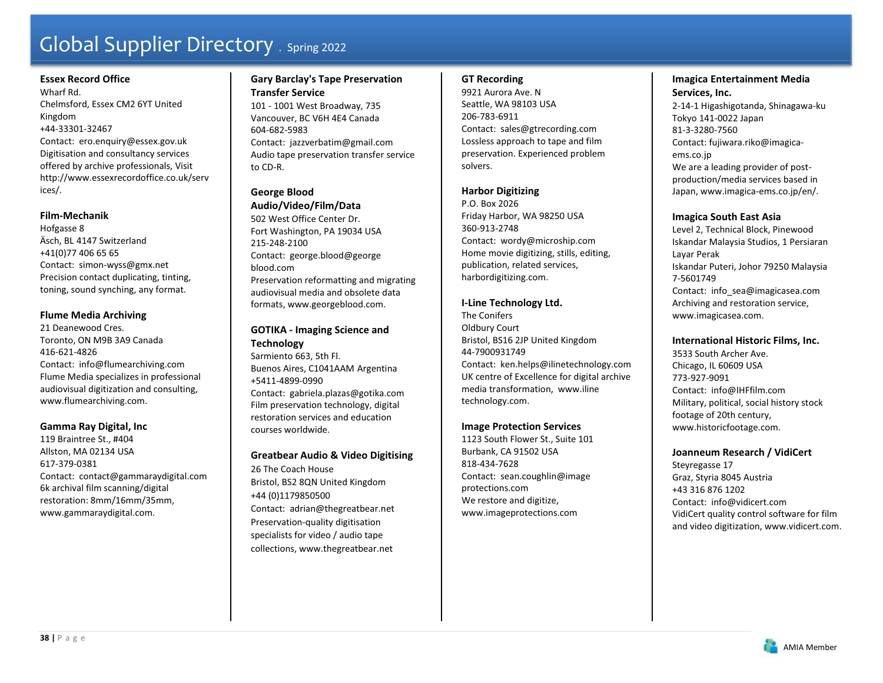# **Essex Record Office**

Wharf Rd. Chelmsford, Essex CM2 6YT United Kingdom +44-33301-32467 Contact: ero.enquiry@essex.gov.uk Digitisation and consultancy services offered by archive professionals, Visit http://www.essexrecordoffice.co.uk/serv ices/.

### **Film-Mechanik**

Hofgasse 8 Äsch, BL 4147 Switzerland +41(0)77 406 65 65 Contact: simon-wyss@gmx.net Precision contact duplicating, tinting, toning, sound synching, any format.

# **Flume Media Archiving**

21 Deanewood Cres. Toronto, ON M9B 3A9 Canada 416-621-4826 Contact: info@flumearchiving.com Flume Media specializes in professional audiovisual digitization and consulting, www.flumearchiving.com.

# **Gamma Ray Digital, Inc**

119 Braintree St., #404 Allston, MA 02134 USA 617-379-0381 Contact: contact@gammaraydigital.com 6k archival film scanning/digital restoration: 8mm/16mm/35mm, www.gammaraydigital.com.

# **Gary Barclay's Tape Preservation Transfer Service**

101 - 1001 West Broadway, 735 Vancouver, BC V6H 4E4 Canada 604-682-5983 Contact: jazzverbatim@gmail.com Audio tape preservation transfer service to CD-R.

# **George Blood**

#### **Audio/Video/Film/Data**

502 West Office Center Dr. Fort Washington, PA 19034 USA 215-248-2100 Contact: george.blood@george blood.com Preservation reformatting and migrating audiovisual media and obsolete data formats, www.georgeblood.com.

# **GOTIKA - Imaging Science and Technology**

Sarmiento 663, 5th Fl. Buenos Aires, C1041AAM Argentina +5411-4899-0990 Contact: gabriela.plazas@gotika.com Film preservation technology, digital restoration services and education courses worldwide.

# **Greatbear Audio & Video Digitising**

26 The Coach House Bristol, BS2 8QN United Kingdom +44 (0)1179850500 Contact: adrian@thegreatbear.net Preservation-quality digitisation specialists for video / audio tape collections, www.thegreatbear.net

# **GT Recording**

9921 Aurora Ave. N Seattle, WA 98103 USA 206-783-6911 Contact: sales@gtrecording.com Lossless approach to tape and film preservation. Experienced problem solvers.

# **Harbor Digitizing**

P.O. Box 2026 Friday Harbor, WA 98250 USA 360-913-2748 Contact: wordy@microship.com Home movie digitizing, stills, editing, publication, related services, harbordigitizing.com.

# **I-Line Technology Ltd.**

The Conifers Oldbury Court Bristol, BS16 2JP United Kingdom 44-7900931749 Contact: ken.helps@ilinetechnology.com UK centre of Excellence for digital archive media transformation, www.iline technology.com.

# **Image Protection Services**

1123 South Flower St., Suite 101 Burbank, CA 91502 USA 818-434-7628 Contact: sean.coughlin@image protections.com We restore and digitize, www.imageprotections.com

# **Imagica Entertainment Media Services, Inc.**

2-14-1 Higashigotanda, Shinagawa-ku Tokyo 141-0022 Japan 81-3-3280-7560 Contact: fujiwara.riko@imagicaems.co.jp We are a leading provider of postproduction/media services based in Japan, www.imagica-ems.co.jp/en/.

### **Imagica South East Asia**

Level 2, Technical Block, Pinewood Iskandar Malaysia Studios, 1 Persiaran Layar Perak Iskandar Puteri, Johor 79250 Malaysia 7-5601749 Contact: info\_sea@imagicasea.com Archiving and restoration service, www.imagicasea.com.

### **International Historic Films, Inc.**

3533 South Archer Ave. Chicago, IL 60609 USA 773-927-9091 Contact: info@IHFfilm.com Military, political, social history stock footage of 20th century, www.historicfootage.com.

### **Joanneum Research / VidiCert**

Steyregasse 17 Graz, Styria 8045 Austria +43 316 876 1202 Contact: info@vidicert.com VidiCert quality control software for film and video digitization, www.vidicert.com.

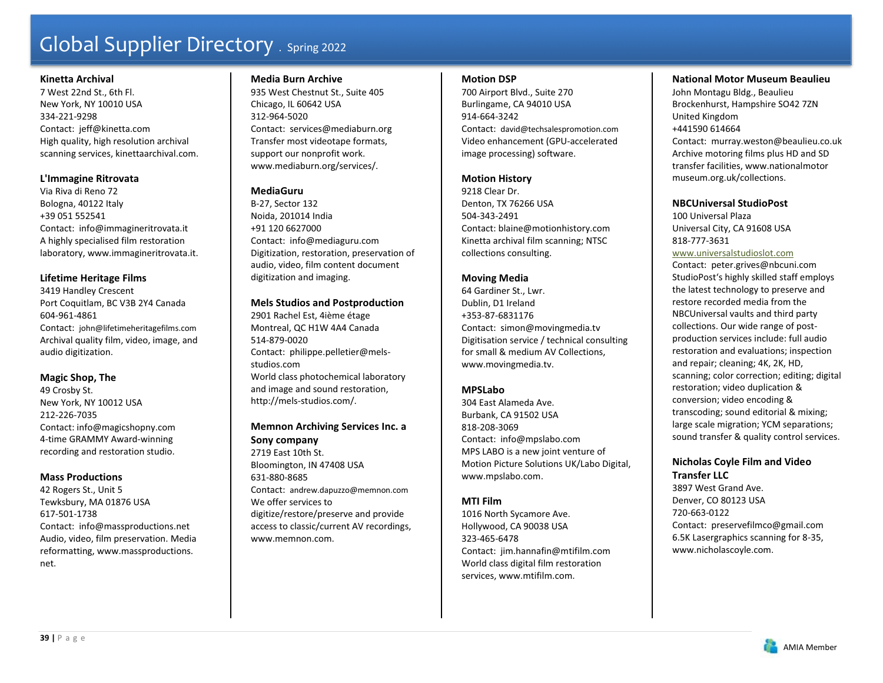#### **Kinetta Archival**

7 West 22nd St., 6th Fl. New York, NY 10010 USA 334-221-9298 Contact: jeff@kinetta.com High quality, high resolution archival scanning services, kinettaarchival.com.

# **L'Immagine Ritrovata**

Via Riva di Reno 72 Bologna, 40122 Italy +39 051 552541 Contact: info@immagineritrovata.it A highly specialised film restoration laboratory, www.immagineritrovata.it.

# **Lifetime Heritage Films**

3419 Handley Crescent Port Coquitlam, BC V3B 2Y4 Canada 604-961-4861 Contact: john@lifetimeheritagefilms.com Archival quality film, video, image, and audio digitization.

### **Magic Shop, The**

49 Crosby St. New York, NY 10012 USA 212-226-7035 Contact: info@magicshopny.com 4-time GRAMMY Award-winning recording and restoration studio.

### **Mass Productions**

42 Rogers St., Unit 5 Tewksbury, MA 01876 USA 617-501-1738 Contact: info@massproductions.net Audio, video, film preservation. Media reformatting, www.massproductions. net.

### **Media Burn Archive**

935 West Chestnut St., Suite 405 Chicago, IL 60642 USA 312-964-5020 Contact: services@mediaburn.org Transfer most videotape formats, support our nonprofit work. www.mediaburn.org/services/.

# **MediaGuru**

B-27, Sector 132 Noida, 201014 India +91 120 6627000 Contact: info@mediaguru.com Digitization, restoration, preservation of audio, video, film content document digitization and imaging.

# **Mels Studios and Postproduction**

2901 Rachel Est, 4ième étage Montreal, QC H1W 4A4 Canada 514-879-0020 Contact: philippe.pelletier@melsstudios.com World class photochemical laboratory and image and sound restoration, http://mels-studios.com/.

**Memnon Archiving Services Inc. a Sony company**  2719 East 10th St. Bloomington, IN 47408 USA 631-880-8685 Contact: andrew.dapuzzo@memnon.com We offer services to digitize/restore/preserve and provide access to classic/current AV recordings,

www.memnon.com.

#### **Motion DSP**

700 Airport Blvd., Suite 270 Burlingame, CA 94010 USA 914-664-3242 Contact: david@techsalespromotion.com Video enhancement (GPU-accelerated image processing) software.

### **Motion History**

9218 Clear Dr. Denton, TX 76266 USA 504-343-2491 Contact: blaine@motionhistory.com Kinetta archival film scanning; NTSC collections consulting.

### **Moving Media**

64 Gardiner St., Lwr. Dublin, D1 Ireland +353-87-6831176 Contact: simon@movingmedia.tv Digitisation service / technical consulting for small & medium AV Collections, www.movingmedia.tv.

# **MPSLabo**

304 East Alameda Ave. Burbank, CA 91502 USA 818-208-3069 Contact: info@mpslabo.com MPS LABO is a new joint venture of Motion Picture Solutions UK/Labo Digital, www.mpslabo.com.

# **MTI Film**

1016 North Sycamore Ave. Hollywood, CA 90038 USA 323-465-6478 Contact: jim.hannafin@mtifilm.com World class digital film restoration services, www.mtifilm.com.

# **National Motor Museum Beaulieu**

John Montagu Bldg., Beaulieu Brockenhurst, Hampshire SO42 7ZN United Kingdom +441590 614664 Contact: murray.weston@beaulieu.co.uk Archive motoring films plus HD and SD transfer facilities, www.nationalmotor museum.org.uk/collections.

### **NBCUniversal StudioPost**

100 Universal Plaza Universal City, CA 91608 USA 818-777-3631

www.universalstudioslot.com Contact: peter.grives@nbcuni.com StudioPost's highly skilled staff employs the latest technology to preserve and restore recorded media from the NBCUniversal vaults and third party collections. Our wide range of postproduction services include: full audio restoration and evaluations; inspection and repair; cleaning; 4K, 2K, HD, scanning; color correction; editing; digital restoration; video duplication & conversion; video encoding & transcoding; sound editorial & mixing; large scale migration; YCM separations; sound transfer & quality control services.

### **Nicholas Coyle Film and Video Transfer LLC** 3897 West Grand Ave.

Denver, CO 80123 USA 720-663-0122 Contact: preservefilmco@gmail.com 6.5K Lasergraphics scanning for 8-35, www.nicholascoyle.com.

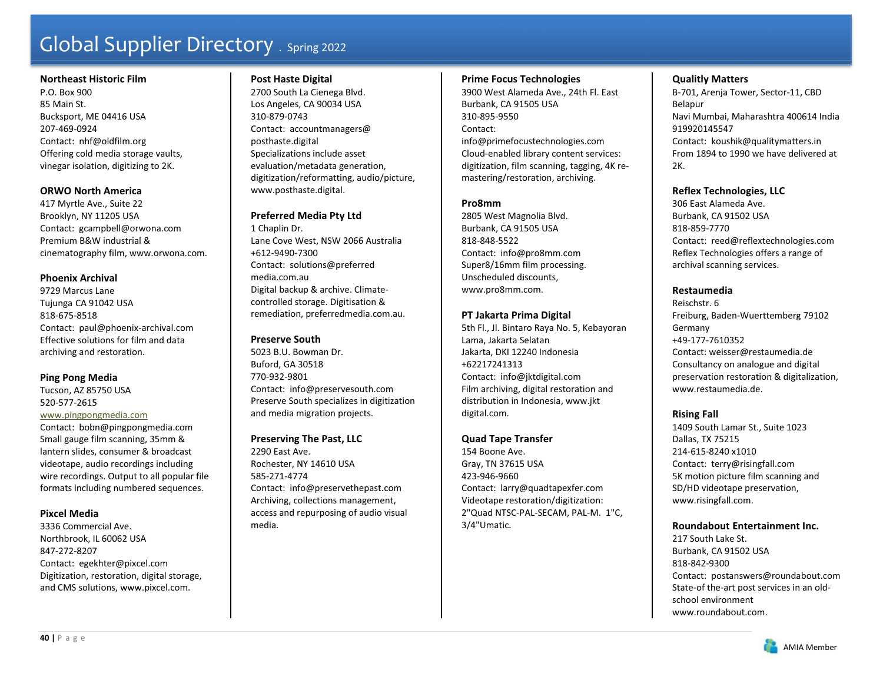#### **Northeast Historic Film**

P.O. Box 900 85 Main St. Bucksport, ME 04416 USA 207-469-0924 Contact: nhf@oldfilm.org Offering cold media storage vaults, vinegar isolation, digitizing to 2K.

### **ORWO North America**

417 Myrtle Ave., Suite 22 Brooklyn, NY 11205 USA Contact: gcampbell@orwona.com Premium B&W industrial & cinematography film, www.orwona.com.

# **Phoenix Archival**

9729 Marcus Lane Tujunga CA 91042 USA 818-675-8518 Contact: paul@phoenix-archival.com Effective solutions for film and data archiving and restoration.

# **Ping Pong Media**

Tucson, AZ 85750 USA 520-577-2615

#### www.pingpongmedia.com

Contact: bobn@pingpongmedia.com Small gauge film scanning, 35mm & lantern slides, consumer & broadcast videotape, audio recordings including wire recordings. Output to all popular file formats including numbered sequences.

# **Pixcel Media**

3336 Commercial Ave. Northbrook, IL 60062 USA 847-272-8207 Contact: egekhter@pixcel.com Digitization, restoration, digital storage, and CMS solutions, www.pixcel.com.

### **Post Haste Digital**

2700 South La Cienega Blvd. Los Angeles, CA 90034 USA 310-879-0743Contact: accountmanagers@ posthaste.digital Specializations include asset evaluation/metadata generation, digitization/reformatting, audio/picture, www.posthaste.digital.

# **Preferred Media Pty Ltd**

1 Chaplin Dr. Lane Cove West, NSW 2066 Australia +612-9490-7300 Contact: solutions@preferred media.com.au Digital backup & archive. Climatecontrolled storage. Digitisation & remediation, preferredmedia.com.au.

#### **Preserve South**

5023 B.U. Bowman Dr. Buford, GA 30518 770-932-9801 Contact: info@preservesouth.com Preserve South specializes in digitization and media migration projects.

# **Preserving The Past, LLC**

2290 East Ave. Rochester, NY 14610 USA 585-271-4774 Contact: info@preservethepast.com Archiving, collections management, access and repurposing of audio visual media.

#### **Prime Focus Technologies**

3900 West Alameda Ave., 24th Fl. East Burbank, CA 91505 USA 310-895-9550 Contact: info@primefocustechnologies.com Cloud-enabled library content services: digitization, film scanning, tagging, 4K remastering/restoration, archiving.

# **Pro8mm**

2805 West Magnolia Blvd. Burbank, CA 91505 USA 818-848-5522 Contact: info@pro8mm.com Super8/16mm film processing. Unscheduled discounts, www.pro8mm.com.

# **PT Jakarta Prima Digital**

5th Fl., Jl. Bintaro Raya No. 5, Kebayoran Lama, Jakarta Selatan Jakarta, DKI 12240 Indonesia +62217241313 Contact: info@jktdigital.com Film archiving, digital restoration and distribution in Indonesia, www.jkt digital.com.

### **Quad Tape Transfer**

154 Boone Ave. Gray, TN 37615 USA 423-946-9660 Contact: larry@quadtapexfer.com Videotape restoration/digitization: 2"Quad NTSC-PAL-SECAM, PAL-M. 1"C, 3/4"Umatic.

# **Qualitly Matters**

B-701, Arenja Tower, Sector-11, CBD Belapur Navi Mumbai, Maharashtra 400614 India 919920145547 Contact: koushik@qualitymatters.in From 1894 to 1990 we have delivered at  $2K$ .

# **Reflex Technologies, LLC**

306 East Alameda Ave. Burbank, CA 91502 USA 818-859-7770 Contact: reed@reflextechnologies.com Reflex Technologies offers a range of archival scanning services.

# **Restaumedia**

Reischstr. 6 Freiburg, Baden-Wuerttemberg 79102 Germany +49-177-7610352 Contact: weisser@restaumedia.de Consultancy on analogue and digital preservation restoration & digitalization, www.restaumedia.de.

# **Rising Fall**

1409 South Lamar St., Suite 1023 Dallas, TX 75215 214-615-8240 x1010 Contact: terry@risingfall.com 5K motion picture film scanning and SD/HD videotape preservation, www.risingfall.com.

# **Roundabout Entertainment Inc.**

217 South Lake St. Burbank, CA 91502 USA 818-842-9300 Contact: postanswers@roundabout.com State-of the-art post services in an oldschool environment www.roundabout.com.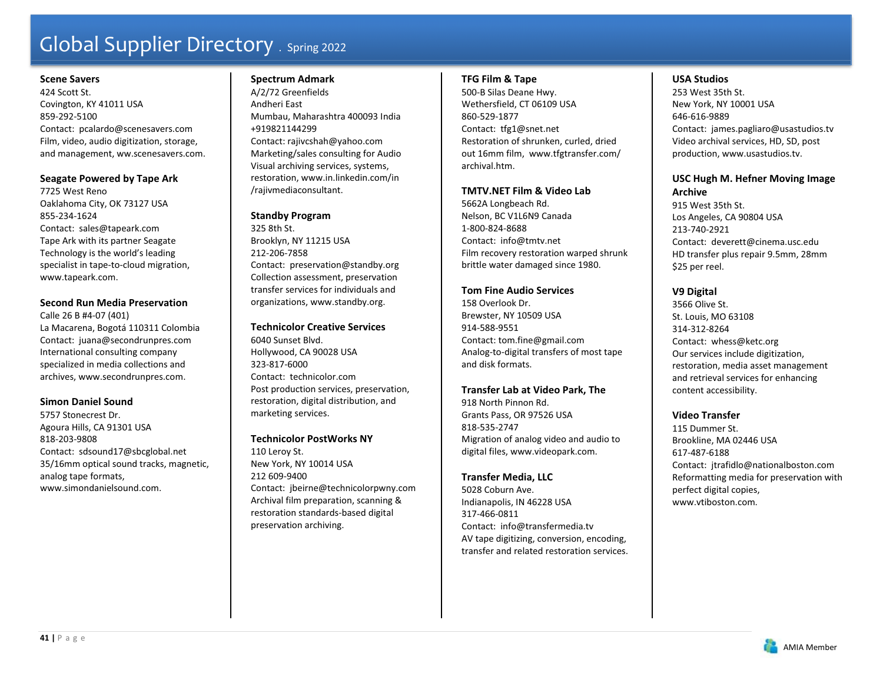#### **Scene Savers**

424 Scott St. Covington, KY 41011 USA 859-292-5100 Contact: pcalardo@scenesavers.com Film, video, audio digitization, storage, and management, ww.scenesavers.com.

#### **Seagate Powered by Tape Ark**

7725 West Reno Oaklahoma City, OK 73127 USA 855-234-1624 Contact: sales@tapeark.com Tape Ark with its partner Seagate Technology is the world's leading specialist in tape-to-cloud migration, www.tapeark.com.

# **Second Run Media Preservation**

Calle 26 B #4-07 (401) La Macarena, Bogotá 110311 Colombia Contact: juana@secondrunpres.com International consulting company specialized in media collections and archives, www.secondrunpres.com.

### **Simon Daniel Sound**

5757 Stonecrest Dr. Agoura Hills, CA 91301 USA 818-203-9808 Contact: sdsound17@sbcglobal.net 35/16mm optical sound tracks, magnetic, analog tape formats, www.simondanielsound.com.

# **Spectrum Admark**

A/2/72 Greenfields Andheri East Mumbau, Maharashtra 400093 India +919821144299 Contact: rajivcshah@yahoo.com Marketing/sales consulting for Audio Visual archiving services, systems, restoration, www.in.linkedin.com/in /rajivmediaconsultant.

### **Standby Program**

325 8th St. Brooklyn, NY 11215 USA 212-206-7858 Contact: preservation@standby.org Collection assessment, preservation transfer services for individuals and organizations, www.standby.org.

#### **Technicolor Creative Services**

6040 Sunset Blvd. Hollywood, CA 90028 USA 323-817-6000 Contact: technicolor.com Post production services, preservation, restoration, digital distribution, and marketing services.

### **Technicolor PostWorks NY**

110 Leroy St. New York, NY 10014 USA 212 609-9400Contact: jbeirne@technicolorpwny.com Archival film preparation, scanning & restoration standards-based digital preservation archiving.

#### **TFG Film & Tape**

500-B Silas Deane Hwy. Wethersfield, CT 06109 USA 860-529-1877 Contact: tfg1@snet.net Restoration of shrunken, curled, dried out 16mm film, www.tfgtransfer.com/ archival.htm.

### **TMTV.NET Film & Video Lab**

5662A Longbeach Rd. Nelson, BC V1L6N9 Canada 1-800-824-8688 Contact: info@tmtv.net Film recovery restoration warped shrunk brittle water damaged since 1980.

#### **Tom Fine Audio Services**

158 Overlook Dr. Brewster, NY 10509 USA 914-588-9551 Contact: tom.fine@gmail.com Analog-to-digital transfers of most tape and disk formats.

### **Transfer Lab at Video Park, The**

918 North Pinnon Rd. Grants Pass, OR 97526 USA 818-535-2747 Migration of analog video and audio to digital files, www.videopark.com.

### **Transfer Media, LLC**

5028 Coburn Ave. Indianapolis, IN 46228 USA 317-466-0811 Contact: info@transfermedia.tv AV tape digitizing, conversion, encoding, transfer and related restoration services.

### **USA Studios**

253 West 35th St. New York, NY 10001 USA 646-616-9889 Contact: james.pagliaro@usastudios.tv Video archival services, HD, SD, post production, www.usastudios.tv.

# **USC Hugh M. Hefner Moving Image Archive**

915 West 35th St. Los Angeles, CA 90804 USA 213-740-2921 Contact: deverett@cinema.usc.edu HD transfer plus repair 9.5mm, 28mm \$25 per reel.

# **V9 Digital**

3566 Olive St. St. Louis, MO 63108 314-312-8264 Contact: whess@ketc.org Our services include digitization, restoration, media asset management and retrieval services for enhancing content accessibility.

### **Video Transfer**

115 Dummer St. Brookline, MA 02446 USA 617-487-6188 Contact: jtrafidlo@nationalboston.com Reformatting media for preservation with perfect digital copies, www.vtiboston.com.

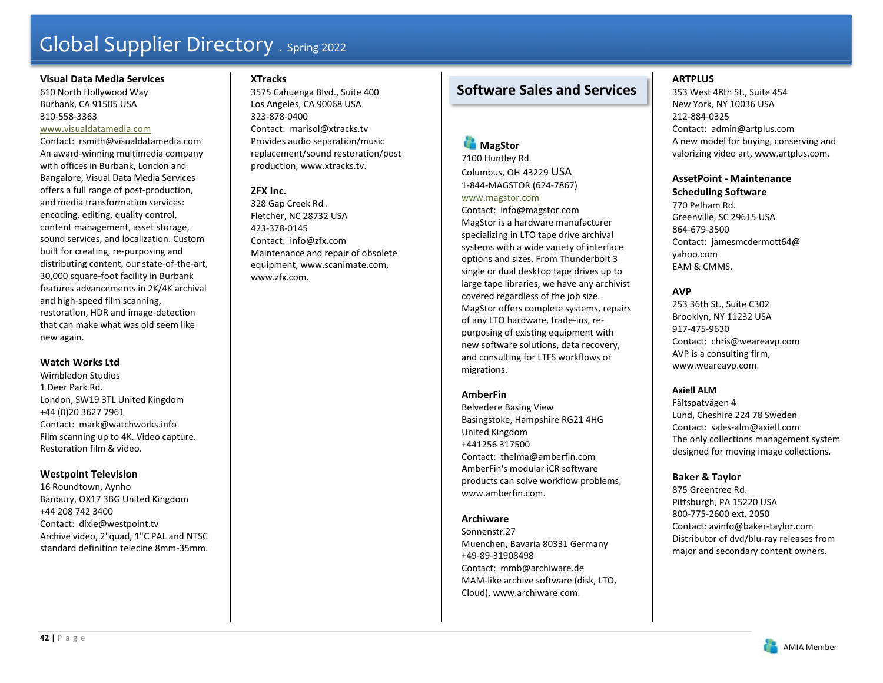#### **Visual Data Media Services**

610 North Hollywood Way Burbank, CA 91505 USA 310-558-3363

#### www.visualdatamedia.com

Contact: rsmith@visualdatamedia.com An award-winning multimedia company with offices in Burbank, London and Bangalore, Visual Data Media Services offers a full range of post-production, and media transformation services: encoding, editing, quality control, content management, asset storage, sound services, and localization. Custom built for creating, re-purposing and distributing content, our state-of-the-art, 30,000 square-foot facility in Burbank features advancements in 2K/4K archival and high-speed film scanning, restoration, HDR and image-detection that can make what was old seem like new again.

### **Watch Works Ltd**

Wimbledon Studios 1 Deer Park Rd. London, SW19 3TL United Kingdom +44 (0)20 3627 7961 Contact: mark@watchworks.info Film scanning up to 4K. Video capture. Restoration film & video.

# **Westpoint Television**

16 Roundtown, Aynho Banbury, OX17 3BG United Kingdom +44 208 742 3400 Contact: dixie@westpoint.tv Archive video, 2"quad, 1"C PAL and NTSC standard definition telecine 8mm-35mm.

# **XTracks**

3575 Cahuenga Blvd., Suite 400 Los Angeles, CA 90068 USA 323-878-0400 Contact: marisol@xtracks.tv Provides audio separation/music replacement/sound restoration/post production, www.xtracks.tv.

# **ZFX Inc.**

328 Gap Creek Rd . Fletcher, NC 28732 USA 423-378-0145 Contact: info@zfx.com Maintenance and repair of obsolete equipment, www.scanimate.com, www.zfx.com.

# **Software Sales and Services**

# **MagStor**

7100 Huntley Rd. Columbus, OH 43229 USA 1-844-MAGSTOR (624-7867)

#### www.magstor.com

Contact: info@magstor.com MagStor is a hardware manufacturer specializing in LTO tape drive archival systems with a wide variety of interface options and sizes. From Thunderbolt 3 single or dual desktop tape drives up to large tape libraries, we have any archivist covered regardless of the job size. MagStor offers complete systems, repairs of any LTO hardware, trade-ins, repurposing of existing equipment with new software solutions, data recovery, and consulting for LTFS workflows or migrations.

# **AmberFin**

Belvedere Basing View Basingstoke, Hampshire RG21 4HG United Kingdom +441256 317500 Contact: thelma@amberfin.com AmberFin's modular iCR software products can solve workflow problems, www.amberfin.com.

# **Archiware**

Sonnenstr.27 Muenchen, Bavaria 80331 Germany +49-89-31908498 Contact: mmb@archiware.de MAM-like archive software (disk, LTO, Cloud), www.archiware.com.

# **ARTPLUS**

353 West 48th St., Suite 454 New York, NY 10036 USA 212-884-0325 Contact: admin@artplus.com A new model for buying, conserving and valorizing video art, www.artplus.com.

# **AssetPoint - Maintenance Scheduling Software**

770 Pelham Rd. Greenville, SC 29615 USA 864-679-3500 Contact: jamesmcdermott64@ yahoo.com EAM & CMMS.

# **AVP**

253 36th St., Suite C302 Brooklyn, NY 11232 USA 917-475-9630 Contact: chris@weareavp.com AVP is a consulting firm, www.weareavp.com.

### **Axiell ALM**

Fältspatvägen 4 Lund, Cheshire 224 78 Sweden Contact: sales-alm@axiell.com The only collections management system designed for moving image collections.

### **Baker & Taylor**

875 Greentree Rd. Pittsburgh, PA 15220 USA 800-775-2600 ext. 2050 Contact: avinfo@baker-taylor.com Distributor of dvd/blu-ray releases from major and secondary content owners.

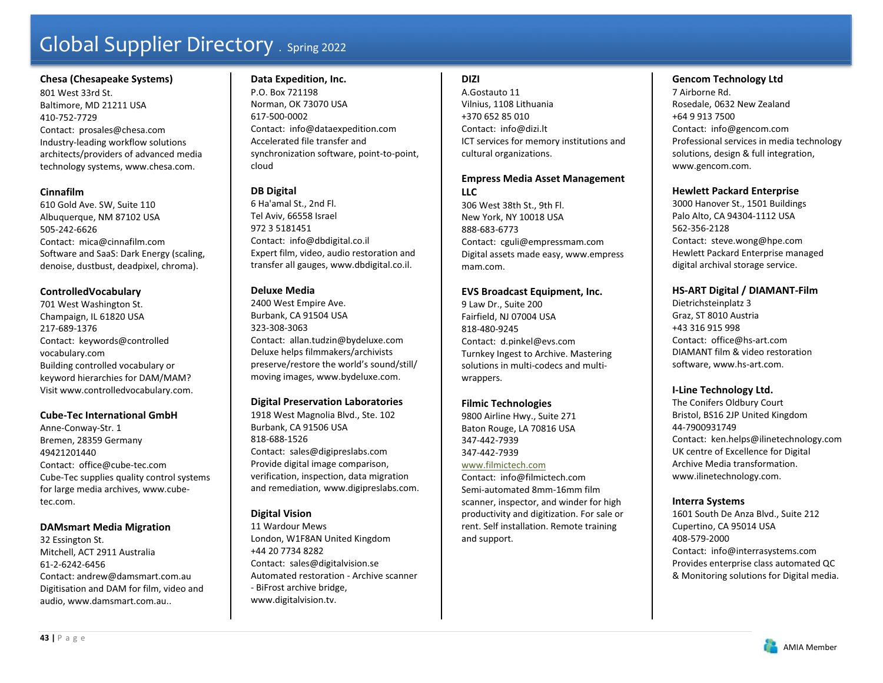### **Chesa (Chesapeake Systems)**

801 West 33rd St. Baltimore, MD 21211 USA 410-752-7729 Contact: prosales@chesa.com Industry-leading workflow solutions architects/providers of advanced media technology systems, www.chesa.com.

# **Cinnafilm**

610 Gold Ave. SW, Suite 110 Albuquerque, NM 87102 USA 505-242-6626 Contact: mica@cinnafilm.com Software and SaaS: Dark Energy (scaling, denoise, dustbust, deadpixel, chroma).

# **ControlledVocabulary**

701 West Washington St. Champaign, IL 61820 USA 217-689-1376 Contact: keywords@controlled vocabulary.com Building controlled vocabulary or keyword hierarchies for DAM/MAM? Visit www.controlledvocabulary.com.

### **Cube-Tec International GmbH**

Anne-Conway-Str. 1 Bremen, 28359 Germany 49421201440 Contact: office@cube-tec.com Cube-Tec supplies quality control systems for large media archives, www.cubetec.com.

### **DAMsmart Media Migration**

32 Essington St. Mitchell, ACT 2911 Australia 61-2-6242-6456 Contact: andrew@damsmart.com.au Digitisation and DAM for film, video and audio, www.damsmart.com.au..

# **Data Expedition, Inc.**

P.O. Box 721198 Norman, OK 73070 USA 617-500-0002 Contact: info@dataexpedition.com Accelerated file transfer and synchronization software, point-to-point, cloud

# **DB Digital**

6 Ha'amal St., 2nd Fl. Tel Aviv, 66558 Israel 972 3 5181451 Contact: info@dbdigital.co.il Expert film, video, audio restoration and transfer all gauges, www.dbdigital.co.il.

# **Deluxe Media**

2400 West Empire Ave. Burbank, CA 91504 USA 323-308-3063 Contact: allan.tudzin@bydeluxe.com Deluxe helps filmmakers/archivists preserve/restore the world's sound/still/ moving images, www.bydeluxe.com.

# **Digital Preservation Laboratories**

1918 West Magnolia Blvd., Ste. 102 Burbank, CA 91506 USA 818-688-1526Contact: sales@digipreslabs.com Provide digital image comparison, verification, inspection, data migration and remediation, www.digipreslabs.com.

# **Digital Vision**

11 Wardour Mews London, W1F8AN United Kingdom +44 20 7734 8282 Contact: sales@digitalvision.se Automated restoration - Archive scanner - BiFrost archive bridge, www.digitalvision.tv.

# **DIZI**

A.Gostauto 11 Vilnius, 1108 Lithuania +370 652 85 010 Contact: info@dizi.lt ICT services for memory institutions and cultural organizations.

### **Empress Media Asset Management**   $L<sub>1</sub>$

306 West 38th St., 9th Fl. New York, NY 10018 USA 888-683-6773 Contact: cguli@empressmam.com Digital assets made easy, www.empress mam.com.

# **EVS Broadcast Equipment, Inc.**

9 Law Dr., Suite 200 Fairfield, NJ 07004 USA 818-480-9245 Contact: d.pinkel@evs.com Turnkey Ingest to Archive. Mastering solutions in multi-codecs and multiwrappers.

# **Filmic Technologies**

9800 Airline Hwy., Suite 271 Baton Rouge, LA 70816 USA 347-442-7939 347-442-7939 www.filmictech.com Contact: info@filmictech.com Semi-automated 8mm-16mm film scanner, inspector, and winder for high productivity and digitization. For sale or rent. Self installation. Remote training and support.

# **Gencom Technology Ltd**

7 Airborne Rd. Rosedale, 0632 New Zealand +64 9 913 7500 Contact: info@gencom.com Professional services in media technology solutions, design & full integration, www.gencom.com.

# **Hewlett Packard Enterprise**

3000 Hanover St., 1501 Buildings Palo Alto, CA 94304-1112 USA 562-356-2128 Contact: steve.wong@hpe.com Hewlett Packard Enterprise managed digital archival storage service.

# **HS-ART Digital / DIAMANT-Film**

Dietrichsteinplatz 3 Graz, ST 8010 Austria +43 316 915 998 Contact: office@hs-art.com DIAMANT film & video restoration software, www.hs-art.com.

# **I-Line Technology Ltd.**

The Conifers Oldbury Court Bristol, BS16 2JP United Kingdom 44-7900931749 Contact: ken.helps@ilinetechnology.com UK centre of Excellence for Digital Archive Media transformation. www.ilinetechnology.com.

### **Interra Systems**

1601 South De Anza Blvd., Suite 212 Cupertino, CA 95014 USA 408-579-2000 Contact: info@interrasystems.com Provides enterprise class automated QC & Monitoring solutions for Digital media.

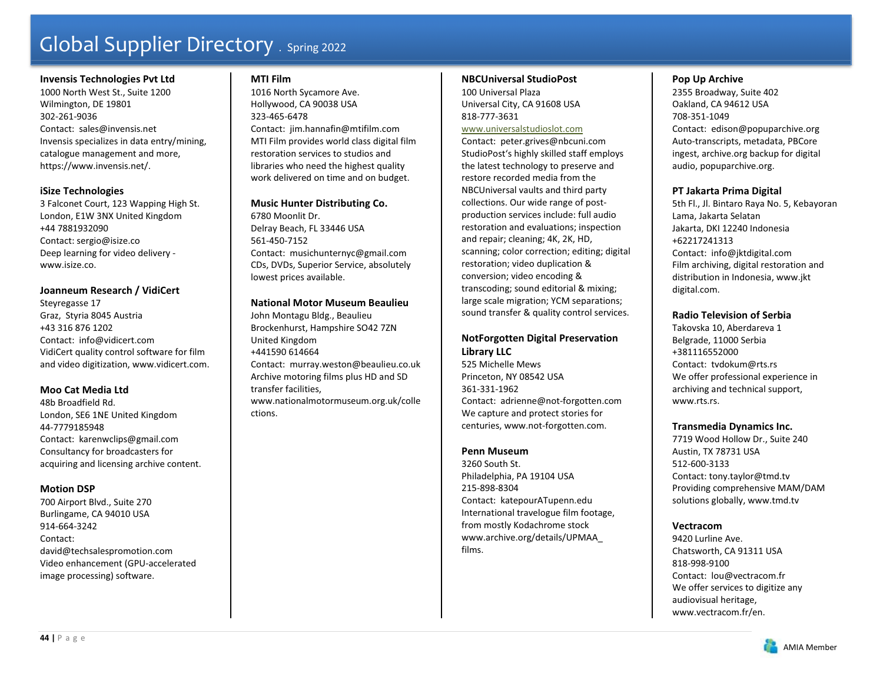#### **Invensis Technologies Pvt Ltd**

1000 North West St., Suite 1200 Wilmington, DE 19801 302-261-9036 Contact: sales@invensis.net Invensis specializes in data entry/mining, catalogue management and more, https://www.invensis.net/.

#### **iSize Technologies**

3 Falconet Court, 123 Wapping High St. London, E1W 3NX United Kingdom +44 7881932090 Contact: sergio@isize.co Deep learning for video delivery www.isize.co.

# **Joanneum Research / VidiCert**

Steyregasse 17 Graz, Styria 8045 Austria +43 316 876 1202 Contact: info@vidicert.com VidiCert quality control software for film and video digitization, www.vidicert.com.

### **Moo Cat Media Ltd**

48b Broadfield Rd. London, SE6 1NE United Kingdom 44-7779185948 Contact: karenwclips@gmail.com Consultancy for broadcasters for acquiring and licensing archive content.

### **Motion DSP**

700 Airport Blvd., Suite 270 Burlingame, CA 94010 USA 914-664-3242 Contact: david@techsalespromotion.com Video enhancement (GPU-accelerated image processing) software.

### **MTI Film**

1016 North Sycamore Ave. Hollywood, CA 90038 USA 323-465-6478 Contact: jim.hannafin@mtifilm.com MTI Film provides world class digital film restoration services to studios and libraries who need the highest quality work delivered on time and on budget.

**Music Hunter Distributing Co.**  6780 Moonlit Dr. Delray Beach, FL 33446 USA 561-450-7152 Contact: musichunternyc@gmail.com CDs, DVDs, Superior Service, absolutely lowest prices available.

#### **National Motor Museum Beaulieu**

John Montagu Bldg., Beaulieu Brockenhurst, Hampshire SO42 7ZN United Kingdom +441590 614664 Contact: murray.weston@beaulieu.co.uk Archive motoring films plus HD and SD transfer facilities, www.nationalmotormuseum.org.uk/colle ctions.

#### **NBCUniversal StudioPost**

100 Universal Plaza Universal City, CA 91608 USA 818-777-3631

#### www.universalstudioslot.com

Contact: peter.grives@nbcuni.com StudioPost's highly skilled staff employs the latest technology to preserve and restore recorded media from the NBCUniversal vaults and third party collections. Our wide range of postproduction services include: full audio restoration and evaluations; inspection and repair; cleaning; 4K, 2K, HD, scanning; color correction; editing; digital restoration; video duplication & conversion; video encoding & transcoding; sound editorial & mixing; large scale migration; YCM separations; sound transfer & quality control services.

### **NotForgotten Digital Preservation Library LLC**

525 Michelle Mews Princeton, NY 08542 USA 361-331-1962 Contact: adrienne@not-forgotten.com We capture and protect stories for centuries, www.not-forgotten.com.

# **Penn Museum**

3260 South St. Philadelphia, PA 19104 USA 215-898-8304 Contact: katepourATupenn.edu International travelogue film footage, from mostly Kodachrome stock www.archive.org/details/UPMAA\_ films.

#### **Pop Up Archive**

2355 Broadway, Suite 402 Oakland, CA 94612 USA 708-351-1049 Contact: edison@popuparchive.org Auto-transcripts, metadata, PBCore ingest, archive.org backup for digital audio, popuparchive.org.

#### **PT Jakarta Prima Digital**

5th Fl., Jl. Bintaro Raya No. 5, Kebayoran Lama, Jakarta Selatan Jakarta, DKI 12240 Indonesia +62217241313 Contact: info@jktdigital.com Film archiving, digital restoration and distribution in Indonesia, www.jkt digital.com.

#### **Radio Television of Serbia**

Takovska 10, Aberdareva 1 Belgrade, 11000 Serbia +381116552000 Contact: tvdokum@rts.rs We offer professional experience in archiving and technical support, www.rts.rs.

#### **Transmedia Dynamics Inc.**

7719 Wood Hollow Dr., Suite 240 Austin, TX 78731 USA 512-600-3133 Contact: tony.taylor@tmd.tv Providing comprehensive MAM/DAM solutions globally, www.tmd.tv

#### **Vectracom**

9420 Lurline Ave. Chatsworth, CA 91311 USA 818-998-9100 Contact: lou@vectracom.fr We offer services to digitize any audiovisual heritage, www.vectracom.fr/en.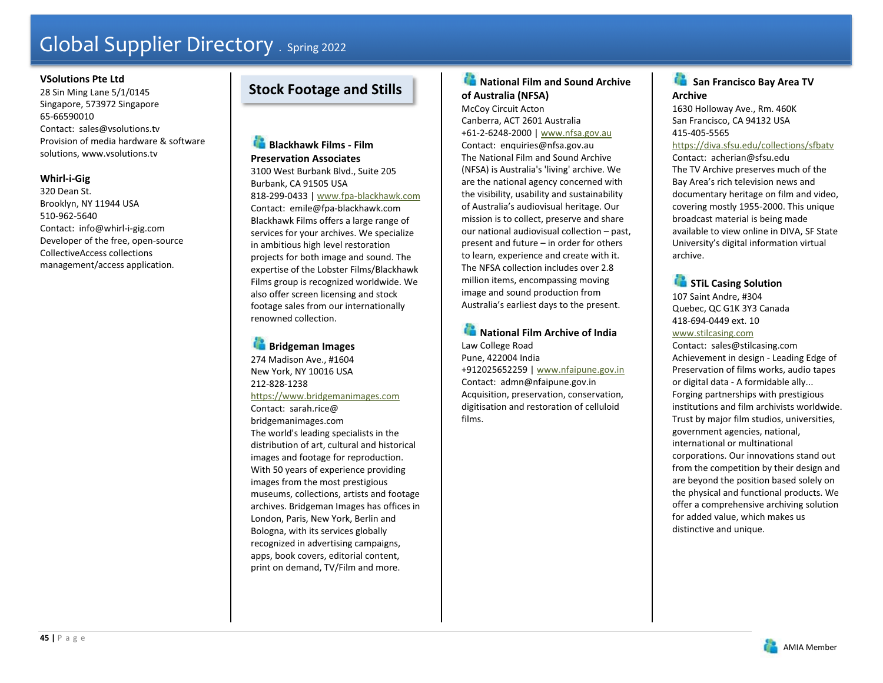#### **VSolutions Pte Ltd**

28 Sin Ming Lane 5/1/0145 Singapore, 573972 Singapore 65-66590010 Contact: sales@vsolutions.tv Provision of media hardware & software solutions, www.vsolutions.tv

# **Whirl-i-Gig**

320 Dean St. Brooklyn, NY 11944 USA 510-962-5640 Contact: info@whirl-i-gig.com Developer of the free, open-source CollectiveAccess collections management/access application.

# **Stock Footage and Stills**

**Blackhawk Films - Film Preservation Associates** 3100 West Burbank Blvd., Suite 205 Burbank, CA 91505 USA 818-299-0433 | www.fpa-blackhawk.com Contact: emile@fpa-blackhawk.com Blackhawk Films offers a large range of services for your archives. We specialize in ambitious high level restoration

projects for both image and sound. The expertise of the Lobster Films/Blackhawk Films group is recognized worldwide. We also offer screen licensing and stock footage sales from our internationally renowned collection.

**Bridgeman Images**  274 Madison Ave., #1604 New York, NY 10016 USA 212-828-1238 https://www.bridgemanimages.com Contact: sarah.rice@ bridgemanimages.com The world's leading specialists in the distribution of art, cultural and historical images and footage for reproduction. With 50 years of experience providing images from the most prestigious museums, collections, artists and footage archives. Bridgeman Images has offices in London, Paris, New York, Berlin and Bologna, with its services globally recognized in advertising campaigns, apps, book covers, editorial content, print on demand, TV/Film and more.

# **National Film and Sound Archive of Australia (NFSA)**

McCoy Circuit Acton Canberra, ACT 2601 Australia +61-2-6248-2000 | www.nfsa.gov.au Contact: enquiries@nfsa.gov.au The National Film and Sound Archive (NFSA) is Australia's 'living' archive. We are the national agency concerned with the visibility, usability and sustainability of Australia's audiovisual heritage. Our mission is to collect, preserve and share our national audiovisual collection – past, present and future – in order for others to learn, experience and create with it. The NFSA collection includes over 2.8 million items, encompassing moving image and sound production from Australia's earliest days to the present.

# **National Film Archive of India** Law College Road

Pune, 422004 India +912025652259 | www.nfaipune.gov.in Contact: admn@nfaipune.gov.in Acquisition, preservation, conservation, digitisation and restoration of celluloid films.

#### œ  **San Francisco Bay Area TV Archive**

1630 Holloway Ave., Rm. 460K San Francisco, CA 94132 USA 415-405-5565

#### https://diva.sfsu.edu/collections/sfbatv

Contact: acherian@sfsu.edu The TV Archive preserves much of the Bay Area's rich television news and documentary heritage on film and video, covering mostly 1955-2000. This unique broadcast material is being made available to view online in DIVA, SF State University's digital information virtual archive.

# **STIL Casing Solution**

107 Saint Andre, #304 Quebec, QC G1K 3Y3 Canada 418-694-0449 ext. 10 www.stilcasing.com

Contact: sales@stilcasing.com Achievement in design - Leading Edge of Preservation of films works, audio tapes or digital data - A formidable ally... Forging partnerships with prestigious institutions and film archivists worldwide. Trust by major film studios, universities, government agencies, national, international or multinational corporations. Our innovations stand out from the competition by their design and are beyond the position based solely on the physical and functional products. We offer a comprehensive archiving solution for added value, which makes us distinctive and unique.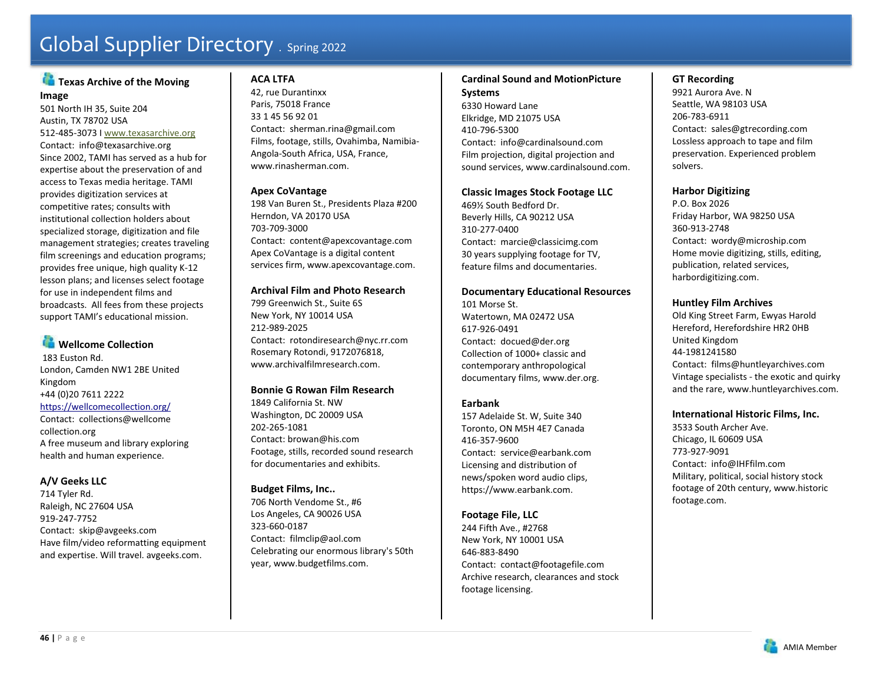# **Texas Archive of the Moving Image**

501 North IH 35, Suite 204 Austin, TX 78702 USA 512-485-3073 I www.texasarchive.org Contact: info@texasarchive.org Since 2002, TAMI has served as a hub for expertise about the preservation of and access to Texas media heritage. TAMI provides digitization services at competitive rates; consults with institutional collection holders about specialized storage, digitization and file management strategies; creates traveling film screenings and education programs; provides free unique, high quality K-12 lesson plans; and licenses select footage for use in independent films and broadcasts. All fees from these projects support TAMI's educational mission.

# **Wellcome Collection**

183 Euston Rd. London, Camden NW1 2BE United Kingdom +44 (0)20 7611 2222 https://wellcomecollection.org/ Contact: collections@wellcome

collection.org A free museum and library exploring health and human experience.

# **A/V Geeks LLC**

714 Tyler Rd. Raleigh, NC 27604 USA 919-247-7752 Contact: skip@avgeeks.com Have film/video reformatting equipment and expertise. Will travel. avgeeks.com.

# **ACA LTFA**

42, rue Durantinxx Paris, 75018 France 33 1 45 56 92 01 Contact: sherman.rina@gmail.com Films, footage, stills, Ovahimba, Namibia-Angola-South Africa, USA, France, www.rinasherman.com.

# **Apex CoVantage**

198 Van Buren St., Presidents Plaza #200 Herndon, VA 20170 USA 703-709-3000 Contact: content@apexcovantage.com Apex CoVantage is a digital content services firm, www.apexcovantage.com.

# **Archival Film and Photo Research**

799 Greenwich St., Suite 6S New York, NY 10014 USA 212-989-2025 Contact: rotondiresearch@nyc.rr.com Rosemary Rotondi, 9172076818, www.archivalfilmresearch.com.

### **Bonnie G Rowan Film Research**

1849 California St. NW Washington, DC 20009 USA 202-265-1081 Contact: browan@his.com Footage, stills, recorded sound research for documentaries and exhibits.

# **Budget Films, Inc..**

706 North Vendome St., #6 Los Angeles, CA 90026 USA 323-660-0187 Contact: filmclip@aol.com Celebrating our enormous library's 50th year, www.budgetfilms.com.

#### **Cardinal Sound and MotionPicture Systems**

6330 Howard Lane Elkridge, MD 21075 USA 410-796-5300 Contact: info@cardinalsound.com Film projection, digital projection and sound services, www.cardinalsound.com.

### **Classic Images Stock Footage LLC**

469½ South Bedford Dr. Beverly Hills, CA 90212 USA 310-277-0400 Contact: marcie@classicimg.com 30 years supplying footage for TV, feature films and documentaries.

### **Documentary Educational Resources**

101 Morse St. Watertown, MA 02472 USA 617-926-0491 Contact: docued@der.org Collection of 1000+ classic and contemporary anthropological documentary films, www.der.org.

# **Earbank**

157 Adelaide St. W, Suite 340 Toronto, ON M5H 4E7 Canada 416-357-9600 Contact: service@earbank.com Licensing and distribution of news/spoken word audio clips, https://www.earbank.com.

**Footage File, LLC**  244 Fifth Ave., #2768 New York, NY 10001 USA 646-883-8490 Contact: contact@footagefile.com Archive research, clearances and stock footage licensing.

# **GT Recording**

9921 Aurora Ave. N Seattle, WA 98103 USA 206-783-6911 Contact: sales@gtrecording.com Lossless approach to tape and film preservation. Experienced problem solvers.

# **Harbor Digitizing**

P.O. Box 2026 Friday Harbor, WA 98250 USA 360-913-2748 Contact: wordy@microship.com Home movie digitizing, stills, editing, publication, related services, harbordigitizing.com.

# **Huntley Film Archives**

Old King Street Farm, Ewyas Harold Hereford, Herefordshire HR2 0HB United Kingdom 44-1981241580 Contact: films@huntleyarchives.com Vintage specialists - the exotic and quirky and the rare, www.huntleyarchives.com.

### **International Historic Films, Inc.**

3533 South Archer Ave. Chicago, IL 60609 USA 773-927-9091 Contact: info@IHFfilm.com Military, political, social history stock footage of 20th century, www.historic footage.com.

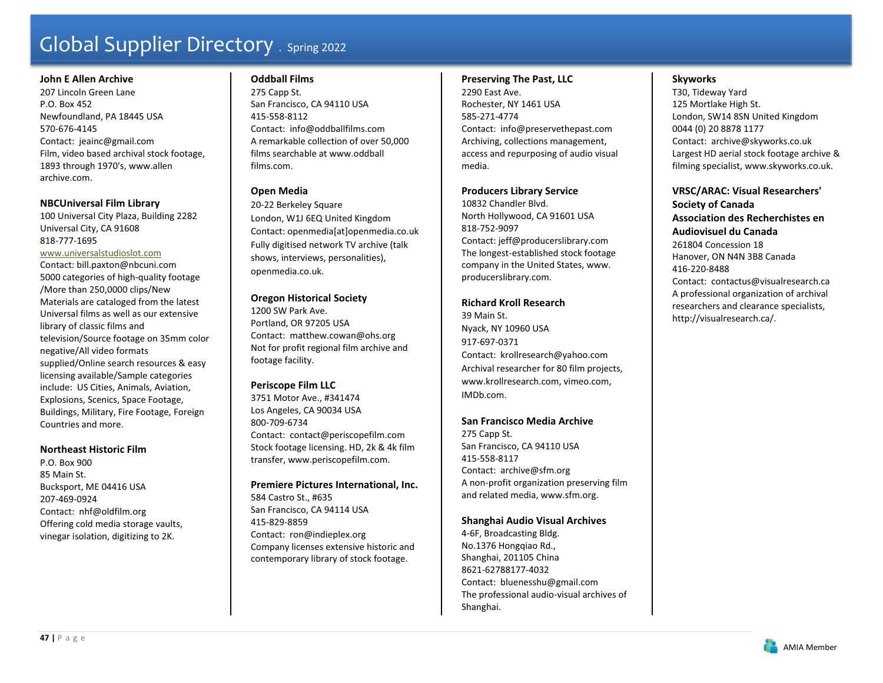#### **John E Allen Archive**

207 Lincoln Green Lane P.O. Box 452 Newfoundland, PA 18445 USA 570-676-4145 Contact: jeainc@gmail.com Film, video based archival stock footage, 1893 through 1970's, www.allen archive.com.

### **NBCUniversal Film Library**

100 Universal City Plaza, Building 2282 Universal City, CA 91608 818-777-1695

# www.universalstudioslot.com

Contact: bill.paxton@nbcuni.com 5000 categories of high-quality footage /More than 250,0000 clips/New Materials are cataloged from the latest Universal films as well as our extensive library of classic films and television/Source footage on 35mm color negative/All video formats supplied/Online search resources & easy licensing available/Sample categories include: US Cities, Animals, Aviation, Explosions, Scenics, Space Footage, Buildings, Military, Fire Footage, Foreign Countries and more.

### **Northeast Historic Film**

P.O. Box 900 85 Main St. Bucksport, ME 04416 USA 207-469-0924 Contact: nhf@oldfilm.org Offering cold media storage vaults, vinegar isolation, digitizing to 2K.

# **Oddball Films**

275 Capp St. San Francisco, CA 94110 USA 415-558-8112 Contact: info@oddballfilms.com A remarkable collection of over 50,000 films searchable at www.oddball films.com.

# **Open Media**

20-22 Berkeley Square London, W1J 6EQ United Kingdom Contact: openmedia[at]openmedia.co.uk Fully digitised network TV archive (talk shows, interviews, personalities), openmedia.co.uk.

# **Oregon Historical Society**

1200 SW Park Ave. Portland, OR 97205 USA Contact: matthew.cowan@ohs.org Not for profit regional film archive and footage facility.

# **Periscope Film LLC**

3751 Motor Ave., #341474 Los Angeles, CA 90034 USA 800-709-6734 Contact: contact@periscopefilm.com Stock footage licensing. HD, 2k & 4k film transfer, www.periscopefilm.com.

**Premiere Pictures International, Inc.**  584 Castro St., #635 San Francisco, CA 94114 USA 415-829-8859 Contact: ron@indieplex.org Company licenses extensive historic and contemporary library of stock footage.

### **Preserving The Past, LLC**

2290 East Ave. Rochester, NY 1461 USA 585-271-4774 Contact: info@preservethepast.com Archiving, collections management, access and repurposing of audio visual media.

# **Producers Library Service**

10832 Chandler Blvd. North Hollywood, CA 91601 USA 818-752-9097 Contact: jeff@producerslibrary.com The longest-established stock footage company in the United States, www. producerslibrary.com.

# **Richard Kroll Research**

39 Main St. Nyack, NY 10960 USA 917-697-0371 Contact: krollresearch@yahoo.com Archival researcher for 80 film projects, www.krollresearch.com, vimeo.com, IMDb.com.

# **San Francisco Media Archive**

275 Capp St. San Francisco, CA 94110 USA 415-558-8117 Contact: archive@sfm.org A non-profit organization preserving film and related media, www.sfm.org.

# **Shanghai Audio Visual Archives**

4-6F, Broadcasting Bldg. No.1376 Hongqiao Rd., Shanghai, 201105 China 8621-62788177-4032 Contact: bluenesshu@gmail.com The professional audio-visual archives of Shanghai.

# **Skyworks**

T30, Tideway Yard 125 Mortlake High St. London, SW14 8SN United Kingdom 0044 (0) 20 8878 1177 Contact: archive@skyworks.co.uk Largest HD aerial stock footage archive & filming specialist, www.skyworks.co.uk.

**VRSC/ARAC: Visual Researchers' Society of Canada Association des Recherchistes en Audiovisuel du Canada** 261804 Concession 18 Hanover, ON N4N 3B8 Canada 416-220-8488 Contact: contactus@visualresearch.ca A professional organization of archival researchers and clearance specialists, http://visualresearch.ca/.

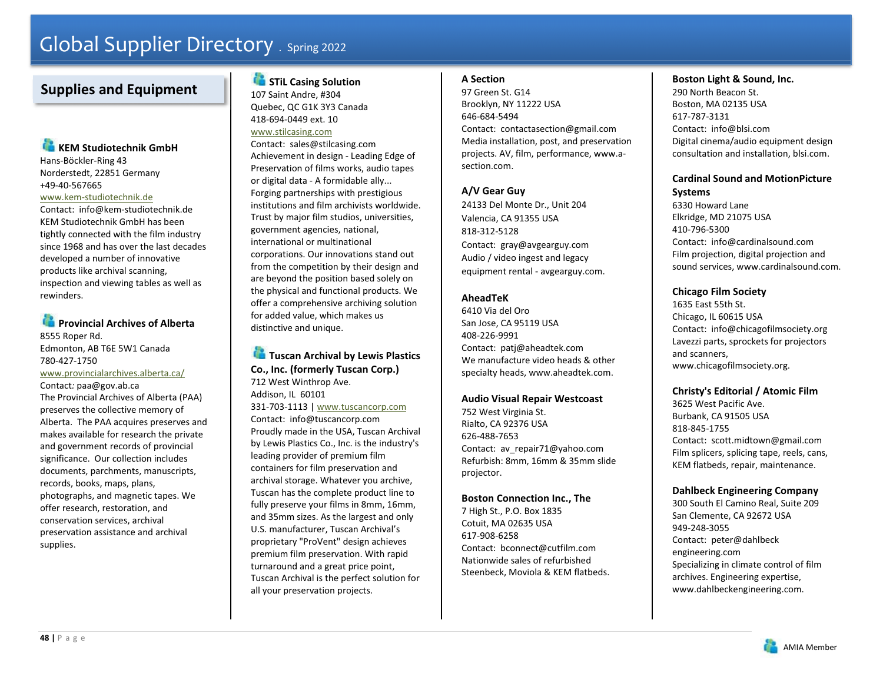# **Supplies and Equipment**

# **KEM Studiotechnik GmbH**

Hans-Böckler-Ring 43 Norderstedt, 22851 Germany +49-40-567665

#### www.kem-studiotechnik.de

Contact: info@kem-studiotechnik.de KEM Studiotechnik GmbH has been tightly connected with the film industry since 1968 and has over the last decades developed a number of innovative products like archival scanning, inspection and viewing tables as well as rewinders.

# **Provincial Archives of Alberta**

8555 Roper Rd. Edmonton, AB T6E 5W1 Canada 780-427-1750 www.provincialarchives.alberta.ca/ Contact*:* paa@gov.ab.ca The Provincial Archives of Alberta (PAA) preserves the collective memory of Alberta. The PAA acquires preserves and makes available for research the private and government records of provincial significance. Our collection includes documents, parchments, manuscripts, records, books, maps, plans, photographs, and magnetic tapes. We offer research, restoration, and conservation services, archival preservation assistance and archival supplies.

# **STIL Casing Solution**

107 Saint Andre, #304 Quebec, QC G1K 3Y3 Canada 418-694-0449 ext. 10 www.stilcasing.com

Contact: sales@stilcasing.com Achievement in design - Leading Edge of Preservation of films works, audio tapes or digital data - A formidable ally... Forging partnerships with prestigious institutions and film archivists worldwide. Trust by major film studios, universities, government agencies, national, international or multinational corporations. Our innovations stand out from the competition by their design and are beyond the position based solely on the physical and functional products. We offer a comprehensive archiving solution for added value, which makes us distinctive and unique.

# **Tuscan Archival by Lewis Plastics Co., Inc. (formerly Tuscan Corp.)**  712 West Winthrop Ave.

Addison, IL 60101 331-703-1113 | www.tuscancorp.com Contact: info@tuscancorp.com Proudly made in the USA, Tuscan Archival by Lewis Plastics Co., Inc. is the industry's leading provider of premium film containers for film preservation and archival storage. Whatever you archive, Tuscan has the complete product line to fully preserve your films in 8mm, 16mm, and 35mm sizes. As the largest and only U.S. manufacturer, Tuscan Archival's proprietary "ProVent" design achieves premium film preservation. With rapid turnaround and a great price point, Tuscan Archival is the perfect solution for all your preservation projects.

# **A Section**

97 Green St. G14 Brooklyn, NY 11222 USA 646-684-5494 Contact: contactasection@gmail.com Media installation, post, and preservation projects. AV, film, performance, www.asection.com.

# **A/V Gear Guy**

24133 Del Monte Dr., Unit 204 Valencia, CA 91355 USA 818-312-5128 Contact: gray@avgearguy.com Audio / video ingest and legacy equipment rental - avgearguy.com.

# **AheadTeK**

6410 Via del Oro San Jose, CA 95119 USA 408-226-9991 Contact: patj@aheadtek.com We manufacture video heads & other specialty heads, www.aheadtek.com.

# **Audio Visual Repair Westcoast**

752 West Virginia St. Rialto, CA 92376 USA 626-488-7653 Contact: av repair71@yahoo.com Refurbish: 8mm, 16mm & 35mm slide projector.

### **Boston Connection Inc., The**

7 High St., P.O. Box 1835 Cotuit, MA 02635 USA 617-908-6258Contact: bconnect@cutfilm.com Nationwide sales of refurbished Steenbeck, Moviola & KEM flatbeds.

# **Boston Light & Sound, Inc.**

290 North Beacon St. Boston, MA 02135 USA 617-787-3131 Contact: info@blsi.com Digital cinema/audio equipment design consultation and installation, blsi.com.

# **Cardinal Sound and MotionPicture Systems**

6330 Howard Lane Elkridge, MD 21075 USA 410-796-5300 Contact: info@cardinalsound.com Film projection, digital projection and sound services, www.cardinalsound.com.

# **Chicago Film Society**

1635 East 55th St. Chicago, IL 60615 USA Contact: info@chicagofilmsociety.org Lavezzi parts, sprockets for projectors and scanners, www.chicagofilmsociety.org.

# **Christy's Editorial / Atomic Film**

3625 West Pacific Ave. Burbank, CA 91505 USA 818-845-1755 Contact: scott.midtown@gmail.com Film splicers, splicing tape, reels, cans, KEM flatbeds, repair, maintenance.

# **Dahlbeck Engineering Company**

300 South El Camino Real, Suite 209 San Clemente, CA 92672 USA 949-248-3055 Contact: peter@dahlbeck engineering.com Specializing in climate control of film archives. Engineering expertise, www.dahlbeckengineering.com.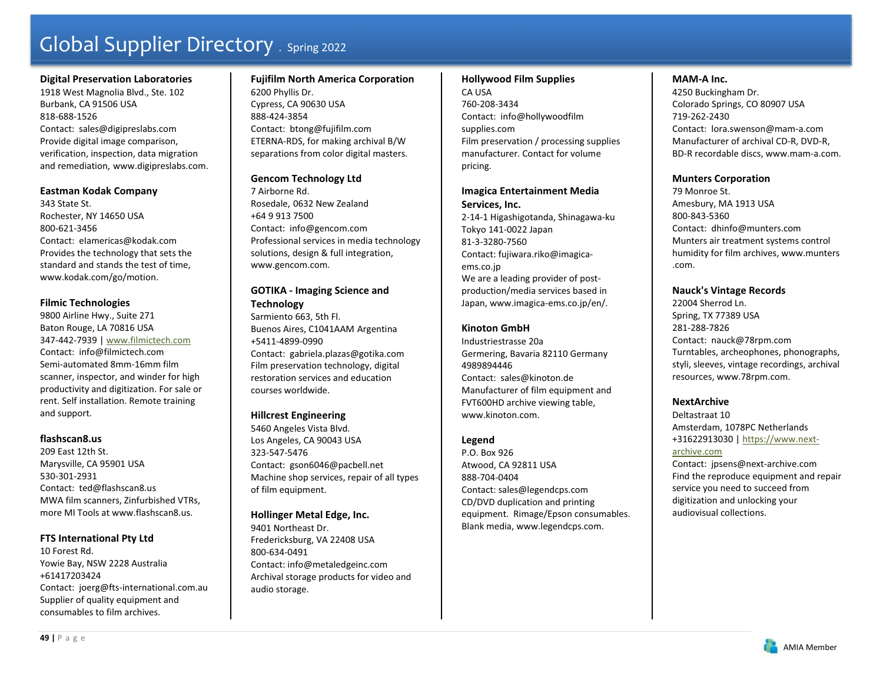#### **Digital Preservation Laboratories**

1918 West Magnolia Blvd., Ste. 102 Burbank, CA 91506 USA 818-688-1526Contact: sales@digipreslabs.com Provide digital image comparison, verification, inspection, data migration and remediation, www.digipreslabs.com.

#### **Eastman Kodak Company**

343 State St. Rochester, NY 14650 USA 800-621-3456 Contact: eIamericas@kodak.com Provides the technology that sets the standard and stands the test of time, www.kodak.com/go/motion.

#### **Filmic Technologies**

9800 Airline Hwy., Suite 271 Baton Rouge, LA 70816 USA 347-442-7939 | www.filmictech.com Contact: info@filmictech.com Semi-automated 8mm-16mm film scanner, inspector, and winder for high productivity and digitization. For sale or rent. Self installation. Remote training and support.

#### **flashscan8.us**

209 East 12th St. Marysville, CA 95901 USA 530-301-2931 Contact: ted@flashscan8.us MWA film scanners, Zinfurbished VTRs, more MI Tools at www.flashscan8.us.

#### **FTS International Pty Ltd**

10 Forest Rd.Yowie Bay, NSW 2228 Australia +61417203424 Contact: joerg@fts-international.com.au Supplier of quality equipment and consumables to film archives.

**Fujifilm North America Corporation**  6200 Phyllis Dr. Cypress, CA 90630 USA 888-424-3854 Contact: btong@fujifilm.com ETERNA-RDS, for making archival B/W separations from color digital masters.

# **Gencom Technology Ltd**

7 Airborne Rd. Rosedale, 0632 New Zealand +64 9 913 7500 Contact: info@gencom.com Professional services in media technology solutions, design & full integration, www.gencom.com.

# **GOTIKA - Imaging Science and Technology**

Sarmiento 663, 5th Fl. Buenos Aires, C1041AAM Argentina +5411-4899-0990 Contact: gabriela.plazas@gotika.com Film preservation technology, digital restoration services and education courses worldwide.

### **Hillcrest Engineering**

5460 Angeles Vista Blvd. Los Angeles, CA 90043 USA 323-547-5476 Contact: gson6046@pacbell.net Machine shop services, repair of all types of film equipment.

### **Hollinger Metal Edge, Inc.**

9401 Northeast Dr. Fredericksburg, VA 22408 USA 800-634-0491 Contact: info@metaledgeinc.com Archival storage products for video and audio storage.

#### **Hollywood Film Supplies**

CA USA 760-208-3434 Contact: info@hollywoodfilm supplies.com Film preservation / processing supplies manufacturer. Contact for volume pricing.

### **Imagica Entertainment Media Services, Inc.**

2-14-1 Higashigotanda, Shinagawa-ku Tokyo 141-0022 Japan 81-3-3280-7560 Contact: fujiwara.riko@imagicaems.co.jp We are a leading provider of postproduction/media services based in Japan, www.imagica-ems.co.jp/en/.

# **Kinoton GmbH**

Industriestrasse 20a Germering, Bavaria 82110 Germany 4989894446 Contact: sales@kinoton.de Manufacturer of film equipment and FVT600HD archive viewing table, www.kinoton.com.

### **Legend**

P.O. Box 926 Atwood, CA 92811 USA 888-704-0404 Contact: sales@legendcps.com CD/DVD duplication and printing equipment. Rimage/Epson consumables. Blank media, www.legendcps.com.

# **MAM-A Inc.**

4250 Buckingham Dr. Colorado Springs, CO 80907 USA 719-262-2430 Contact: lora.swenson@mam-a.com Manufacturer of archival CD-R, DVD-R, BD-R recordable discs, www.mam-a.com.

# **Munters Corporation**

79 Monroe St. Amesbury, MA 1913 USA 800-843-5360 Contact: dhinfo@munters.com Munters air treatment systems control humidity for film archives, www.munters .com.

# **Nauck's Vintage Records**

22004 Sherrod Ln. Spring, TX 77389 USA 281-288-7826 Contact: nauck@78rpm.com Turntables, archeophones, phonographs, styli, sleeves, vintage recordings, archival resources, www.78rpm.com.

### **NextArchive**

Deltastraat 10 Amsterdam, 1078PC Netherlands +31622913030 | https://www.next-

archive.com

Contact: jpsens@next-archive.com Find the reproduce equipment and repair service you need to succeed from digitization and unlocking your audiovisual collections.

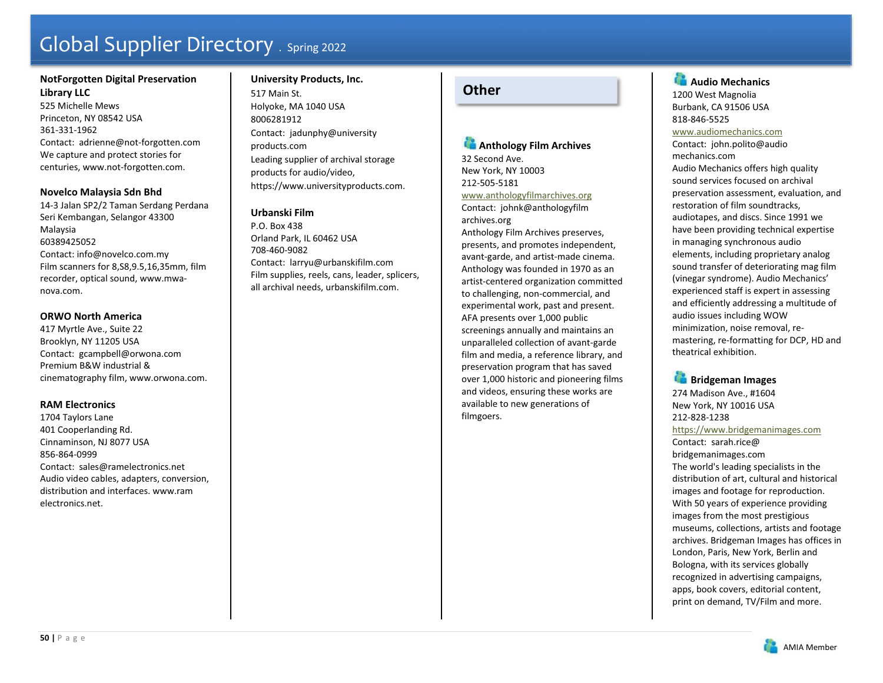# **NotForgotten Digital Preservation Library LLC**

525 Michelle Mews Princeton, NY 08542 USA 361-331-1962 Contact: adrienne@not-forgotten.com We capture and protect stories for centuries, www.not-forgotten.com.

# **Novelco Malaysia Sdn Bhd**

14-3 Jalan SP2/2 Taman Serdang Perdana Seri Kembangan, Selangor 43300 Malaysia 60389425052 Contact: info@novelco.com.my Film scanners for 8,S8,9.5,16,35mm, film recorder, optical sound, www.mwanova.com.

### **ORWO North America**

417 Myrtle Ave., Suite 22 Brooklyn, NY 11205 USA Contact: gcampbell@orwona.com Premium B&W industrial & cinematography film, www.orwona.com.

### **RAM Electronics**

1704 Taylors Lane 401 Cooperlanding Rd. Cinnaminson, NJ 8077 USA 856-864-0999 Contact: sales@ramelectronics.net Audio video cables, adapters, conversion, distribution and interfaces. www.ram electronics.net.

# **University Products, Inc.**  517 Main St. Holyoke, MA 1040 USA 8006281912 Contact: jadunphy@university products.com Leading supplier of archival storage products for audio/video, https://www.universityproducts.com.

# **Urbanski Film**

P.O. Box 438 Orland Park, IL 60462 USA 708-460-9082 Contact: larryu@urbanskifilm.com Film supplies, reels, cans, leader, splicers, all archival needs, urbanskifilm.com.

# **Other**

# **Anthology Film Archives**

32 Second Ave. New York, NY 10003 212-505-5181

www.anthologyfilmarchives.org Contact: johnk@anthologyfilm

archives.org Anthology Film Archives preserves, presents, and promotes independent, avant-garde, and artist-made cinema. Anthology was founded in 1970 as an artist-centered organization committed to challenging, non-commercial, and experimental work, past and present. AFA presents over 1,000 public screenings annually and maintains an unparalleled collection of avant-garde film and media, a reference library, and preservation program that has saved over 1,000 historic and pioneering films and videos, ensuring these works are available to new generations of filmgoers.

**Audio Mechanics** 1200 West Magnolia Burbank, CA 91506 USA 818-846-5525 www.audiomechanics.com Contact: john.polito@audio mechanics.com Audio Mechanics offers high quality sound services focused on archival preservation assessment, evaluation, and restoration of film soundtracks, audiotapes, and discs. Since 1991 we have been providing technical expertise in managing synchronous audio elements, including proprietary analog sound transfer of deteriorating mag film (vinegar syndrome). Audio Mechanics' experienced staff is expert in assessing and efficiently addressing a multitude of audio issues including WOW minimization, noise removal, remastering, re-formatting for DCP, HD and theatrical exhibition.

**Bridgeman Images** 274 Madison Ave., #1604 New York, NY 10016 USA 212-828-1238

https://www.bridgemanimages.com

Contact: sarah.rice@ bridgemanimages.com The world's leading specialists in the distribution of art, cultural and historical images and footage for reproduction. With 50 years of experience providing images from the most prestigious museums, collections, artists and footage archives. Bridgeman Images has offices in London, Paris, New York, Berlin and Bologna, with its services globally recognized in advertising campaigns, apps, book covers, editorial content, print on demand, TV/Film and more.

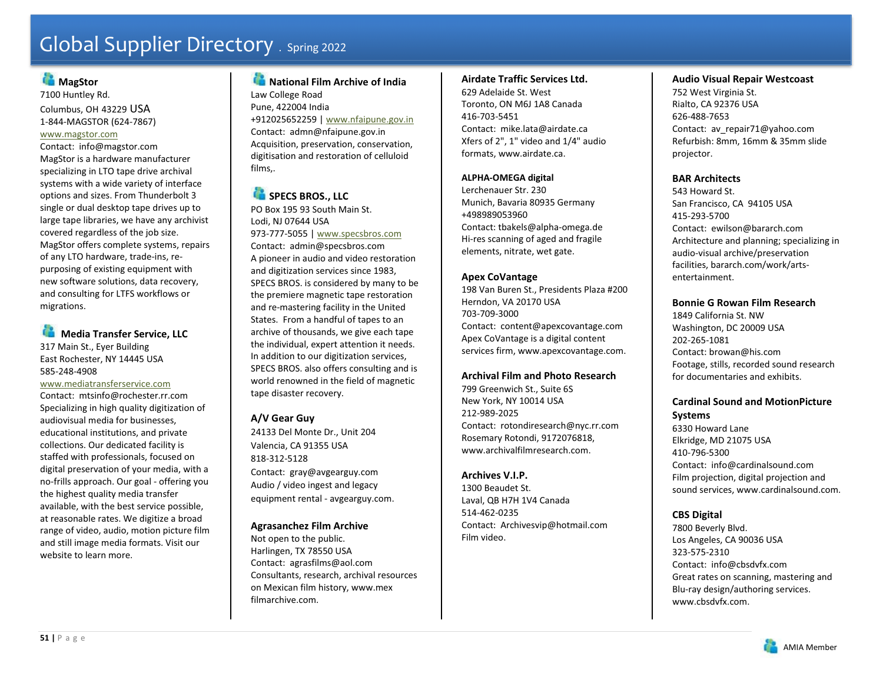# **MagStor**

7100 Huntley Rd. Columbus, OH 43229 USA 1-844-MAGSTOR (624-7867)

#### www.magstor.com

Contact: info@magstor.com MagStor is a hardware manufacturer specializing in LTO tape drive archival systems with a wide variety of interface options and sizes. From Thunderbolt 3 single or dual desktop tape drives up to large tape libraries, we have any archivist covered regardless of the job size. MagStor offers complete systems, repairs of any LTO hardware, trade-ins, repurposing of existing equipment with new software solutions, data recovery, and consulting for LTFS workflows or migrations.

**Media Transfer Service, LLC** 317 Main St., Eyer Building East Rochester, NY 14445 USA 585-248-4908

#### www.mediatransferservice.com

Contact: mtsinfo@rochester.rr.com Specializing in high quality digitization of audiovisual media for businesses, educational institutions, and private collections. Our dedicated facility is staffed with professionals, focused on digital preservation of your media, with a no-frills approach. Our goal - offering you the highest quality media transfer available, with the best service possible, at reasonable rates. We digitize a broad range of video, audio, motion picture film and still image media formats. Visit our website to learn more.

# **National Film Archive of India** Law College Road

Pune, 422004 India +912025652259 | www.nfaipune.gov.in Contact: admn@nfaipune.gov.in Acquisition, preservation, conservation, digitisation and restoration of celluloid films,.

# **SPECS BROS., LLC**

PO Box 195 93 South Main St. Lodi, NJ 07644 USA 973-777-5055 | www.specsbros.com Contact: admin@specsbros.com A pioneer in audio and video restoration and digitization services since 1983, SPECS BROS. is considered by many to be the premiere magnetic tape restoration and re-mastering facility in the United States. From a handful of tapes to an archive of thousands, we give each tape the individual, expert attention it needs. In addition to our digitization services, SPECS BROS. also offers consulting and is world renowned in the field of magnetic tape disaster recovery.

# **A/V Gear Guy**

24133 Del Monte Dr., Unit 204 Valencia, CA 91355 USA 818-312-5128 Contact: gray@avgearguy.com Audio / video ingest and legacy equipment rental - avgearguy.com.

# **Agrasanchez Film Archive**

Not open to the public. Harlingen, TX 78550 USA Contact: agrasfilms@aol.com Consultants, research, archival resources on Mexican film history, www.mex filmarchive.com.

# **Airdate Traffic Services Ltd.**

629 Adelaide St. West Toronto, ON M6J 1A8 Canada 416-703-5451 Contact: mike.lata@airdate.ca Xfers of 2", 1" video and 1/4" audio formats, www.airdate.ca.

# **ALPHA-OMEGA digital**

Lerchenauer Str. 230 Munich, Bavaria 80935 Germany +498989053960 Contact: tbakels@alpha-omega.de Hi-res scanning of aged and fragile elements, nitrate, wet gate.

# **Apex CoVantage**

198 Van Buren St., Presidents Plaza #200 Herndon, VA 20170 USA 703-709-3000 Contact: content@apexcovantage.com Apex CoVantage is a digital content services firm, www.apexcovantage.com.

# **Archival Film and Photo Research**

799 Greenwich St., Suite 6S New York, NY 10014 USA 212-989-2025 Contact: rotondiresearch@nyc.rr.com Rosemary Rotondi, 9172076818, www.archivalfilmresearch.com

# **Archives V.I.P.**

1300 Beaudet St. Laval, QB H7H 1V4 Canada 514-462-0235 Contact: Archivesvip@hotmail.com Film video.

# **Audio Visual Repair Westcoast**

752 West Virginia St. Rialto, CA 92376 USA 626-488-7653 Contact: av repair71@yahoo.com Refurbish: 8mm, 16mm & 35mm slide projector.

# **BAR Architects**

543 Howard St. San Francisco, CA 94105 USA 415-293-5700 Contact: ewilson@bararch.com Architecture and planning; specializing in audio-visual archive/preservation facilities, bararch.com/work/artsentertainment.

# **Bonnie G Rowan Film Research**

1849 California St. NW Washington, DC 20009 USA 202-265-1081 Contact: browan@his.com Footage, stills, recorded sound research for documentaries and exhibits.

# **Cardinal Sound and MotionPicture Systems**

6330 Howard Lane Elkridge, MD 21075 USA 410-796-5300 Contact: info@cardinalsound.com Film projection, digital projection and sound services, www.cardinalsound.com.

# **CBS Digital**

7800 Beverly Blvd. Los Angeles, CA 90036 USA 323-575-2310 Contact: info@cbsdvfx.com Great rates on scanning, mastering and Blu-ray design/authoring services. www.cbsdvfx.com.

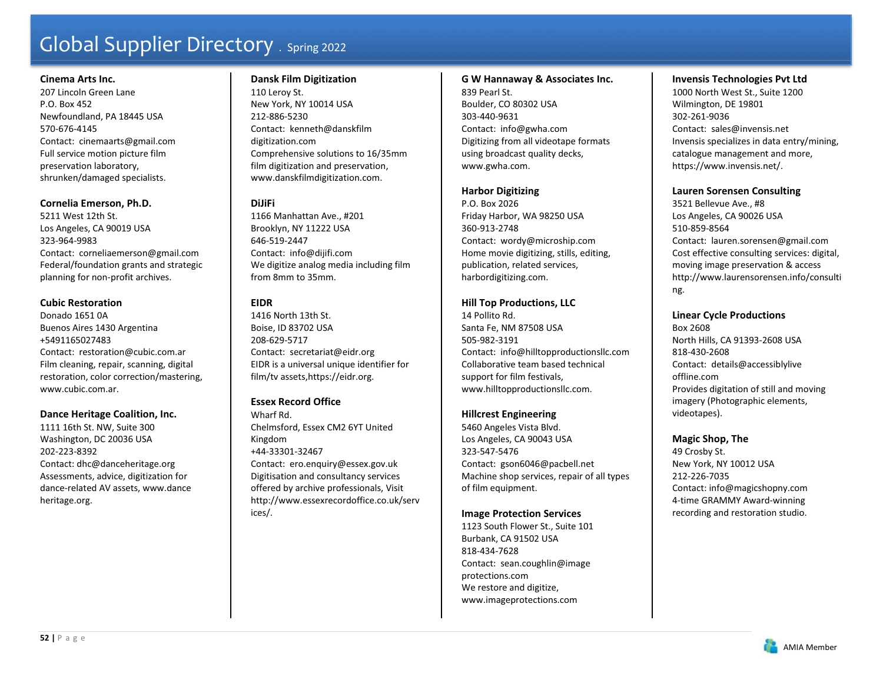### **Cinema Arts Inc.**

207 Lincoln Green Lane P.O. Box 452 Newfoundland, PA 18445 USA 570-676-4145 Contact: cinemaarts@gmail.com Full service motion picture film preservation laboratory, shrunken/damaged specialists.

# **Cornelia Emerson, Ph.D.**

5211 West 12th St. Los Angeles, CA 90019 USA 323-964-9983 Contact: corneliaemerson@gmail.com Federal/foundation grants and strategic planning for non-profit archives.

# **Cubic Restoration**

Donado 1651 0A Buenos Aires 1430 Argentina +5491165027483 Contact: restoration@cubic.com.ar Film cleaning, repair, scanning, digital restoration, color correction/mastering, www.cubic.com.ar.

# **Dance Heritage Coalition, Inc.**

1111 16th St. NW, Suite 300 Washington, DC 20036 USA 202-223-8392 Contact: dhc@danceheritage.org Assessments, advice, digitization for dance-related AV assets, www.dance heritage.org.

# **Dansk Film Digitization**

110 Leroy St. New York, NY 10014 USA 212-886-5230 Contact: kenneth@danskfilm digitization.com Comprehensive solutions to 16/35mm film digitization and preservation, www.danskfilmdigitization.com.

# **DiJiFi**

1166 Manhattan Ave., #201 Brooklyn, NY 11222 USA 646-519-2447 Contact: info@dijifi.com We digitize analog media including film from 8mm to 35mm.

# **EIDR**

1416 North 13th St. Boise, ID 83702 USA 208-629-5717 Contact: secretariat@eidr.org EIDR is a universal unique identifier for film/tv assets,https://eidr.org.

# **Essex Record Office**

Wharf Rd. Chelmsford, Essex CM2 6YT United Kingdom +44-33301-32467 Contact: ero.enquiry@essex.gov.uk Digitisation and consultancy services offered by archive professionals, Visit http://www.essexrecordoffice.co.uk/serv ices/.

# **G W Hannaway & Associates Inc.**

839 Pearl St. Boulder, CO 80302 USA 303-440-9631 Contact: info@gwha.com Digitizing from all videotape formats using broadcast quality decks, www.gwha.com.

# **Harbor Digitizing**

P.O. Box 2026 Friday Harbor, WA 98250 USA 360-913-2748 Contact: wordy@microship.com Home movie digitizing, stills, editing, publication, related services, harbordigitizing.com.

# **Hill Top Productions, LLC**

14 Pollito Rd. Santa Fe, NM 87508 USA 505-982-3191 Contact: info@hilltopproductionsllc.com Collaborative team based technical support for film festivals, www.hilltopproductionsllc.com.

# **Hillcrest Engineering**

5460 Angeles Vista Blvd. Los Angeles, CA 90043 USA 323-547-5476 Contact: gson6046@pacbell.net Machine shop services, repair of all types of film equipment.

# **Image Protection Services**

1123 South Flower St., Suite 101 Burbank, CA 91502 USA 818-434-7628 Contact: sean.coughlin@image protections.com We restore and digitize, www.imageprotections.com

# **Invensis Technologies Pvt Ltd**

1000 North West St., Suite 1200 Wilmington, DE 19801 302-261-9036 Contact: sales@invensis.net Invensis specializes in data entry/mining, catalogue management and more, https://www.invensis.net/.

# **Lauren Sorensen Consulting**

3521 Bellevue Ave., #8 Los Angeles, CA 90026 USA 510-859-8564 Contact: lauren.sorensen@gmail.com Cost effective consulting services: digital, moving image preservation & access http://www.laurensorensen.info/consulti ng.

### **Linear Cycle Productions**

Box 2608 North Hills, CA 91393-2608 USA 818-430-2608 Contact: details@accessiblylive offline.com Provides digitation of still and moving imagery (Photographic elements, videotapes).

# **Magic Shop, The**

49 Crosby St. New York, NY 10012 USA 212-226-7035 Contact: info@magicshopny.com 4-time GRAMMY Award-winning recording and restoration studio.

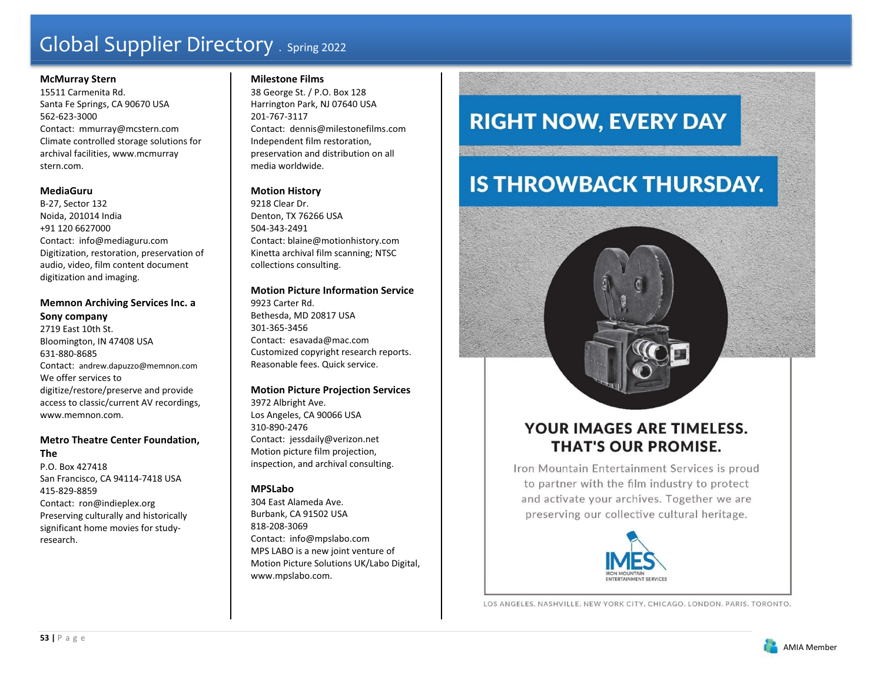#### **McMurray Stern**

15511 Carmenita Rd. Santa Fe Springs, CA 90670 USA 562-623-3000 Contact: mmurray@mcstern.com Climate controlled storage solutions for archival facilities, www.mcmurray stern.com.

#### **MediaGuru**

B-27, Sector 132 Noida, 201014 India +91 120 6627000 Contact: info@mediaguru.com Digitization, restoration, preservation of audio, video, film content document digitization and imaging.

# **Memnon Archiving Services Inc. a Sony company**

2719 East 10th St. Bloomington, IN 47408 USA 631-880-8685 Contact: andrew.dapuzzo@memnon.com We offer services to digitize/restore/preserve and provide access to classic/current AV recordings, www.memnon.com.

# **Metro Theatre Center Foundation,**

**The** P.O. Box 427418 San Francisco, CA 94114-7418 USA 415-829-8859 Contact: ron@indieplex.org Preserving culturally and historically significant home movies for studyresearch.

#### **Milestone Films**

38 George St. / P.O. Box 128 Harrington Park, NJ 07640 USA 201-767-3117 Contact: dennis@milestonefilms.com Independent film restoration, preservation and distribution on all media worldwide.

# **Motion History**

9218 Clear Dr. Denton, TX 76266 USA 504-343-2491 Contact: blaine@motionhistory.com Kinetta archival film scanning; NTSC collections consulting.

# **Motion Picture Information Service**

9923 Carter Rd. Bethesda, MD 20817 USA 301-365-3456 Contact: esavada@mac.com Customized copyright research reports. Reasonable fees. Quick service.

### **Motion Picture Projection Services**

3972 Albright Ave. Los Angeles, CA 90066 USA 310-890-2476 Contact: jessdaily@verizon.net Motion picture film projection, inspection, and archival consulting.

# **MPSLabo**

304 East Alameda Ave. Burbank, CA 91502 USA 818-208-3069 Contact: info@mpslabo.com MPS LABO is a new joint venture of Motion Picture Solutions UK/Labo Digital, www.mpslabo.com.

# **RIGHT NOW, EVERY DAY**

# **IS THROWBACK THURSDAY.**

# **YOUR IMAGES ARE TIMELESS. THAT'S OUR PROMISE.**

Iron Mountain Entertainment Services is proud to partner with the film industry to protect and activate your archives. Together we are preserving our collective cultural heritage.



LOS ANGELES, NASHVILLE, NEW YORK CITY, CHICAGO, LONDON, PARIS, TORONTO.

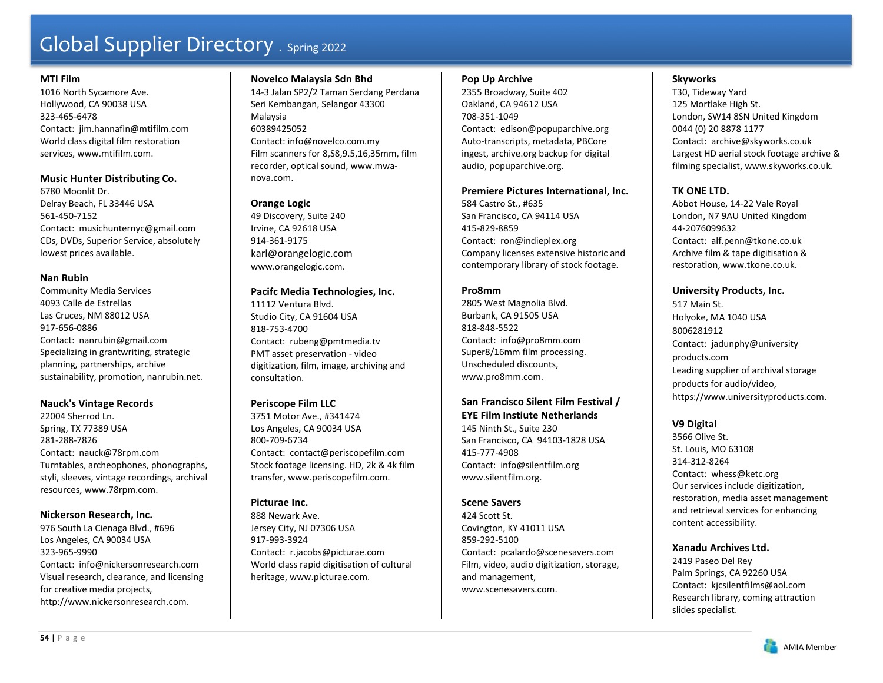#### **MTI Film**

1016 North Sycamore Ave. Hollywood, CA 90038 USA 323-465-6478 Contact: jim.hannafin@mtifilm.com World class digital film restoration services, www.mtifilm.com.

# **Music Hunter Distributing Co.**

6780 Moonlit Dr. Delray Beach, FL 33446 USA 561-450-7152 Contact: musichunternyc@gmail.com CDs, DVDs, Superior Service, absolutely lowest prices available.

#### **Nan Rubin**

Community Media Services 4093 Calle de Estrellas Las Cruces, NM 88012 USA 917-656-0886 Contact: nanrubin@gmail.com Specializing in grantwriting, strategic planning, partnerships, archive sustainability, promotion, nanrubin.net.

### **Nauck's Vintage Records**

22004 Sherrod Ln. Spring, TX 77389 USA 281-288-7826 Contact: nauck@78rpm.com Turntables, archeophones, phonographs, styli, sleeves, vintage recordings, archival resources, www.78rpm.com.

### **Nickerson Research, Inc.**

976 South La Cienaga Blvd., #696 Los Angeles, CA 90034 USA 323-965-9990 Contact: info@nickersonresearch.com Visual research, clearance, and licensing for creative media projects, http://www.nickersonresearch.com.

### **Novelco Malaysia Sdn Bhd**

14-3 Jalan SP2/2 Taman Serdang Perdana Seri Kembangan, Selangor 43300 Malaysia 60389425052 Contact: info@novelco.com.my Film scanners for 8,S8,9.5,16,35mm, film recorder, optical sound, www.mwanova.com.

# **Orange Logic**

49 Discovery, Suite 240 Irvine, CA 92618 USA 914-361-9175 karl@orangelogic.com www.orangelogic.com.

### **Pacifc Media Technologies, Inc.**

11112 Ventura Blvd. Studio City, CA 91604 USA 818-753-4700 Contact: rubeng@pmtmedia.tv PMT asset preservation - video digitization, film, image, archiving and consultation.

# **Periscope Film LLC**

3751 Motor Ave., #341474 Los Angeles, CA 90034 USA 800-709-6734 Contact: contact@periscopefilm.com Stock footage licensing. HD, 2k & 4k film transfer, www.periscopefilm.com.

### **Picturae Inc.**

888 Newark Ave. Jersey City, NJ 07306 USA 917-993-3924 Contact: r.jacobs@picturae.com World class rapid digitisation of cultural heritage, www.picturae.com.

#### **Pop Up Archive**

2355 Broadway, Suite 402 Oakland, CA 94612 USA 708-351-1049 Contact: edison@popuparchive.org Auto-transcripts, metadata, PBCore ingest, archive.org backup for digital audio, popuparchive.org.

#### **Premiere Pictures International, Inc.**

584 Castro St., #635 San Francisco, CA 94114 USA 415-829-8859 Contact: ron@indieplex.org Company licenses extensive historic and contemporary library of stock footage.

#### **Pro8mm**

2805 West Magnolia Blvd. Burbank, CA 91505 USA 818-848-5522 Contact: info@pro8mm.com Super8/16mm film processing. Unscheduled discounts, www.pro8mm.com.

#### **San Francisco Silent Film Festival / EYE Film Instiute Netherlands**

145 Ninth St., Suite 230 San Francisco, CA 94103-1828 USA 415-777-4908 Contact: info@silentfilm.org www.silentfilm.org.

# **Scene Savers**

424 Scott St. Covington, KY 41011 USA 859-292-5100 Contact: pcalardo@scenesavers.com Film, video, audio digitization, storage, and management, www.scenesavers.com.

# **Skyworks**

T30, Tideway Yard 125 Mortlake High St. London, SW14 8SN United Kingdom 0044 (0) 20 8878 1177 Contact: archive@skyworks.co.uk Largest HD aerial stock footage archive & filming specialist, www.skyworks.co.uk.

# **TK ONE LTD.**

Abbot House, 14-22 Vale Royal London, N7 9AU United Kingdom 44-2076099632 Contact: alf.penn@tkone.co.uk Archive film & tape digitisation & restoration, www.tkone.co.uk.

### **University Products, Inc.**

517 Main St. Holyoke, MA 1040 USA 8006281912 Contact: jadunphy@university products.com Leading supplier of archival storage products for audio/video, https://www.universityproducts.com.

### **V9 Digital**

3566 Olive St. St. Louis, MO 63108 314-312-8264 Contact: whess@ketc.org Our services include digitization, restoration, media asset management and retrieval services for enhancing content accessibility.

### **Xanadu Archives Ltd.**

2419 Paseo Del Rey Palm Springs, CA 92260 USA Contact: kjcsilentfilms@aol.com Research library, coming attraction slides specialist.